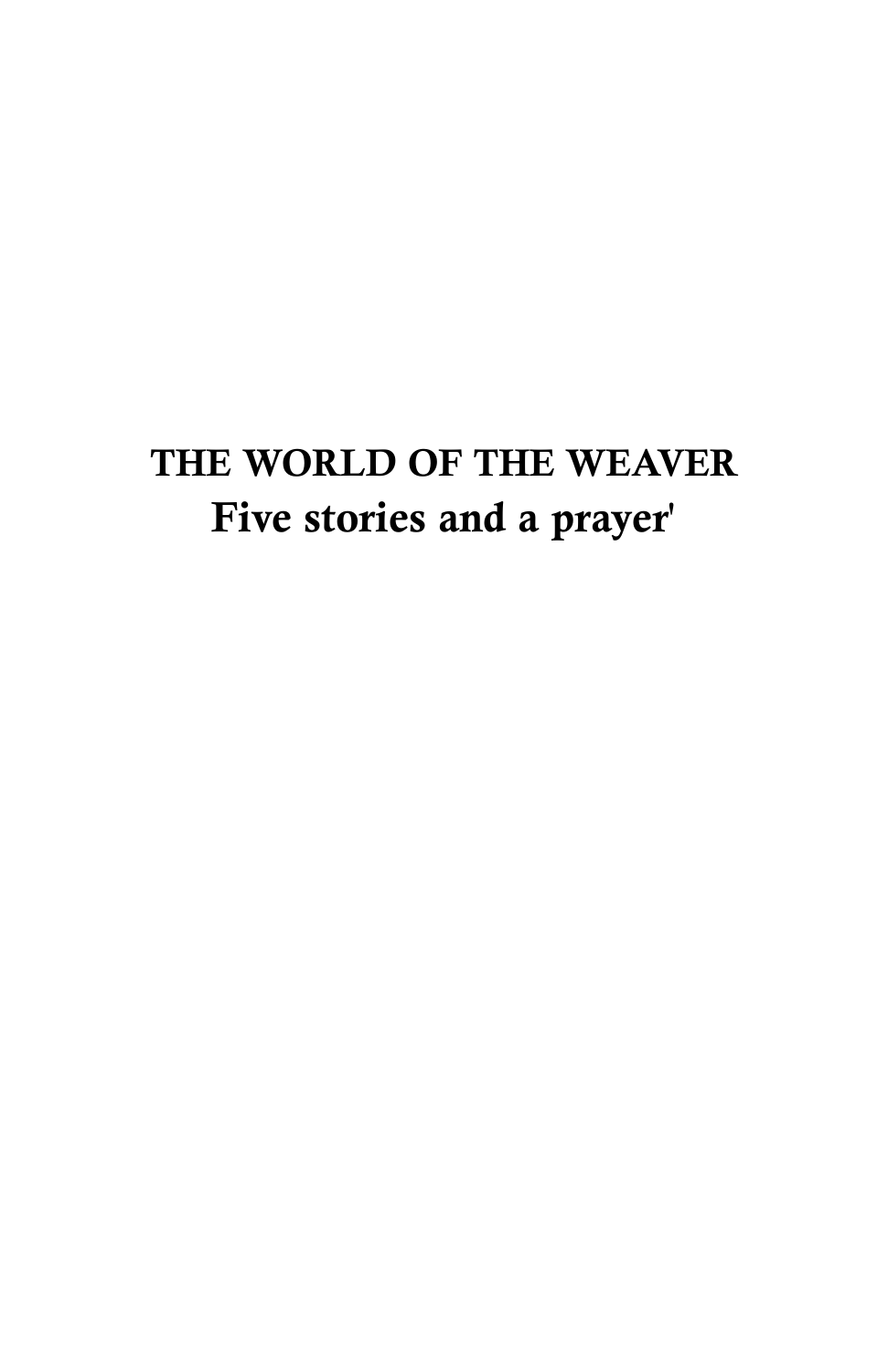# **THE WORLD OF THE WEAVER Five stories and a prayer**'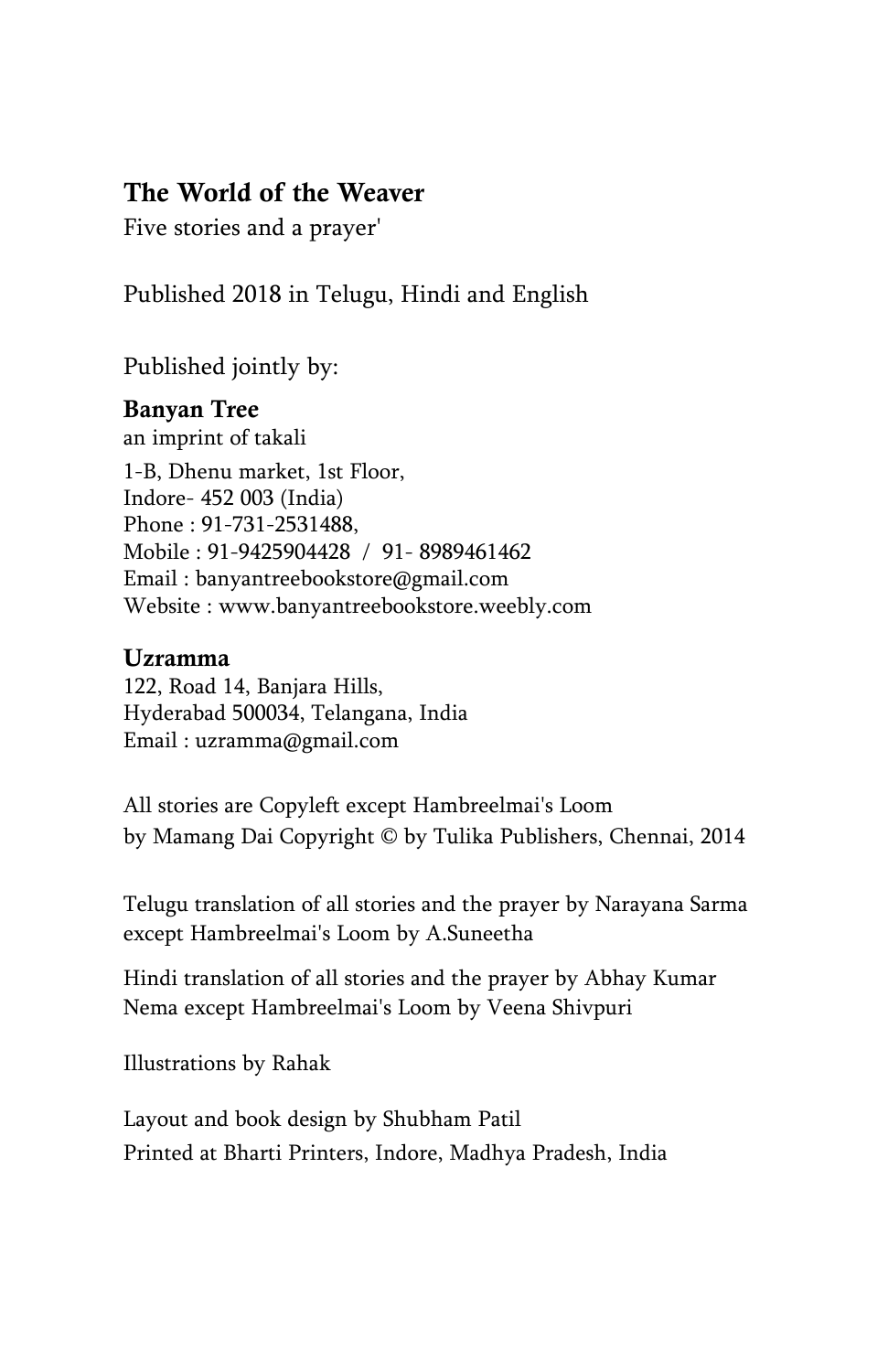### **The World of the Weaver**

Five stories and a prayer'

Published 2018 in Telugu, Hindi and English

Published jointly by:

### **Banyan Tree**

an imprint of takali 1-B, Dhenu market, 1st Floor, Indore- 452 003 (India) Phone : 91-731-2531488, Mobile : 91-9425904428 / 91- 8989461462 Email : banyantreebookstore@gmail.com Website : www.banyantreebookstore.weebly.com

#### **Uzramma**

122, Road 14, Banjara Hills, Hyderabad 500034, Telangana, India Email : uzramma@gmail.com

All stories are Copyleft except Hambreelmai's Loom by Mamang Dai Copyright © by Tulika Publishers, Chennai, 2014

Telugu translation of all stories and the prayer by Narayana Sarma except Hambreelmai's Loom by A.Suneetha

Hindi translation of all stories and the prayer by Abhay Kumar Nema except Hambreelmai's Loom by Veena Shivpuri

Illustrations by Rahak

Layout and book design by Shubham Patil Printed at Bharti Printers, Indore, Madhya Pradesh, India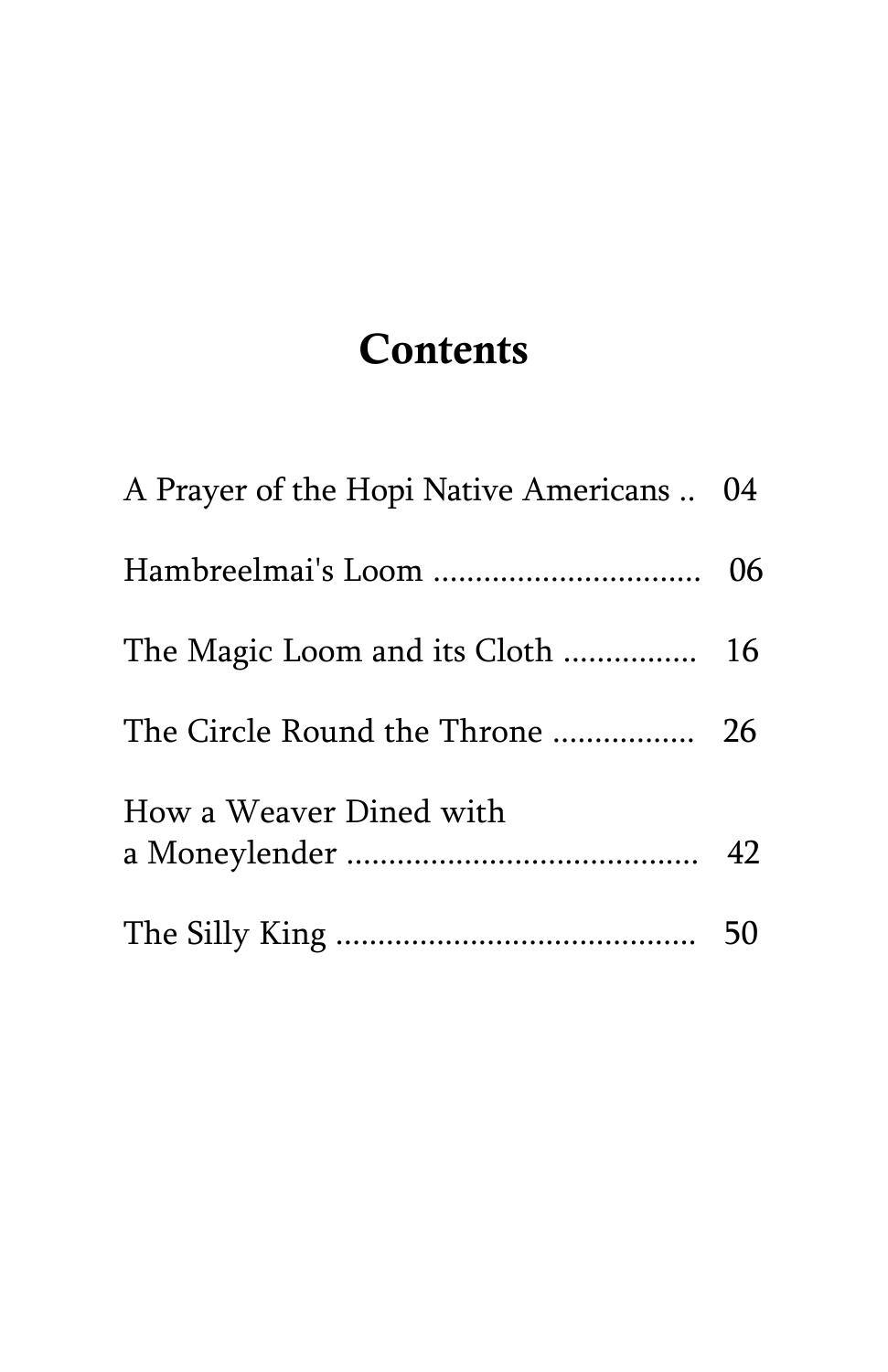# **Contents**

| A Prayer of the Hopi Native Americans  04 |  |
|-------------------------------------------|--|
|                                           |  |
| The Magic Loom and its Cloth  16          |  |
|                                           |  |
| How a Weaver Dined with                   |  |
|                                           |  |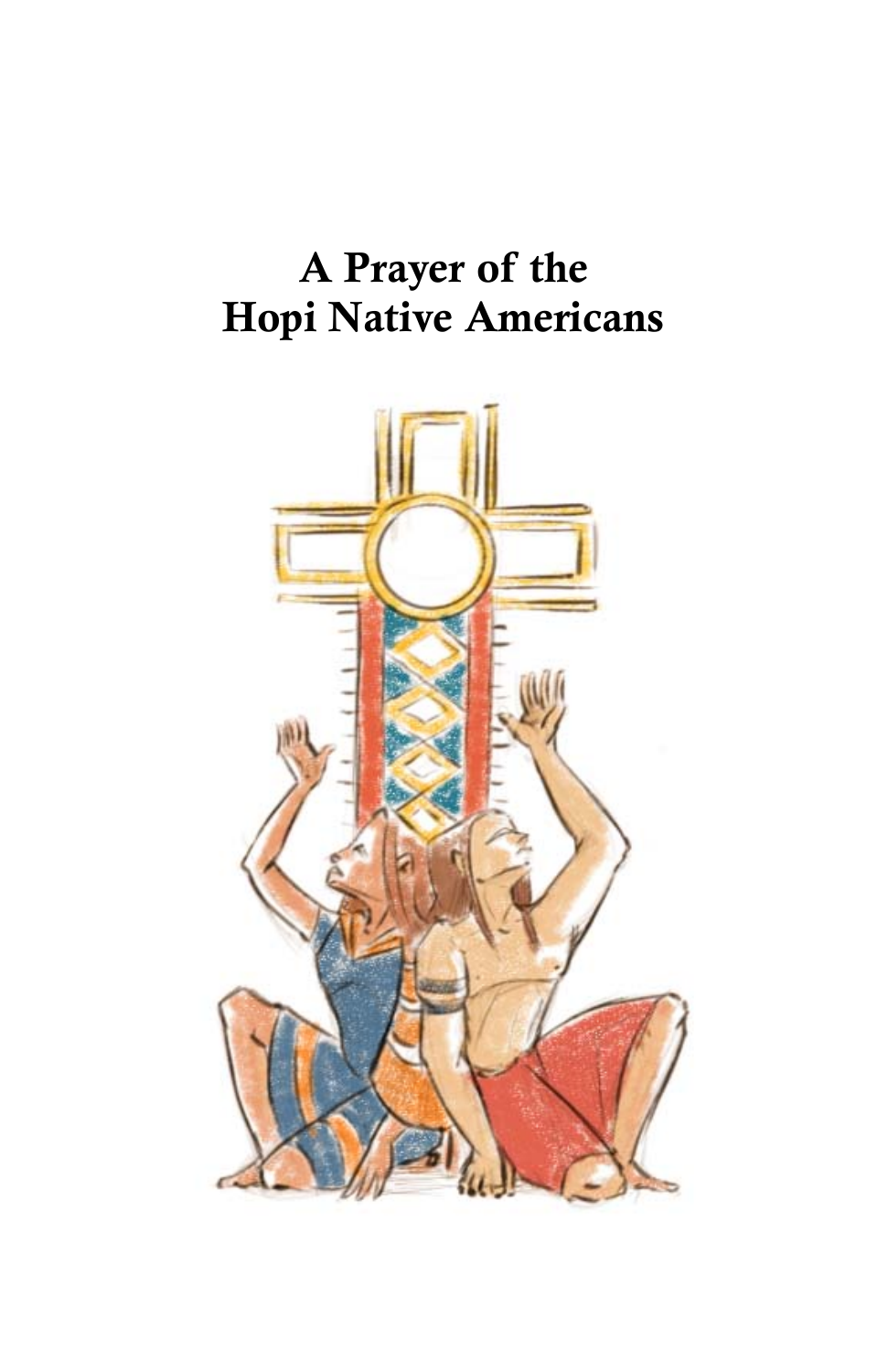# **A Prayer of the Hopi Native Americans**

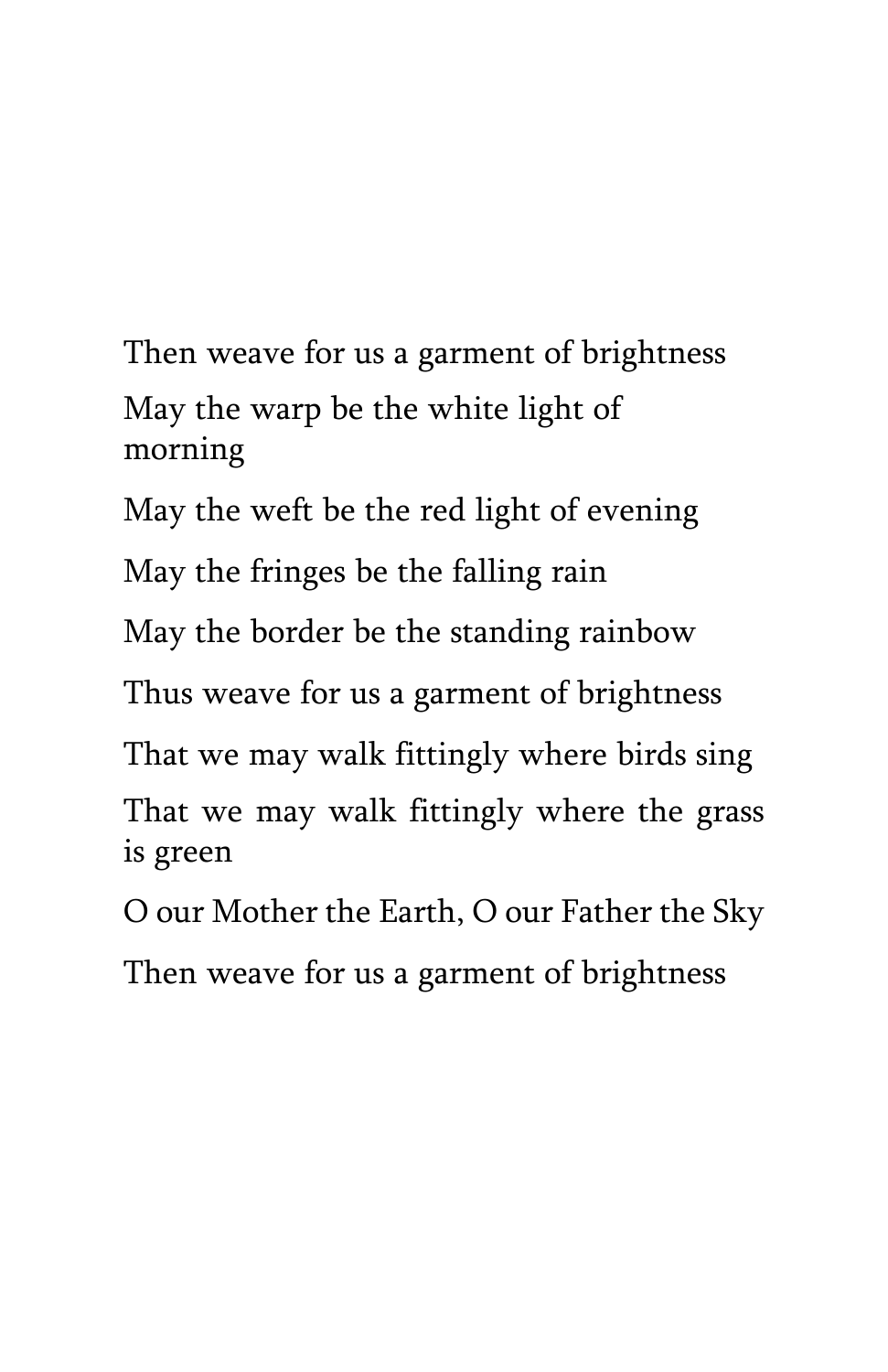Then weave for us a garment of brightness May the warp be the white light of morning

May the weft be the red light of evening

May the fringes be the falling rain

May the border be the standing rainbow

Thus weave for us a garment of brightness

That we may walk fittingly where birds sing That we may walk fittingly where the grass

is green

O our Mother the Earth, O our Father the Sky

Then weave for us a garment of brightness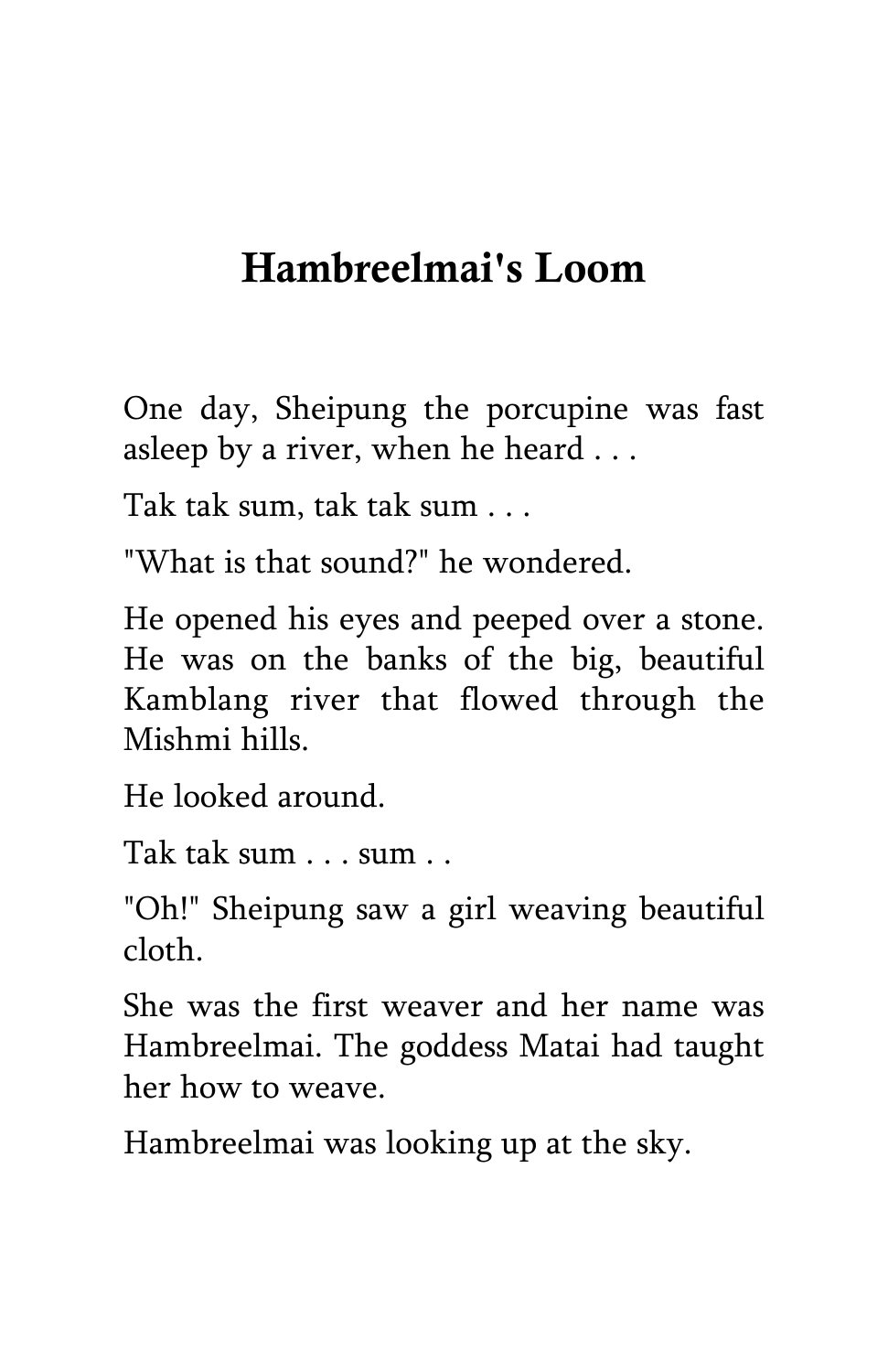### **Hambreelmai's Loom**

One day, Sheipung the porcupine was fast asleep by a river, when he heard . . .

Tak tak sum, tak tak sum . . .

"What is that sound?" he wondered.

He opened his eyes and peeped over a stone. He was on the banks of the big, beautiful Kamblang river that flowed through the Mishmi hills.

He looked around.

Tak tak sum . . . sum . .

"Oh!" Sheipung saw a girl weaving beautiful cloth.

She was the first weaver and her name was Hambreelmai. The goddess Matai had taught her how to weave.

Hambreelmai was looking up at the sky.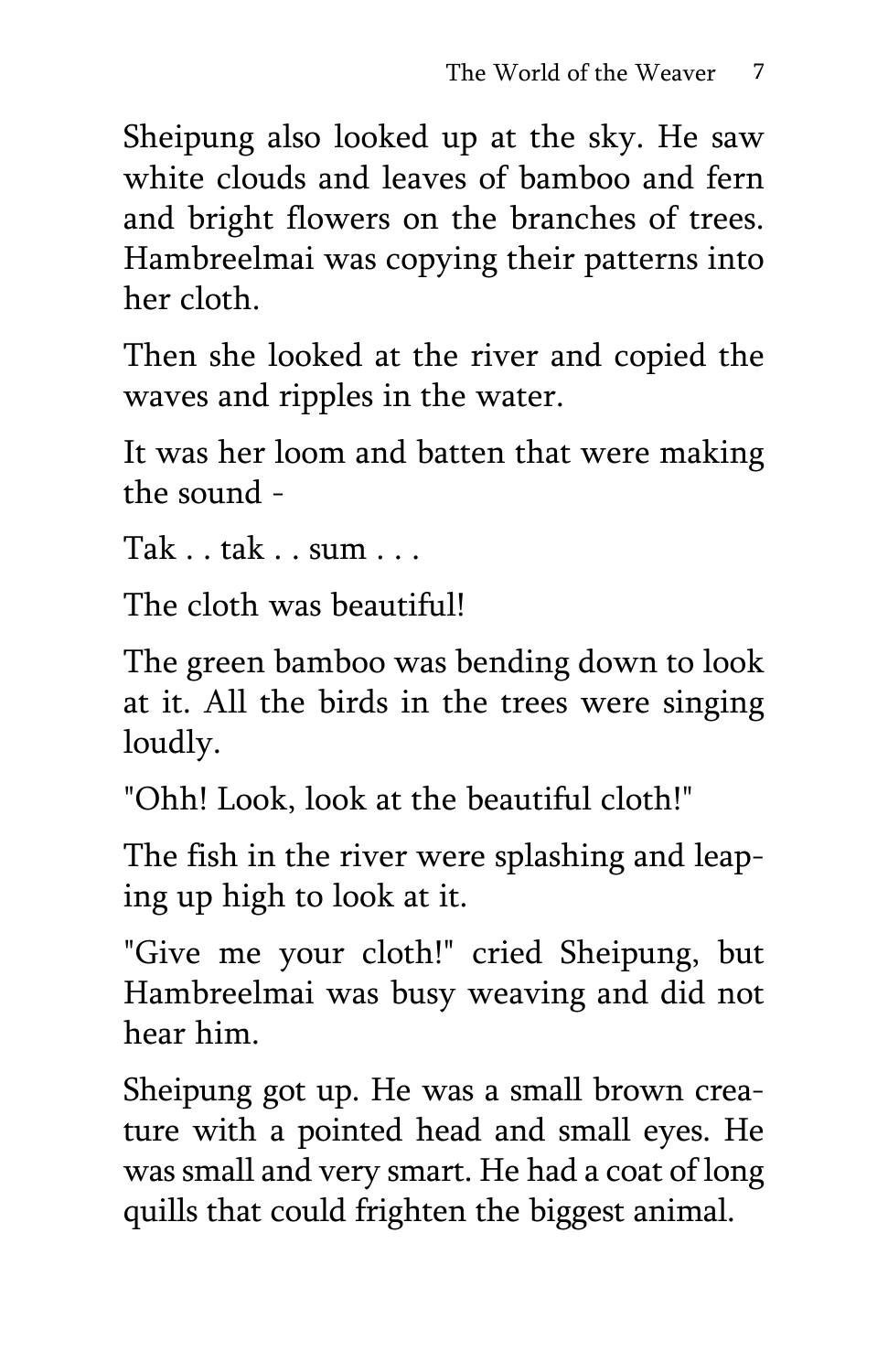Sheipung also looked up at the sky. He saw white clouds and leaves of bamboo and fern and bright flowers on the branches of trees. Hambreelmai was copying their patterns into her cloth.

Then she looked at the river and copied the waves and ripples in the water.

It was her loom and batten that were making the sound -

Tak . . tak . . sum . . .

The cloth was beautiful!

The green bamboo was bending down to look at it. All the birds in the trees were singing loudly.

"Ohh! Look, look at the beautiful cloth!"

The fish in the river were splashing and leaping up high to look at it.

"Give me your cloth!" cried Sheipung, but Hambreelmai was busy weaving and did not hear him.

Sheipung got up. He was a small brown creature with a pointed head and small eyes. He was small and very smart. He had a coat of long quills that could frighten the biggest animal.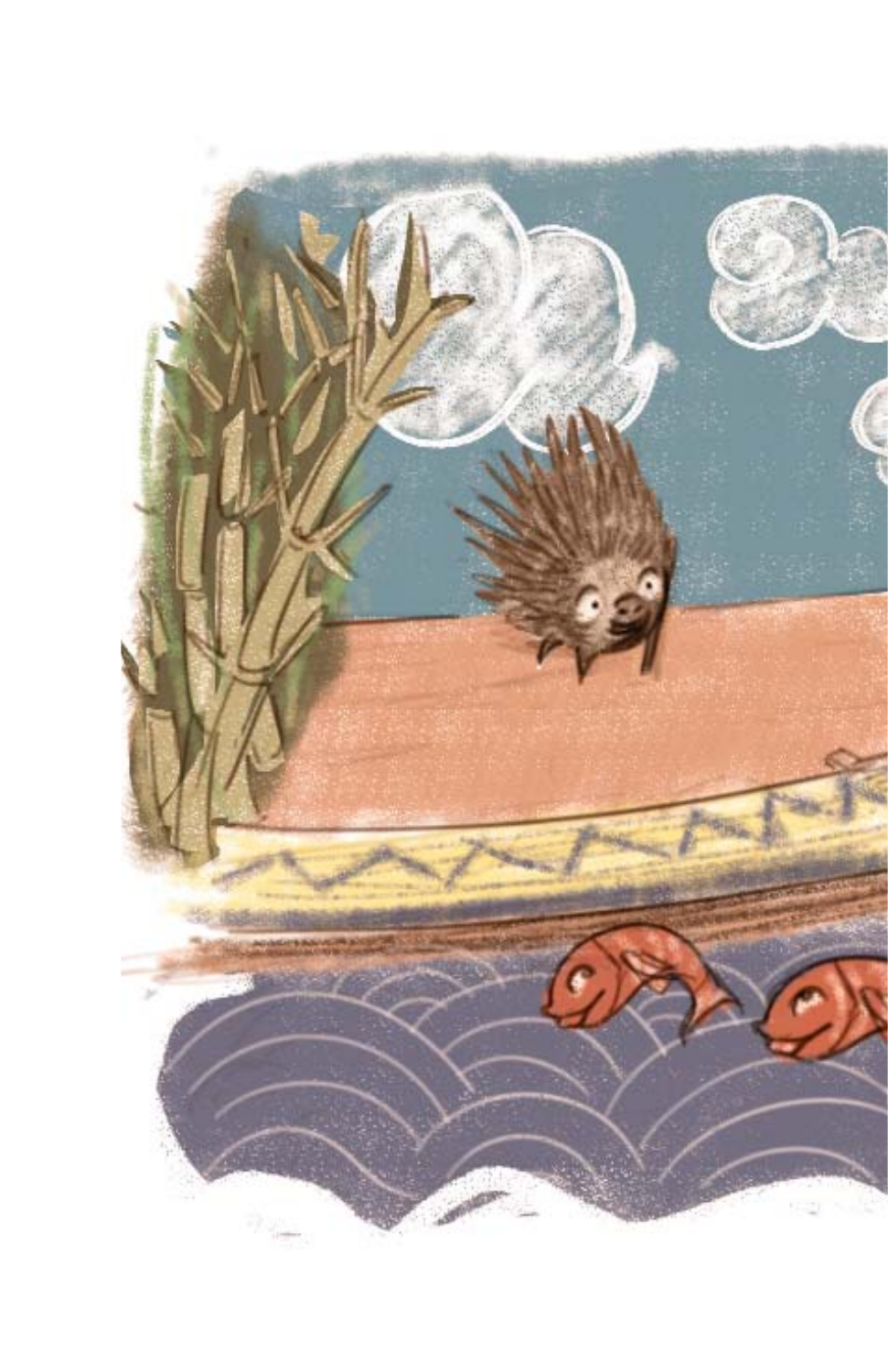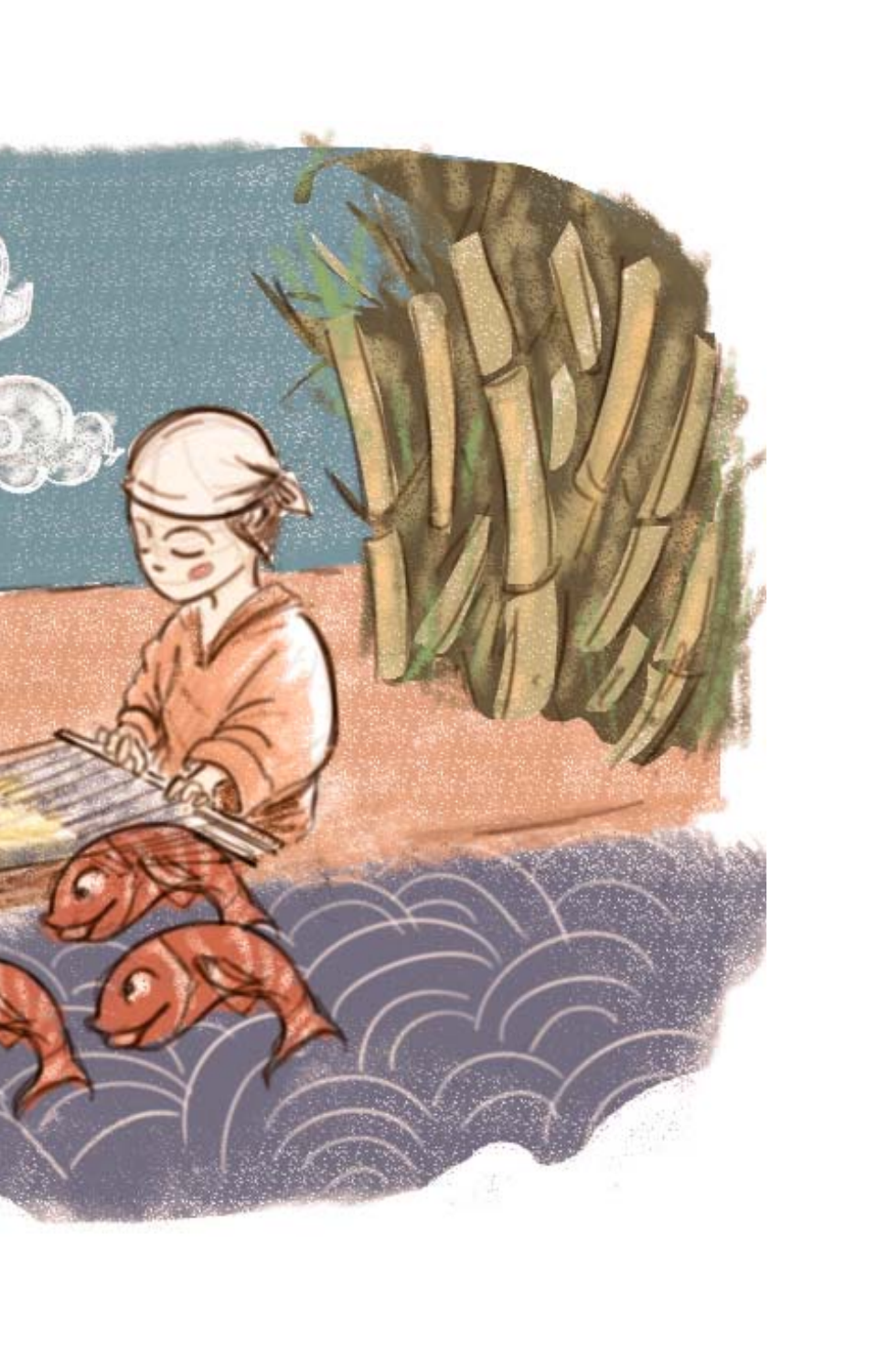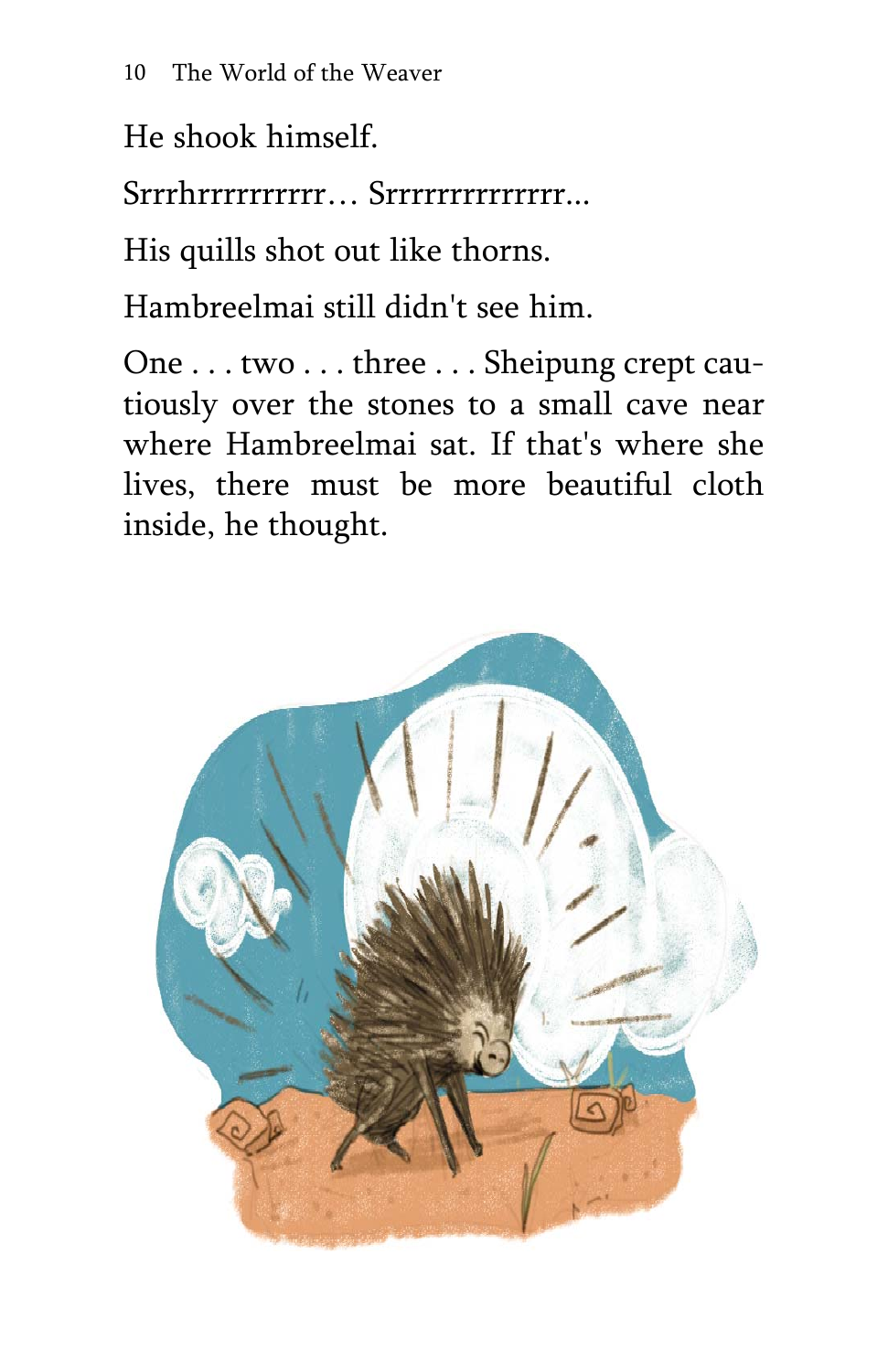He shook himself.

Srrrhrrrrrrrrrrrrrrrrrrrrrrrrrrrr...

His quills shot out like thorns.

Hambreelmai still didn't see him.

One . . . two . . . three . . . Sheipung crept cautiously over the stones to a small cave near where Hambreelmai sat. If that's where she lives, there must be more beautiful cloth inside, he thought.

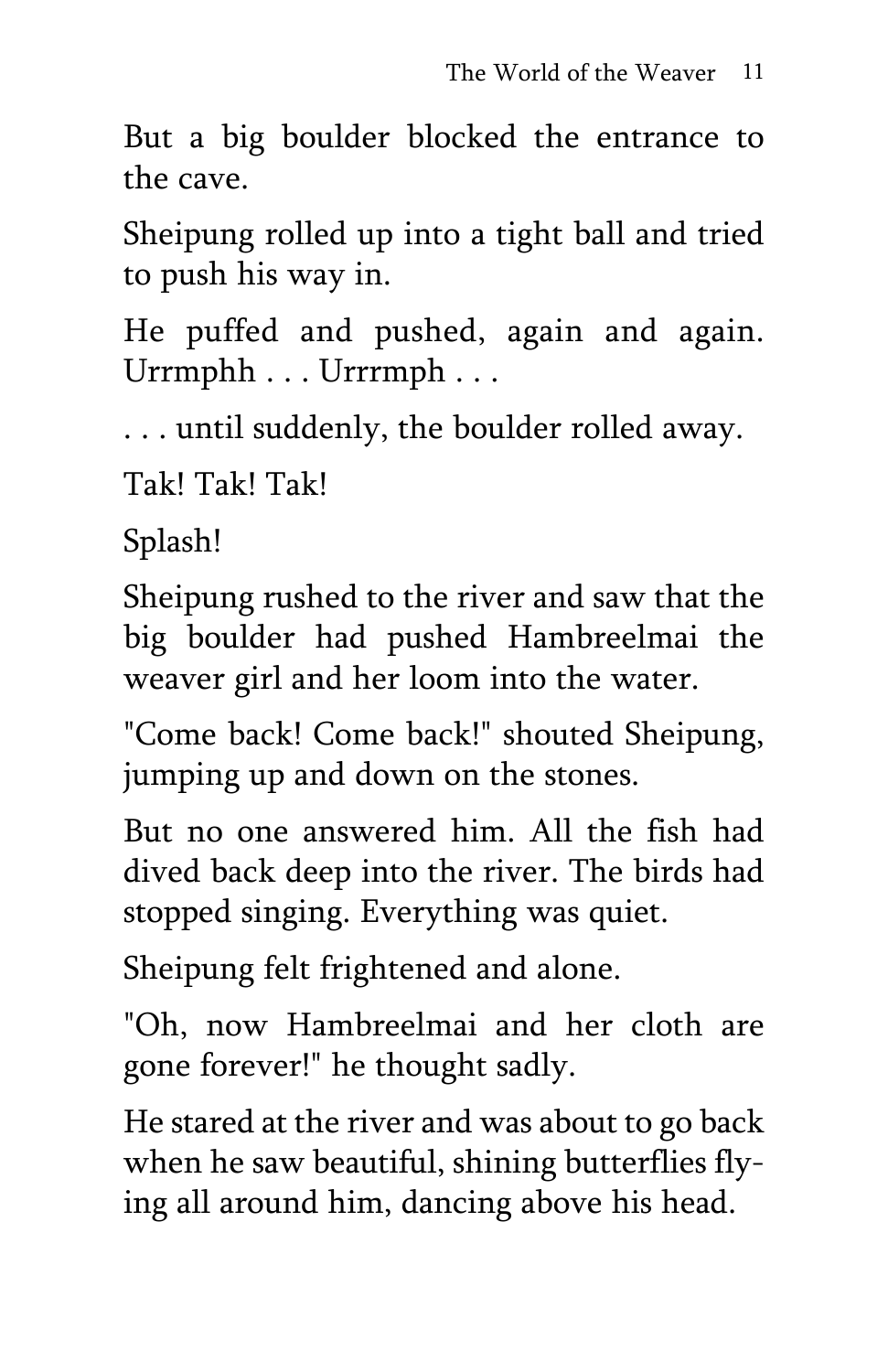But a big boulder blocked the entrance to the cave.

Sheipung rolled up into a tight ball and tried to push his way in.

He puffed and pushed, again and again. Urrmphh . . . Urrrmph . . .

. . . until suddenly, the boulder rolled away.

Tak! Tak! Tak!

Splash!

Sheipung rushed to the river and saw that the big boulder had pushed Hambreelmai the weaver girl and her loom into the water.

"Come back! Come back!" shouted Sheipung, jumping up and down on the stones.

But no one answered him. All the fish had dived back deep into the river. The birds had stopped singing. Everything was quiet.

Sheipung felt frightened and alone.

"Oh, now Hambreelmai and her cloth are gone forever!" he thought sadly.

He stared at the river and was about to go back when he saw beautiful, shining butterflies flying all around him, dancing above his head.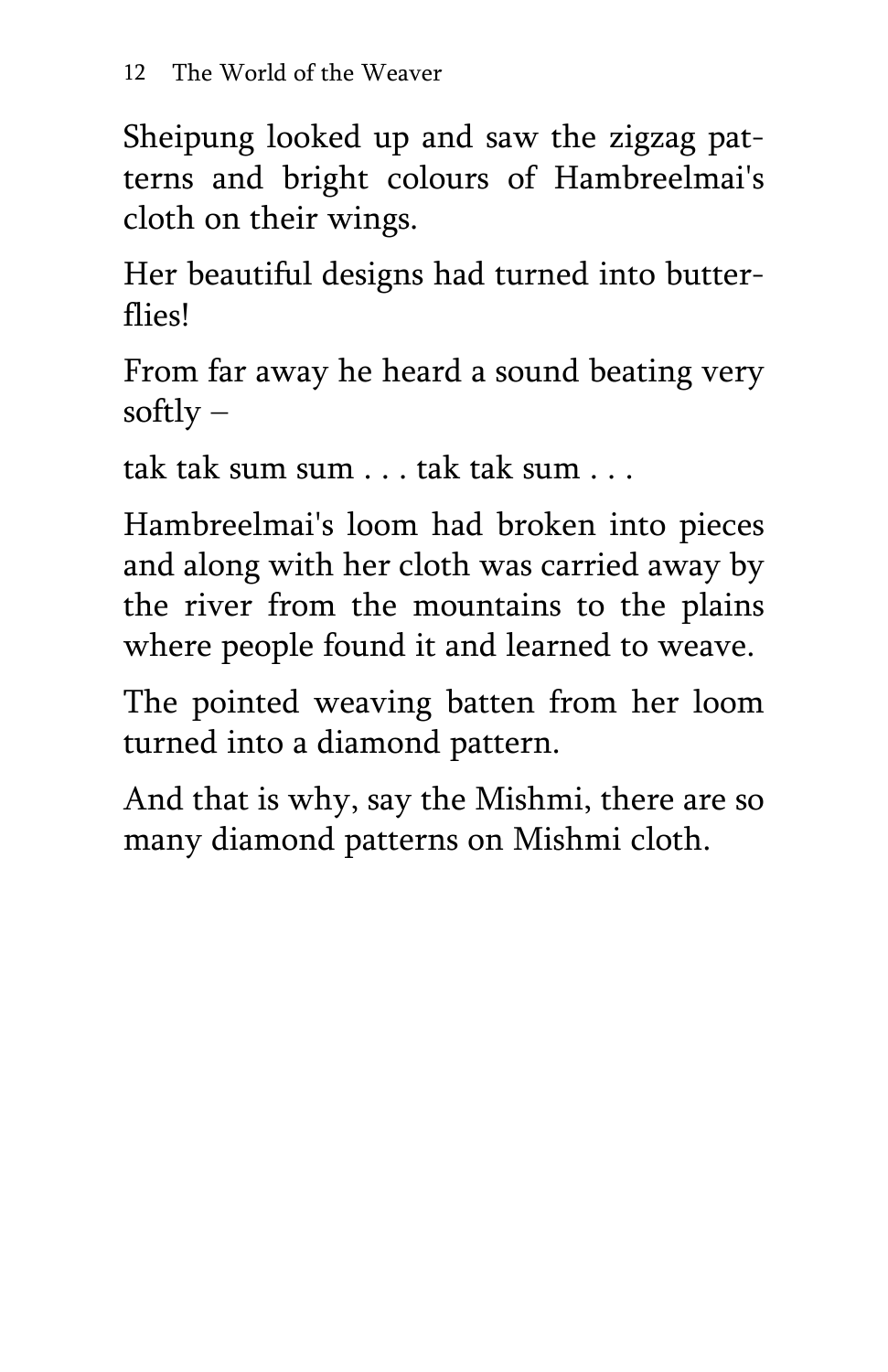Sheipung looked up and saw the zigzag patterns and bright colours of Hambreelmai's cloth on their wings.

Her beautiful designs had turned into butterflies!

From far away he heard a sound beating very softly  $-$ 

tak tak sum sum . . . tak tak sum . . .

Hambreelmai's loom had broken into pieces and along with her cloth was carried away by the river from the mountains to the plains where people found it and learned to weave.

The pointed weaving batten from her loom turned into a diamond pattern.

And that is why, say the Mishmi, there are so many diamond patterns on Mishmi cloth.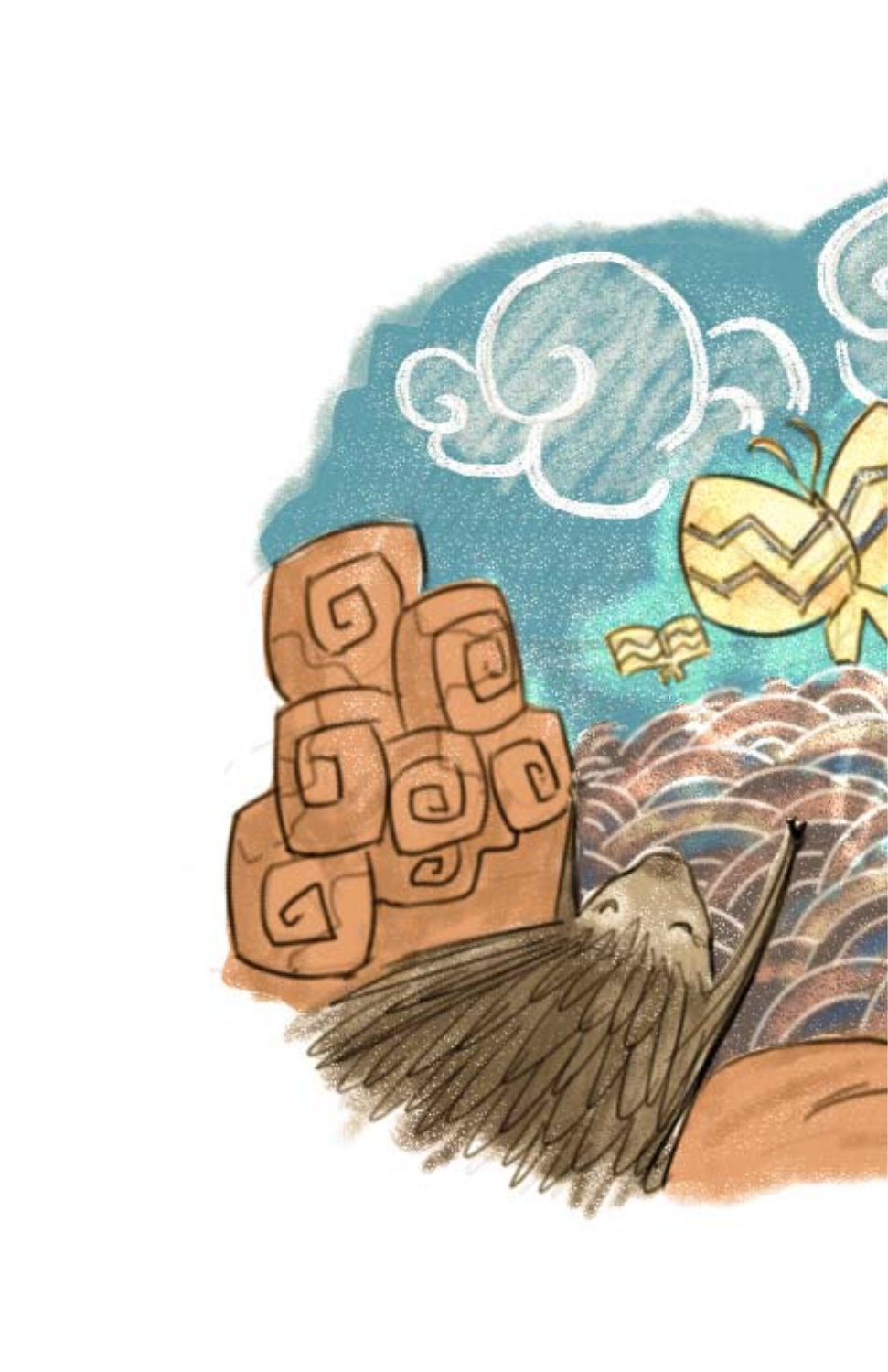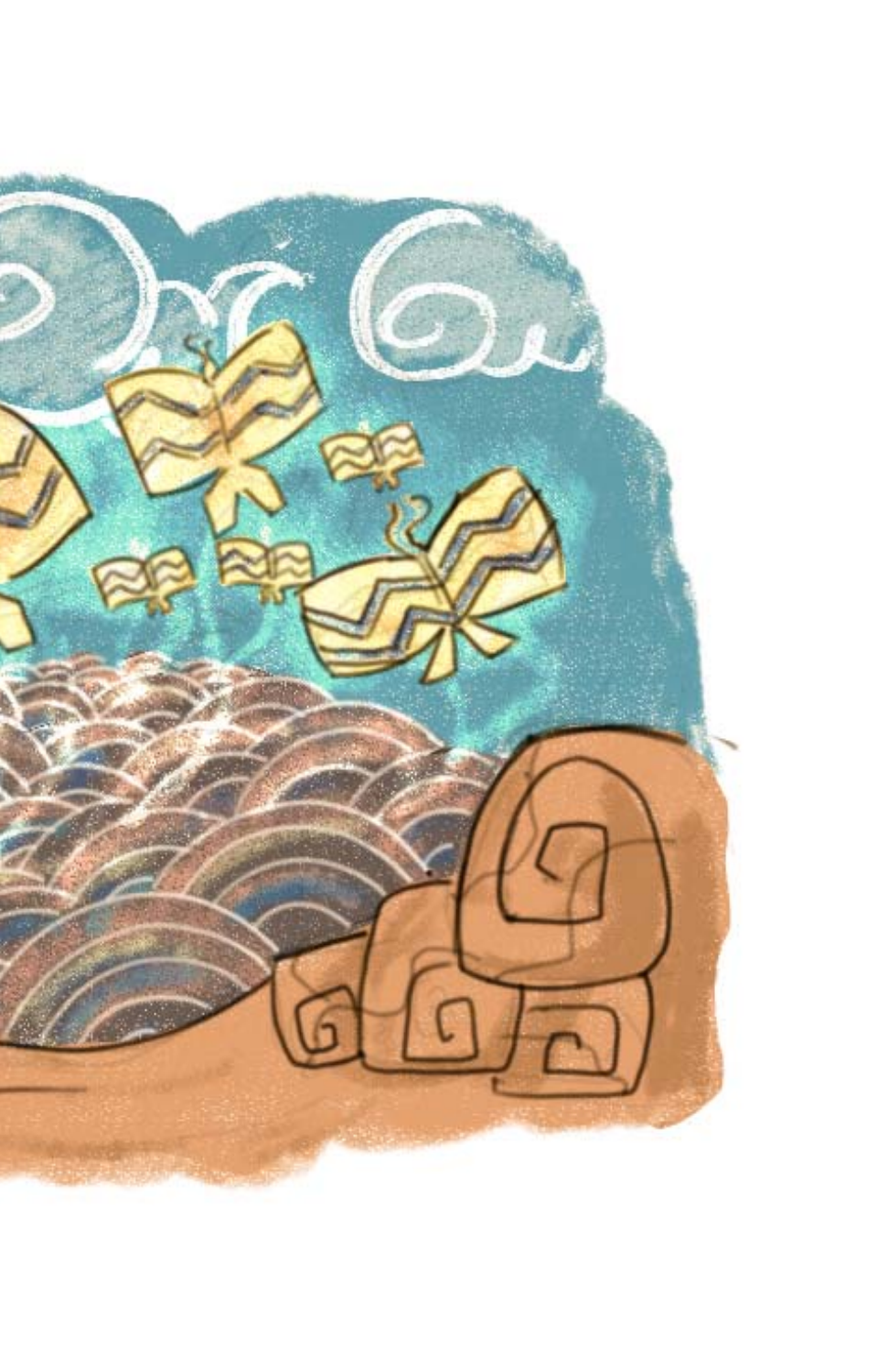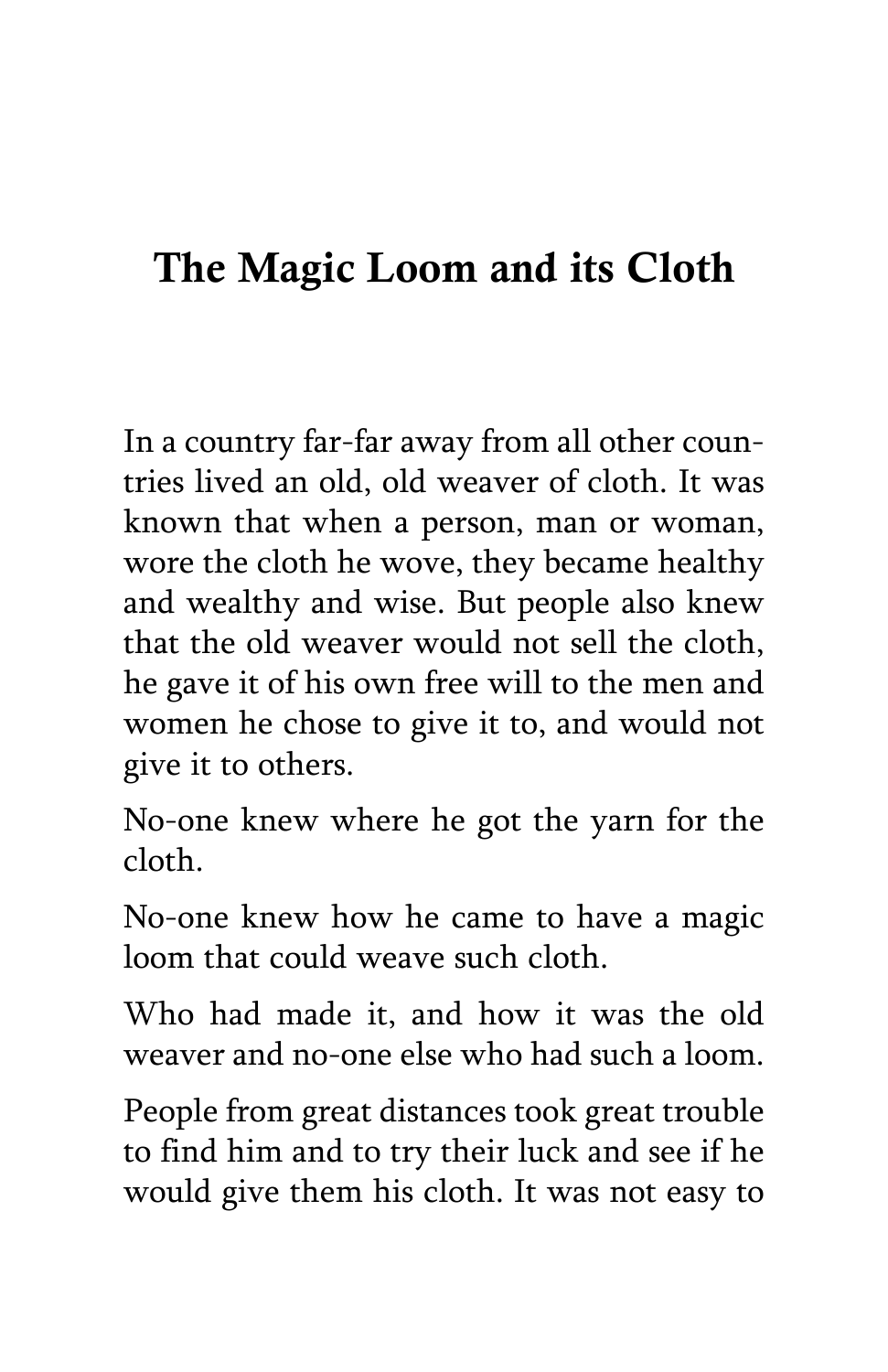# **The Magic Loom and its Cloth**

In a country far-far away from all other countries lived an old, old weaver of cloth. It was known that when a person, man or woman, wore the cloth he wove, they became healthy and wealthy and wise. But people also knew that the old weaver would not sell the cloth, he gave it of his own free will to the men and women he chose to give it to, and would not give it to others.

No-one knew where he got the yarn for the cloth.

No-one knew how he came to have a magic loom that could weave such cloth.

Who had made it, and how it was the old weaver and no-one else who had such a loom.

People from great distances took great trouble to find him and to try their luck and see if he would give them his cloth. It was not easy to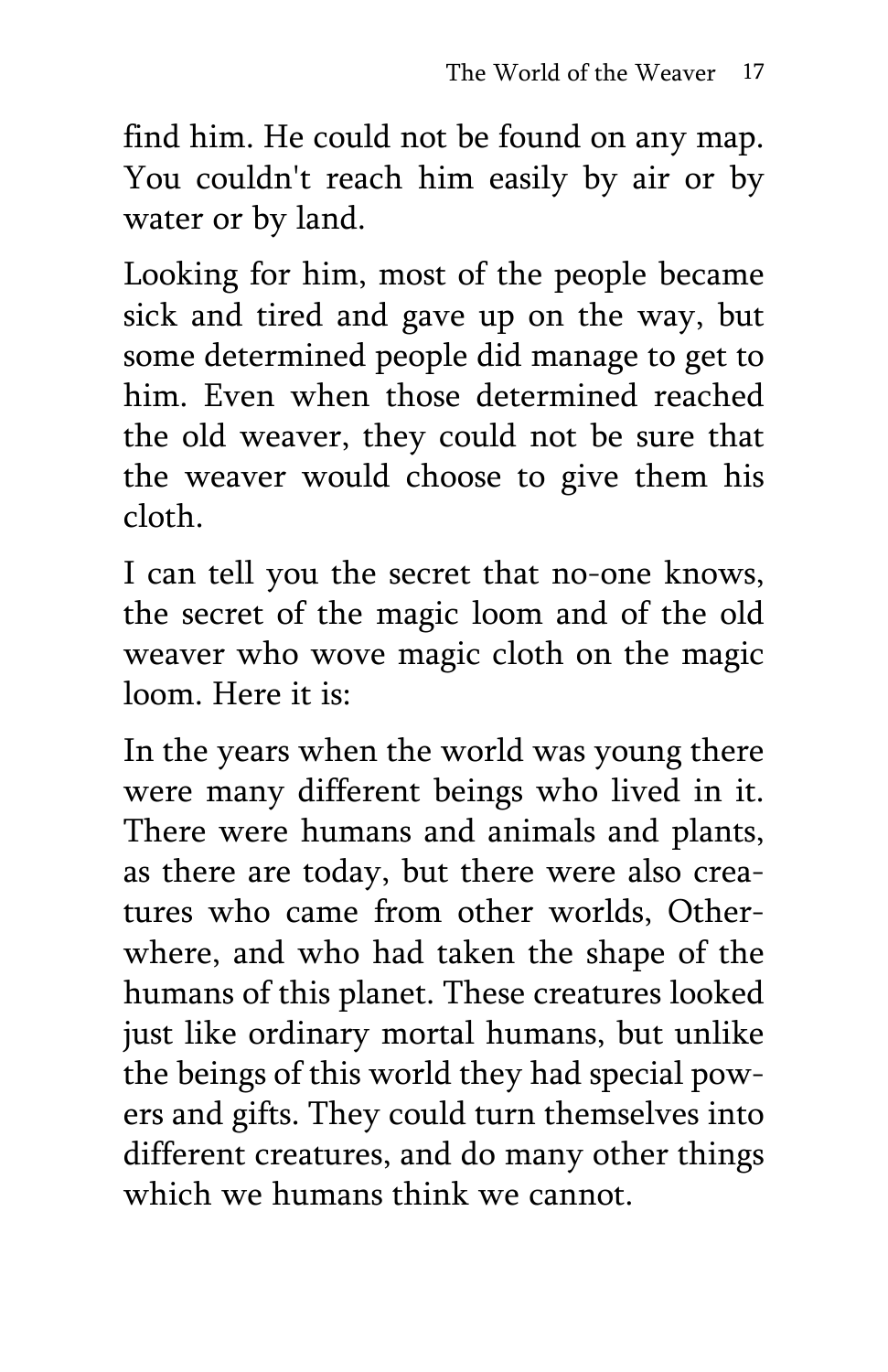find him. He could not be found on any map. You couldn't reach him easily by air or by water or by land.

Looking for him, most of the people became sick and tired and gave up on the way, but some determined people did manage to get to him. Even when those determined reached the old weaver, they could not be sure that the weaver would choose to give them his cloth.

I can tell you the secret that no-one knows, the secret of the magic loom and of the old weaver who wove magic cloth on the magic loom. Here it is:

In the years when the world was young there were many different beings who lived in it. There were humans and animals and plants, as there are today, but there were also creatures who came from other worlds, Otherwhere, and who had taken the shape of the humans of this planet. These creatures looked just like ordinary mortal humans, but unlike the beings of this world they had special powers and gifts. They could turn themselves into different creatures, and do many other things which we humans think we cannot.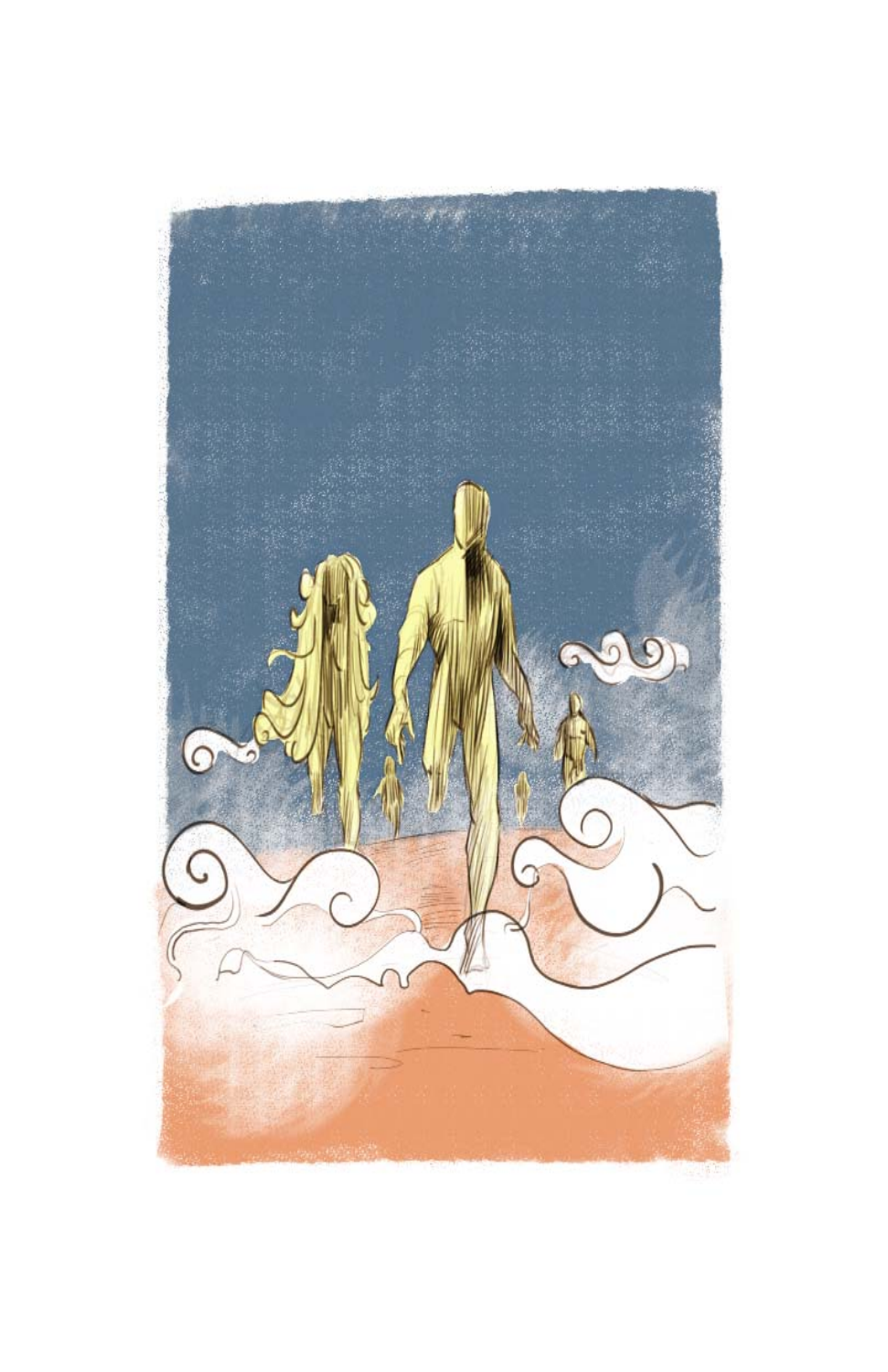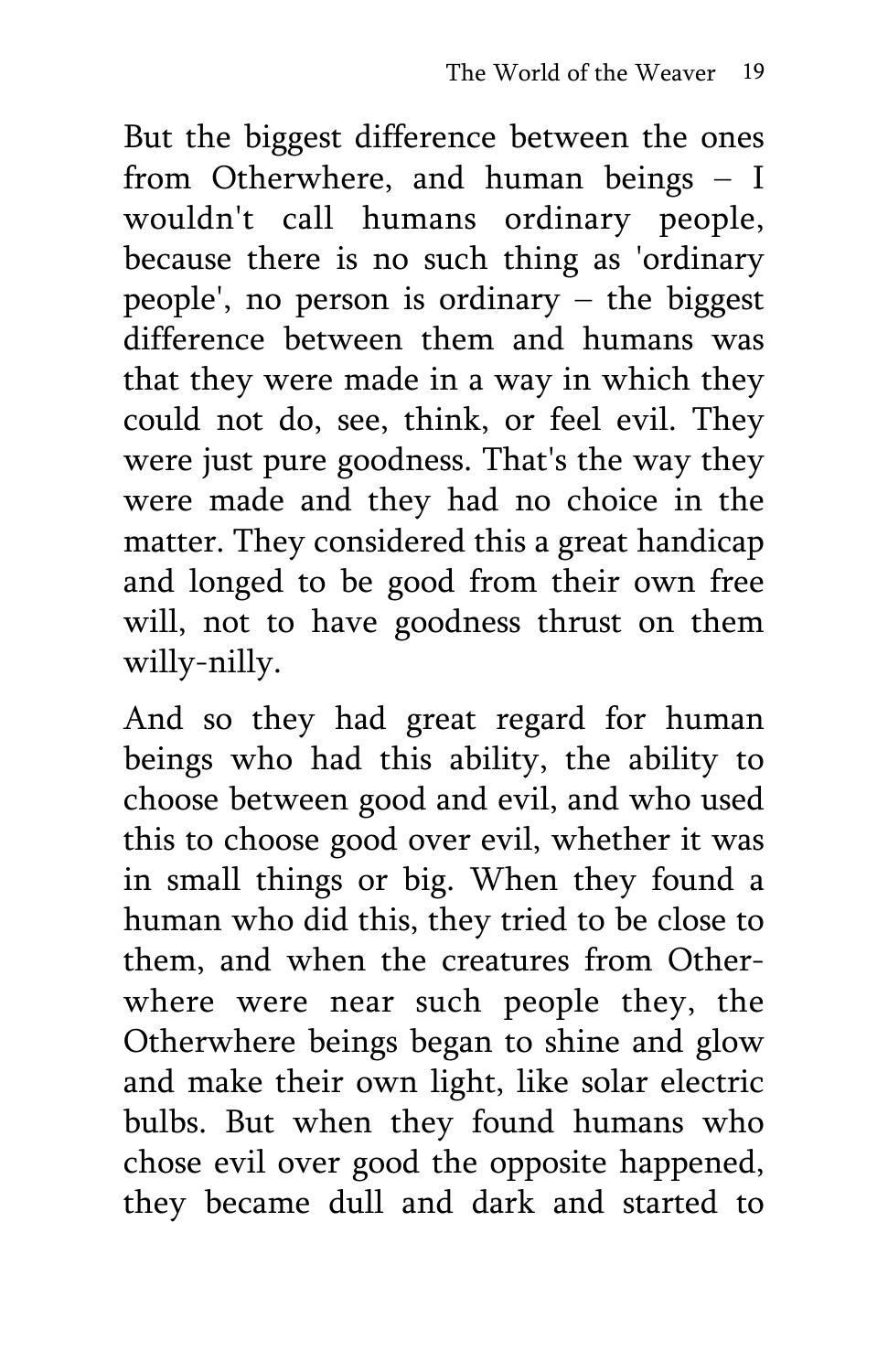But the biggest difference between the ones from Otherwhere, and human beings  $-$  I wouldn't call humans ordinary people, because there is no such thing as 'ordinary people', no person is ordinary  $-$  the biggest difference between them and humans was that they were made in a way in which they could not do, see, think, or feel evil. They were just pure goodness. That's the way they were made and they had no choice in the matter. They considered this a great handicap and longed to be good from their own free will, not to have goodness thrust on them willy-nilly.

And so they had great regard for human beings who had this ability, the ability to choose between good and evil, and who used this to choose good over evil, whether it was in small things or big. When they found a human who did this, they tried to be close to them, and when the creatures from Otherwhere were near such people they, the Otherwhere beings began to shine and glow and make their own light, like solar electric bulbs. But when they found humans who chose evil over good the opposite happened, they became dull and dark and started to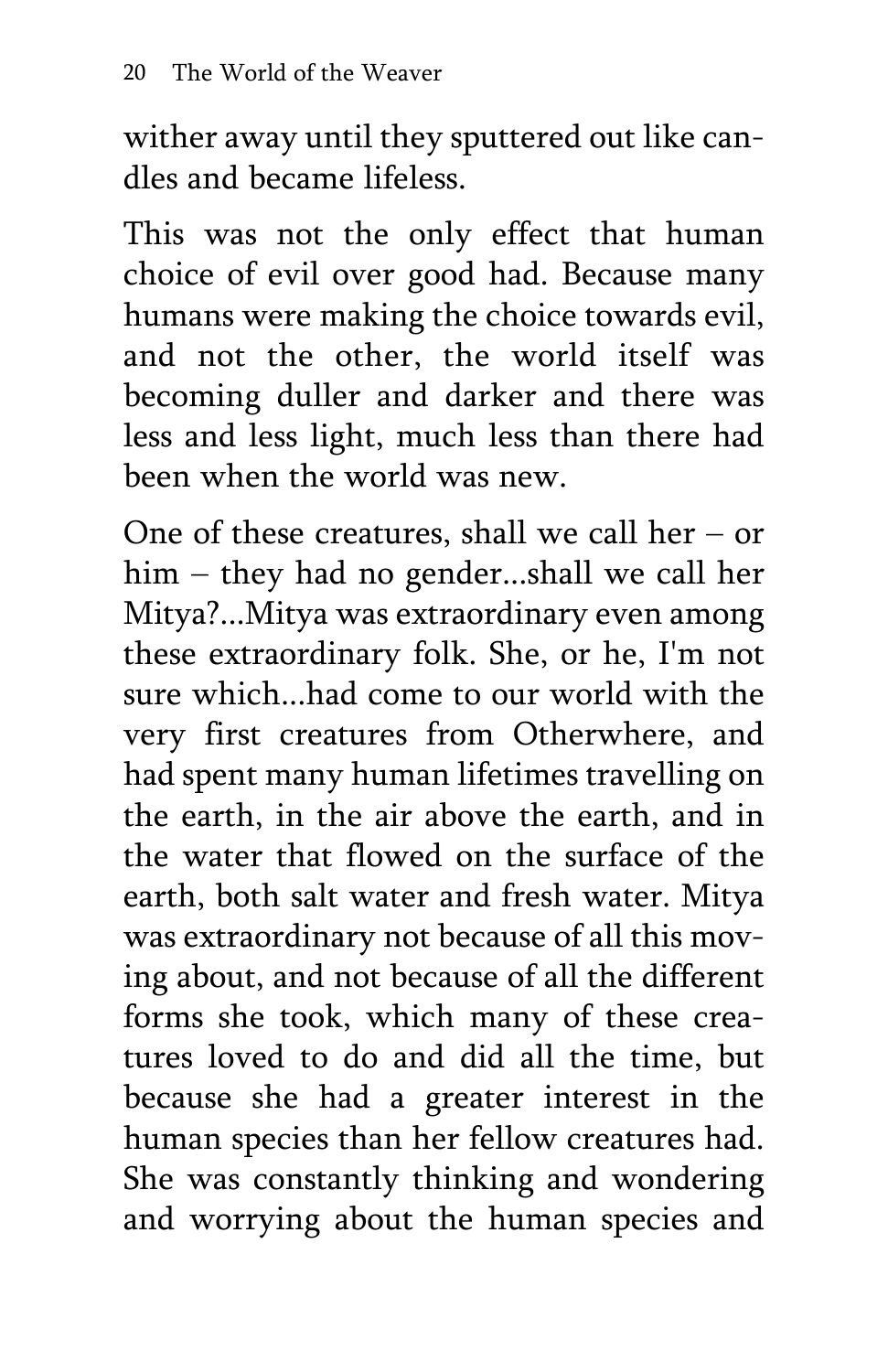wither away until they sputtered out like candles and became lifeless.

This was not the only effect that human choice of evil over good had. Because many humans were making the choice towards evil, and not the other, the world itself was becoming duller and darker and there was less and less light, much less than there had been when the world was new.

One of these creatures, shall we call her  $-$  or  $him - they had no gender...shall we call her$ Mitya?...Mitya was extraordinary even among these extraordinary folk. She, or he, I'm not sure which...had come to our world with the very first creatures from Otherwhere, and had spent many human lifetimes travelling on the earth, in the air above the earth, and in the water that flowed on the surface of the earth, both salt water and fresh water. Mitya was extraordinary not because of all this moving about, and not because of all the different forms she took, which many of these creatures loved to do and did all the time, but because she had a greater interest in the human species than her fellow creatures had. She was constantly thinking and wondering and worrying about the human species and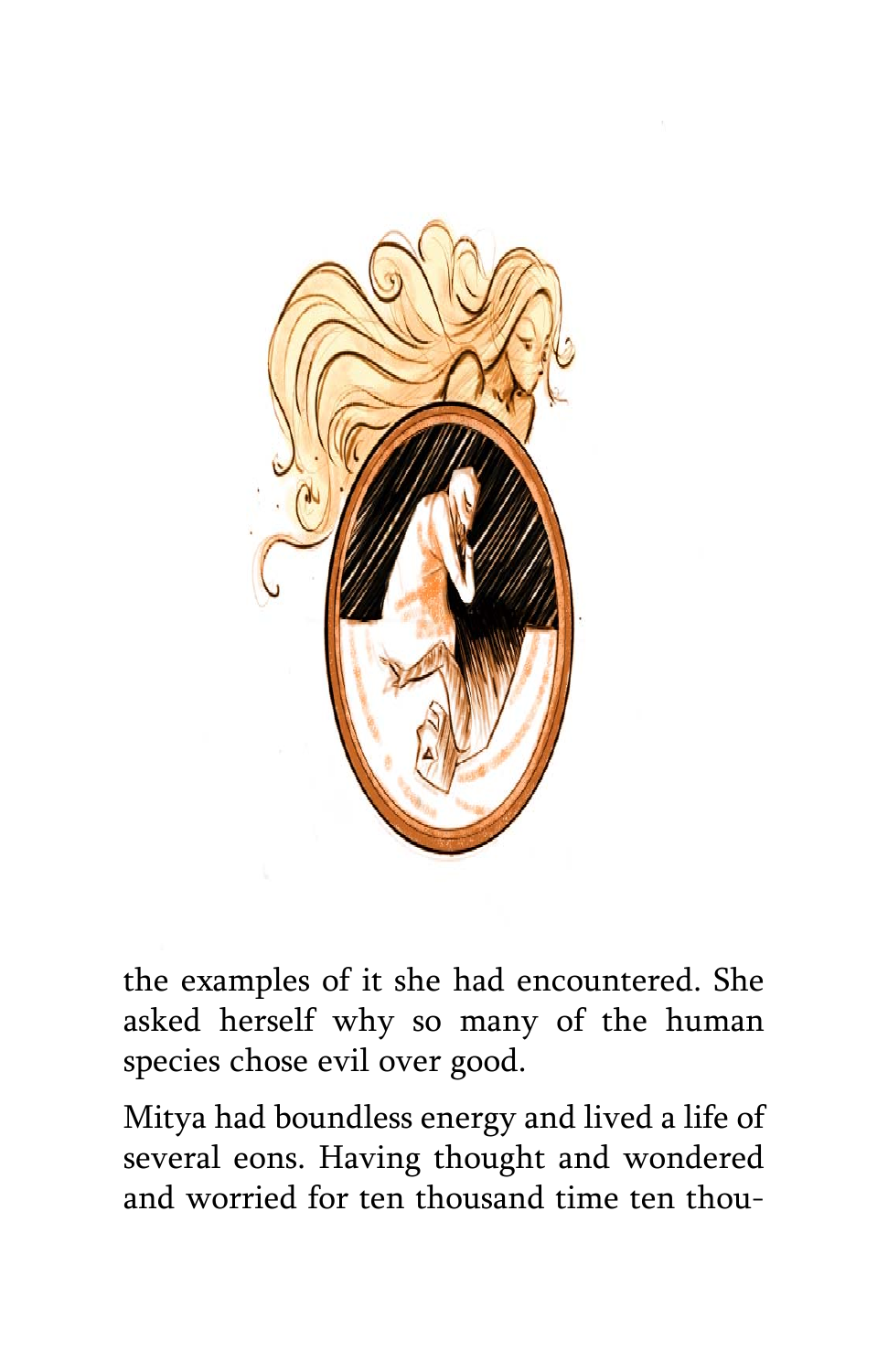

the examples of it she had encountered. She asked herself why so many of the human species chose evil over good.

Mitya had boundless energy and lived a life of several eons. Having thought and wondered and worried for ten thousand time ten thou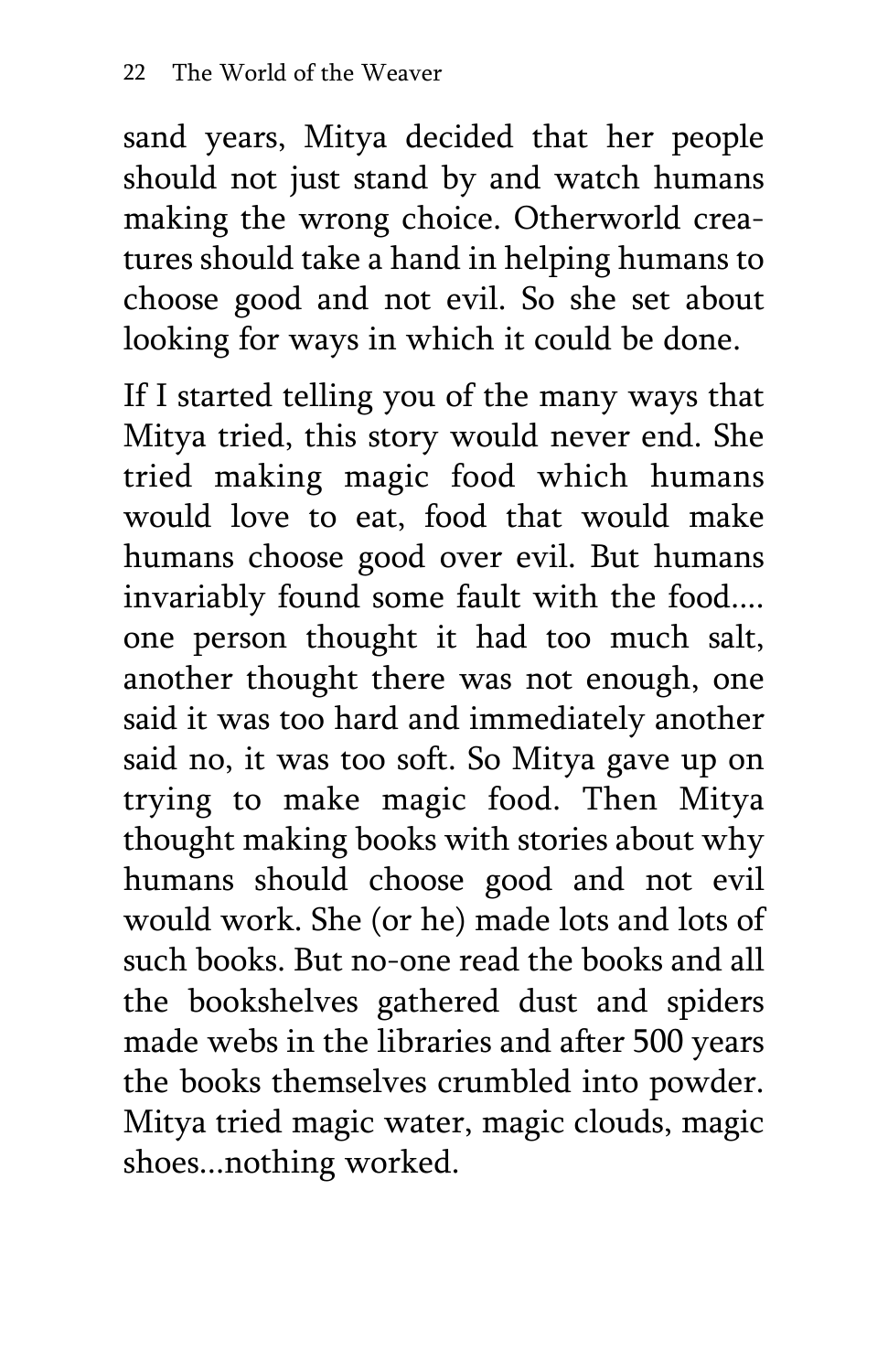sand years, Mitya decided that her people should not just stand by and watch humans making the wrong choice. Otherworld creatures should take a hand in helping humans to choose good and not evil. So she set about looking for ways in which it could be done.

If I started telling you of the many ways that Mitya tried, this story would never end. She tried making magic food which humans would love to eat, food that would make humans choose good over evil. But humans invariably found some fault with the food.... one person thought it had too much salt, another thought there was not enough, one said it was too hard and immediately another said no, it was too soft. So Mitya gave up on trying to make magic food. Then Mitya thought making books with stories about why humans should choose good and not evil would work. She (or he) made lots and lots of such books. But no-one read the books and all the bookshelves gathered dust and spiders made webs in the libraries and after 500 years the books themselves crumbled into powder. Mitya tried magic water, magic clouds, magic shoes...nothing worked.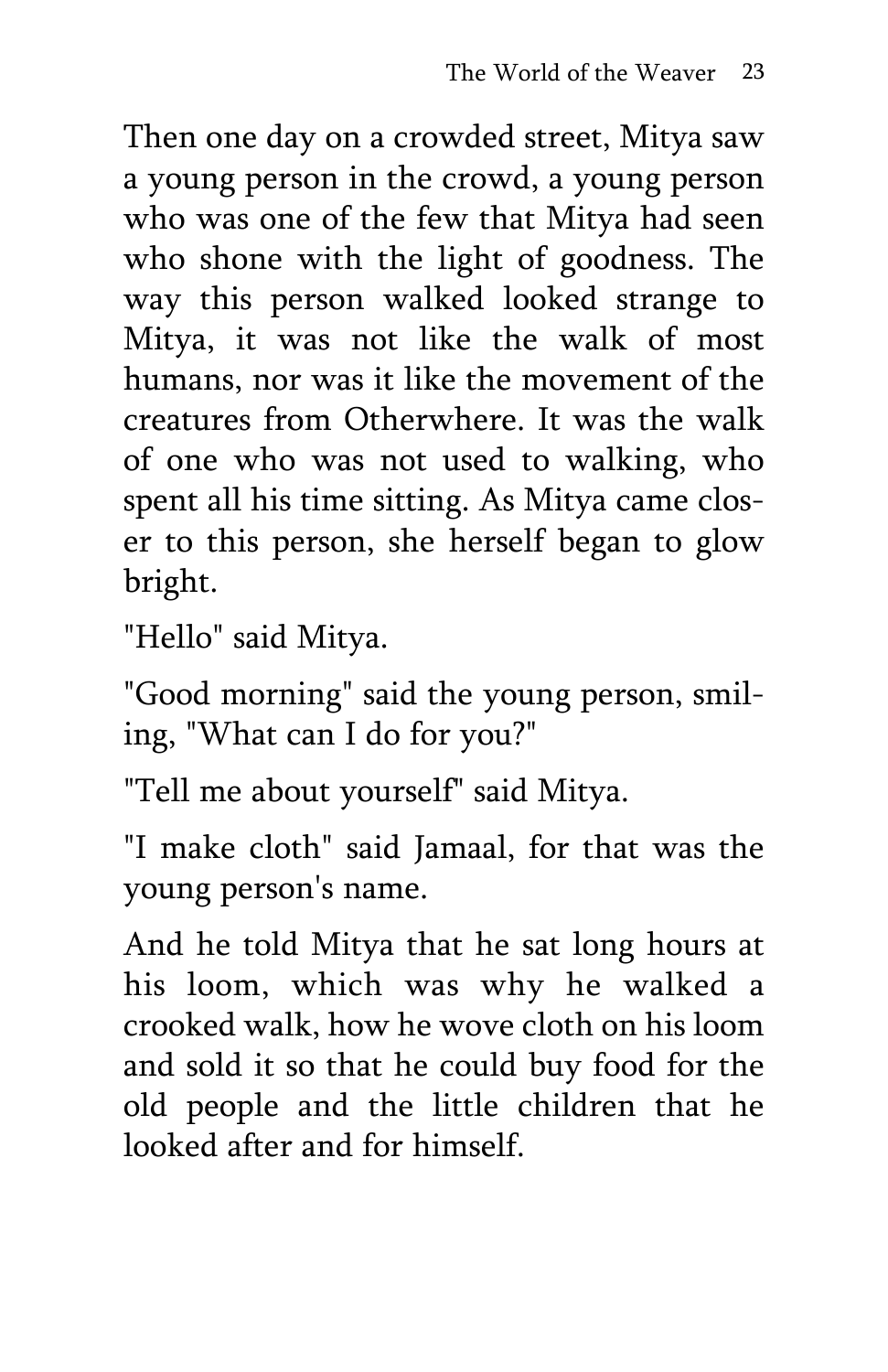Then one day on a crowded street, Mitya saw a young person in the crowd, a young person who was one of the few that Mitya had seen who shone with the light of goodness. The way this person walked looked strange to Mitya, it was not like the walk of most humans, nor was it like the movement of the creatures from Otherwhere. It was the walk of one who was not used to walking, who spent all his time sitting. As Mitya came closer to this person, she herself began to glow bright.

"Hello" said Mitya.

"Good morning" said the young person, smiling, "What can I do for you?"

"Tell me about yourself" said Mitya.

"I make cloth" said Jamaal, for that was the young person's name.

And he told Mitya that he sat long hours at his loom, which was why he walked a crooked walk, how he wove cloth on his loom and sold it so that he could buy food for the old people and the little children that he looked after and for himself.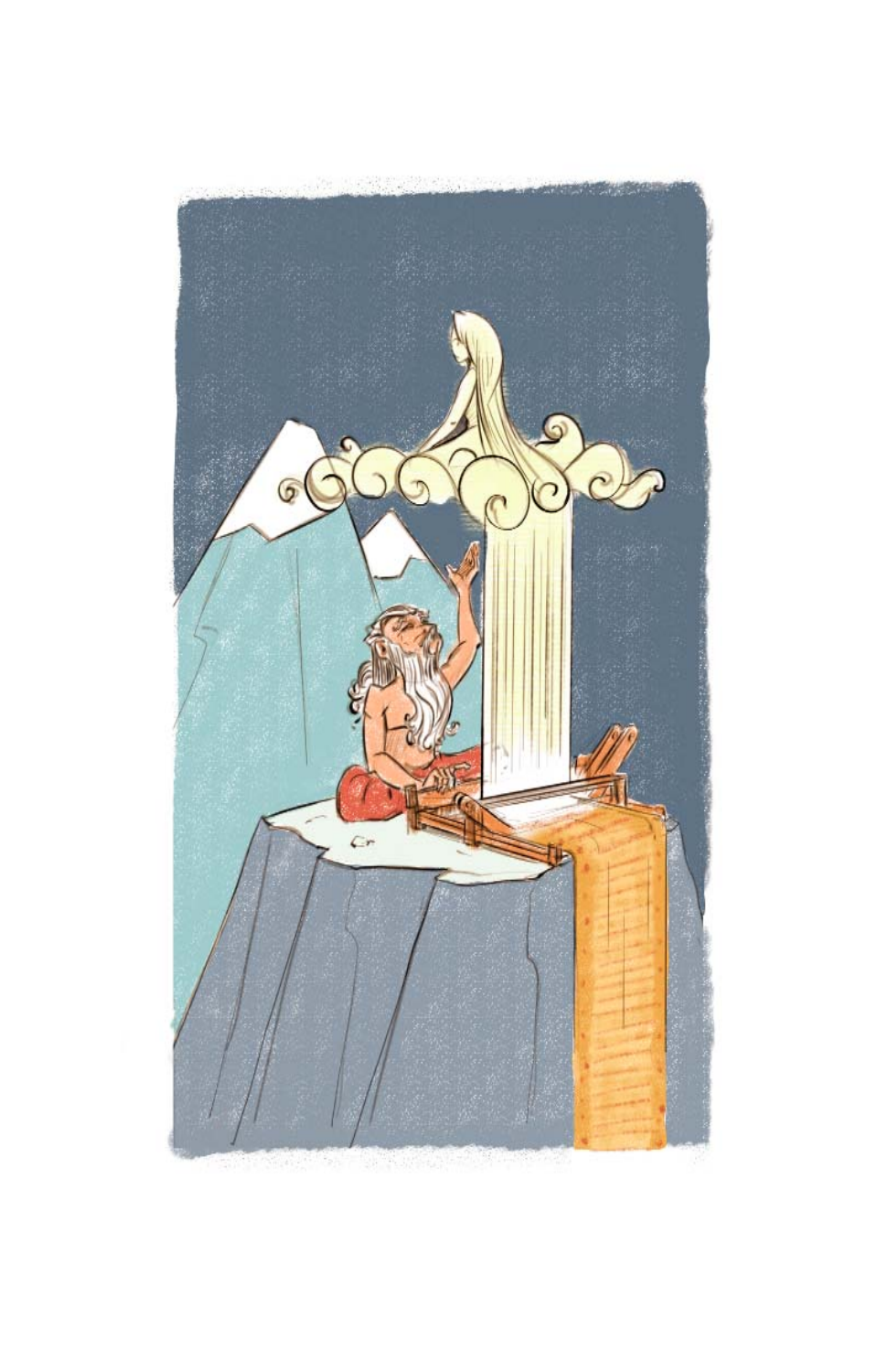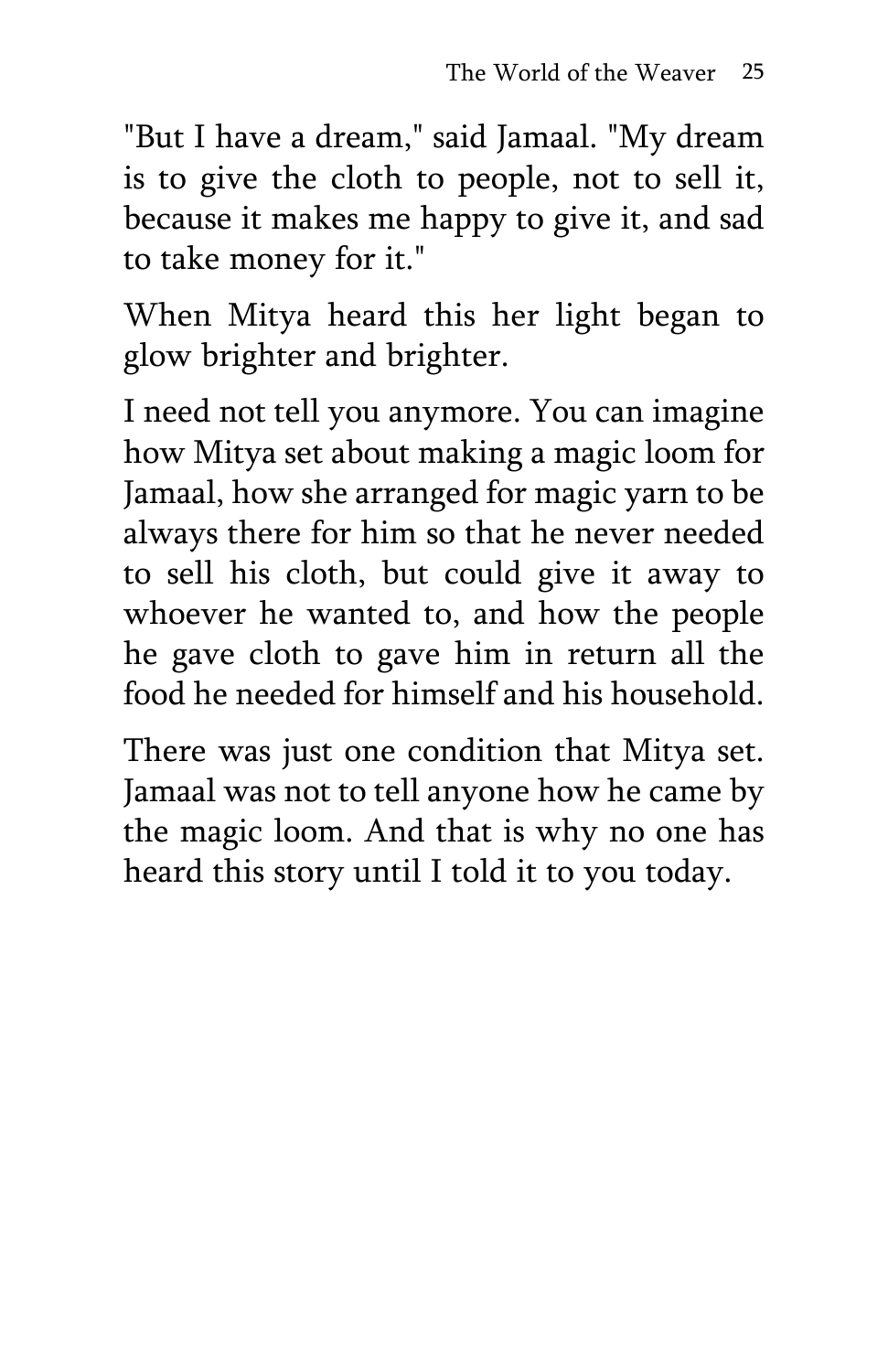"But I have a dream," said Jamaal. "My dream is to give the cloth to people, not to sell it, because it makes me happy to give it, and sad to take money for it."

When Mitya heard this her light began to glow brighter and brighter.

I need not tell you anymore. You can imagine how Mitya set about making a magic loom for Jamaal, how she arranged for magic yarn to be always there for him so that he never needed to sell his cloth, but could give it away to whoever he wanted to, and how the people he gave cloth to gave him in return all the food he needed for himself and his household.

There was just one condition that Mitya set. Jamaal was not to tell anyone how he came by the magic loom. And that is why no one has heard this story until I told it to you today.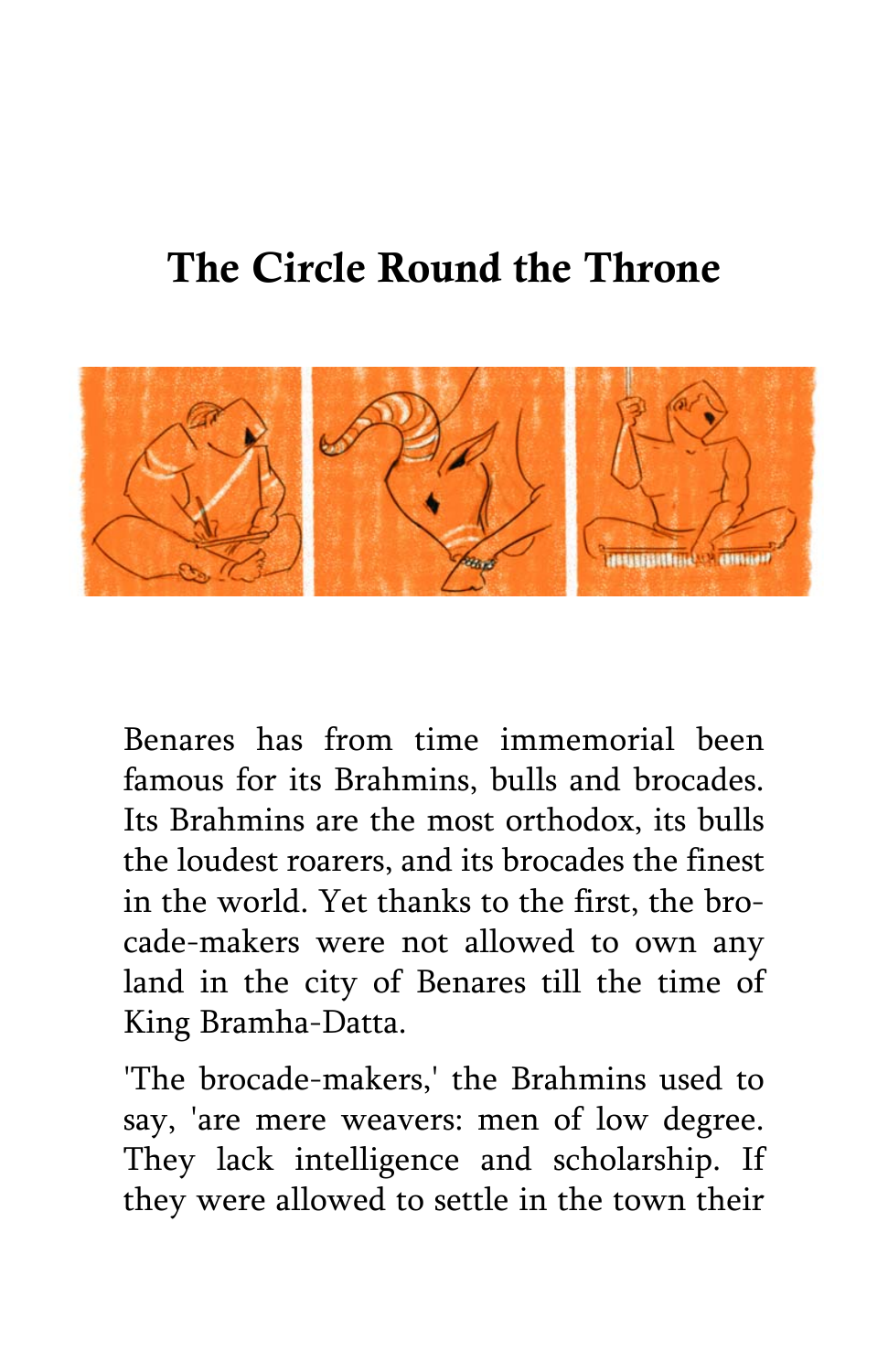## **The Circle Round the Throne**



Benares has from time immemorial been famous for its Brahmins, bulls and brocades. Its Brahmins are the most orthodox, its bulls the loudest roarers, and its brocades the finest in the world. Yet thanks to the first, the brocade-makers were not allowed to own any land in the city of Benares till the time of King Bramha-Datta.

'The brocade-makers,' the Brahmins used to say, 'are mere weavers: men of low degree. They lack intelligence and scholarship. If they were allowed to settle in the town their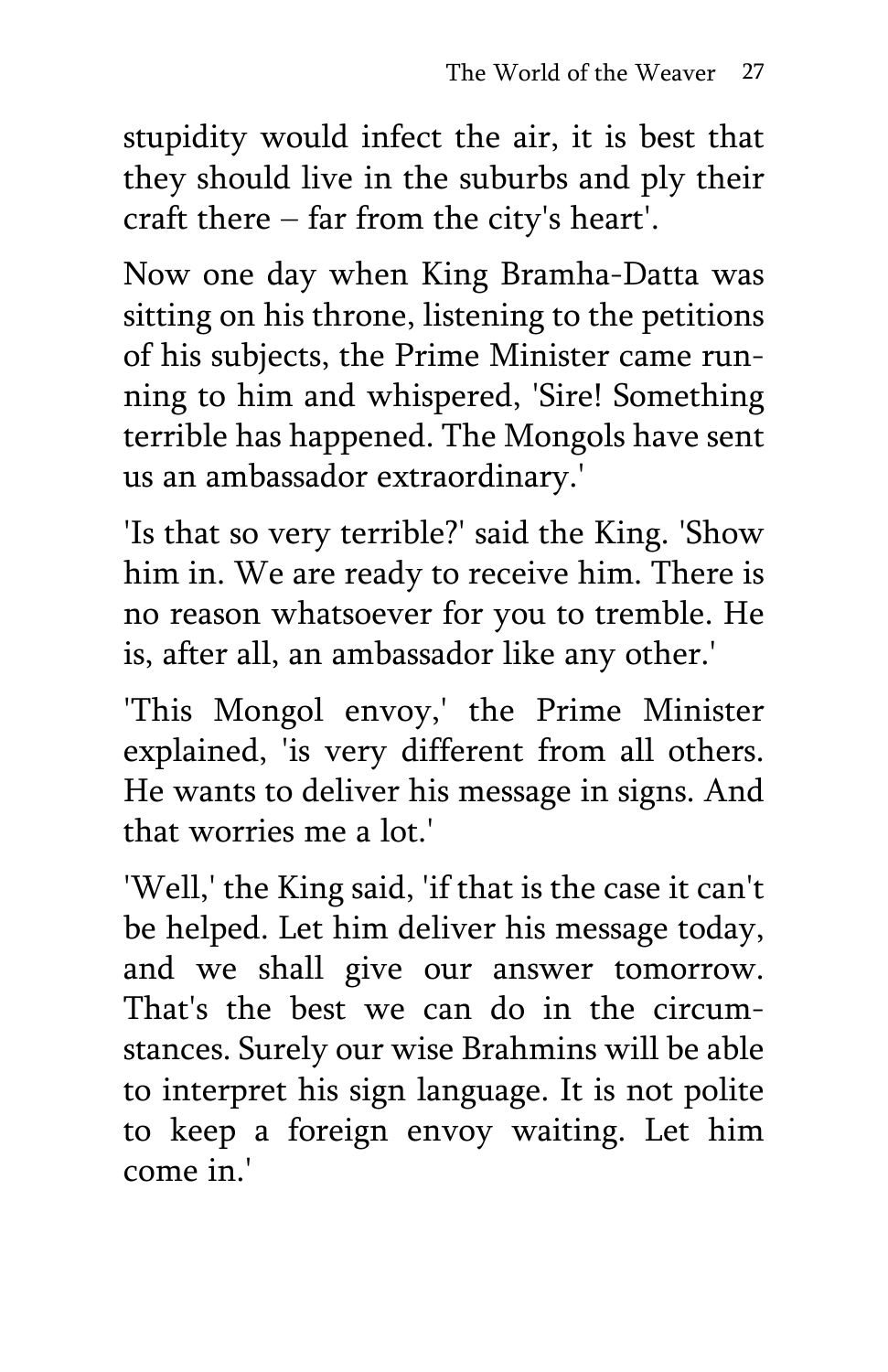stupidity would infect the air, it is best that they should live in the suburbs and ply their craft there  $-$  far from the city's heart'.

Now one day when King Bramha-Datta was sitting on his throne, listening to the petitions of his subjects, the Prime Minister came running to him and whispered, 'Sire! Something terrible has happened. The Mongols have sent us an ambassador extraordinary.'

'Is that so very terrible?' said the King. 'Show him in. We are ready to receive him. There is no reason whatsoever for you to tremble. He is, after all, an ambassador like any other.'

'This Mongol envoy,' the Prime Minister explained, 'is very different from all others. He wants to deliver his message in signs. And that worries me a lot.'

'Well,' the King said, 'if that is the case it can't be helped. Let him deliver his message today, and we shall give our answer tomorrow. That's the best we can do in the circumstances. Surely our wise Brahmins will be able to interpret his sign language. It is not polite to keep a foreign envoy waiting. Let him come in.'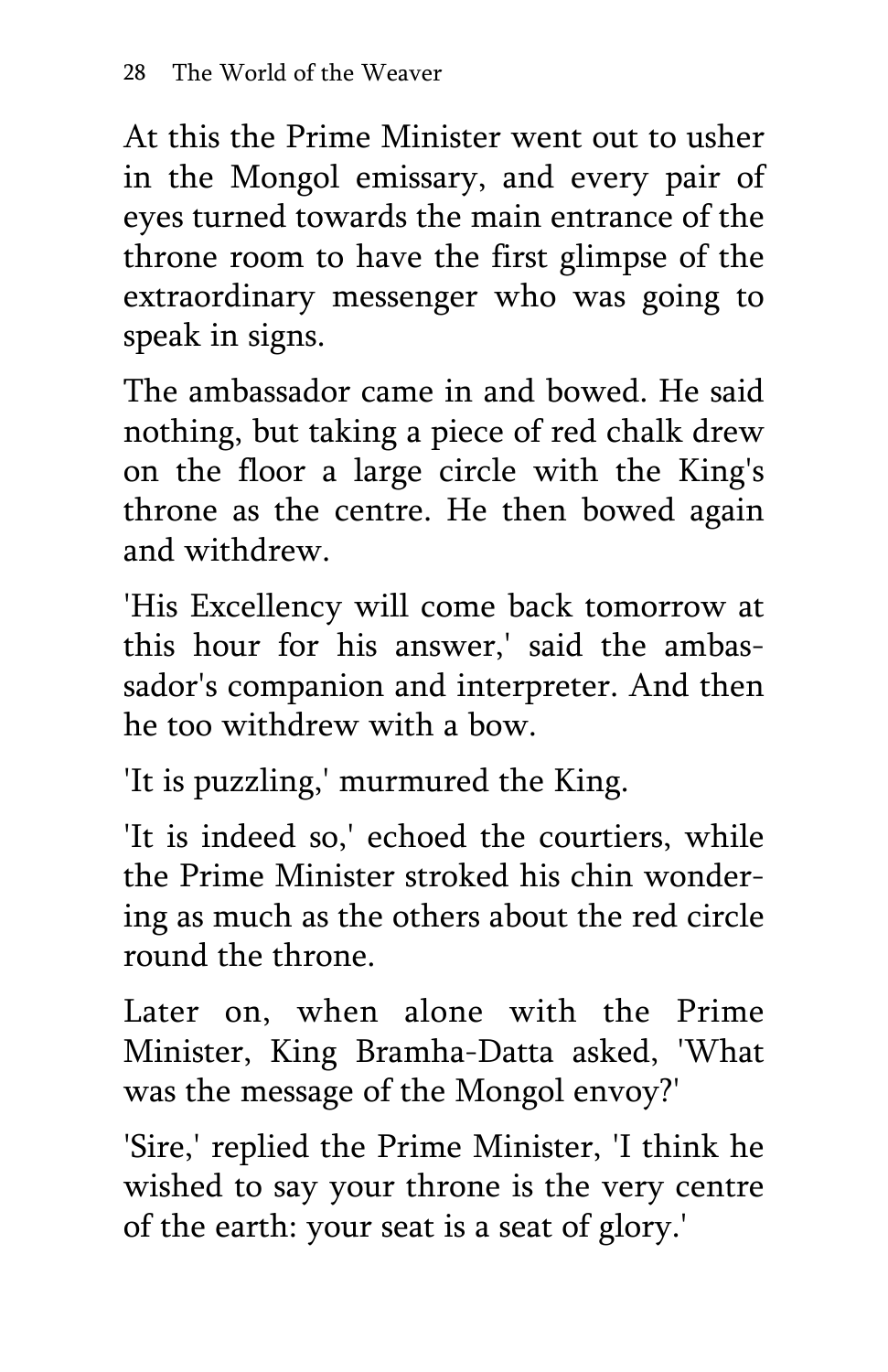At this the Prime Minister went out to usher in the Mongol emissary, and every pair of eyes turned towards the main entrance of the throne room to have the first glimpse of the extraordinary messenger who was going to speak in signs.

The ambassador came in and bowed. He said nothing, but taking a piece of red chalk drew on the floor a large circle with the King's throne as the centre. He then bowed again and withdrew.

'His Excellency will come back tomorrow at this hour for his answer,' said the ambassador's companion and interpreter. And then he too withdrew with a bow.

'It is puzzling,' murmured the King.

'It is indeed so,' echoed the courtiers, while the Prime Minister stroked his chin wondering as much as the others about the red circle round the throne.

Later on, when alone with the Prime Minister, King Bramha-Datta asked, 'What was the message of the Mongol envoy?'

'Sire,' replied the Prime Minister, 'I think he wished to say your throne is the very centre of the earth: your seat is a seat of glory.'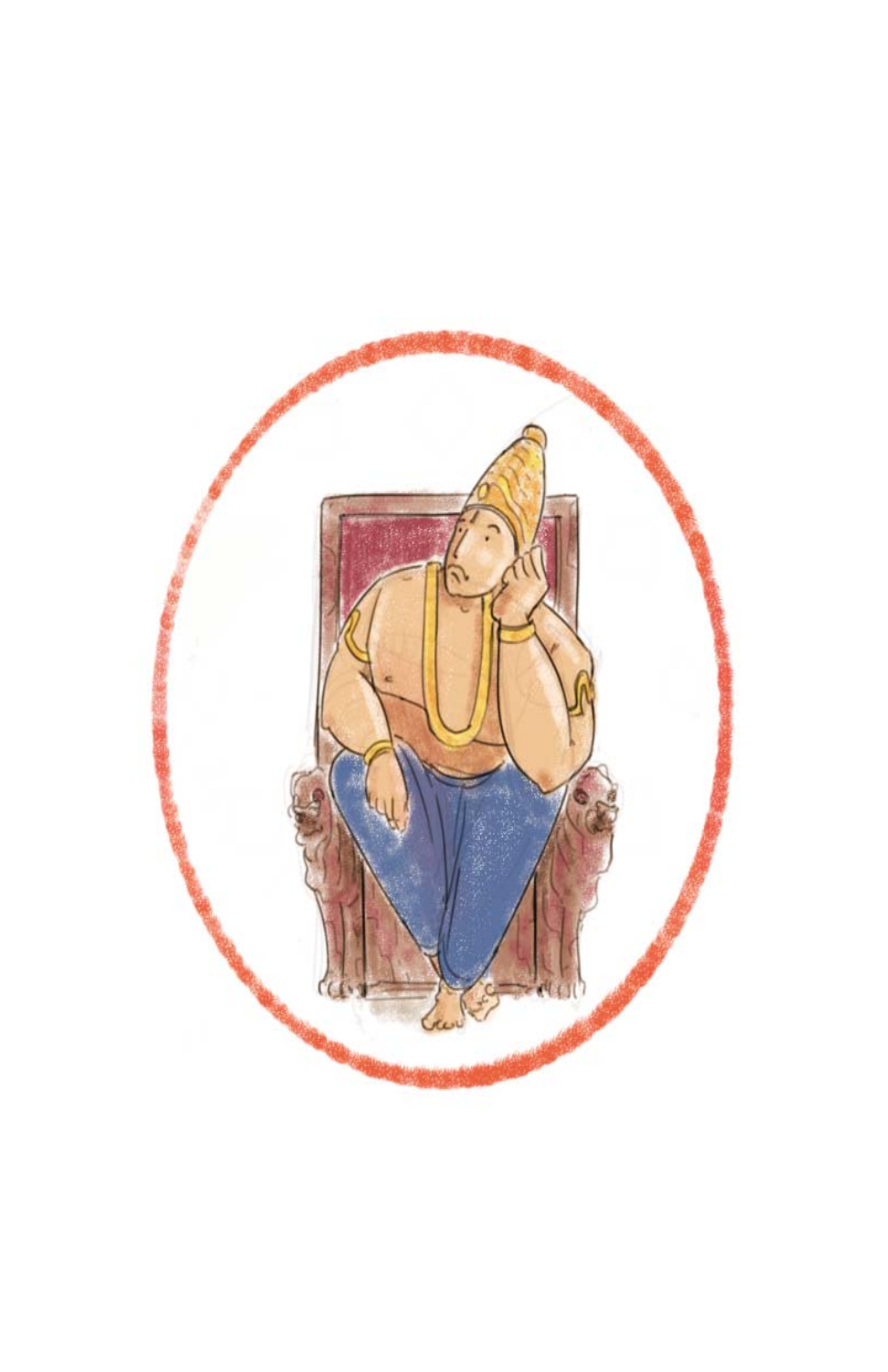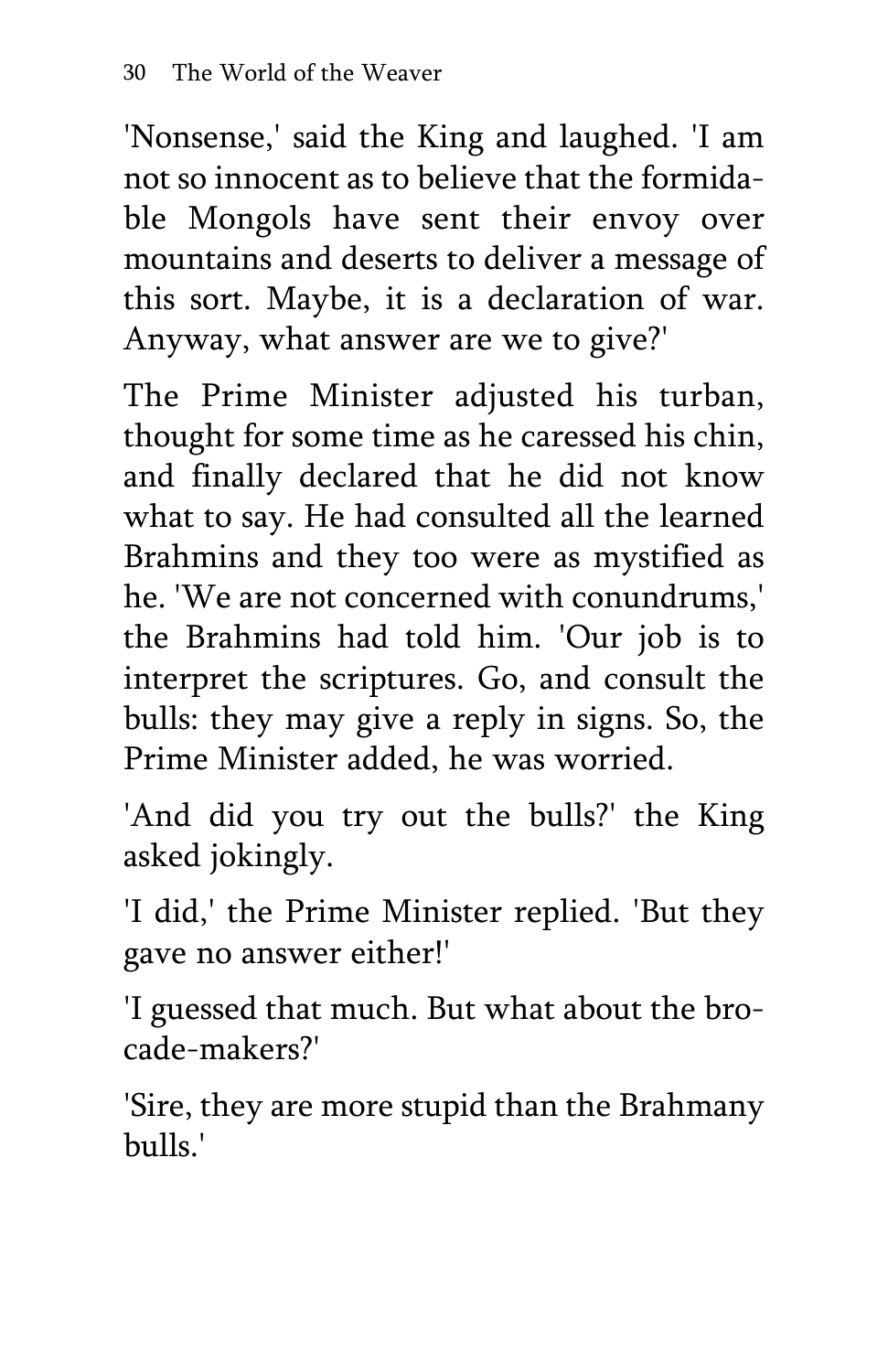'Nonsense,' said the King and laughed. 'I am not so innocent as to believe that the formidable Mongols have sent their envoy over mountains and deserts to deliver a message of this sort. Maybe, it is a declaration of war. Anyway, what answer are we to give?'

The Prime Minister adjusted his turban, thought for some time as he caressed his chin, and finally declared that he did not know what to say. He had consulted all the learned Brahmins and they too were as mystified as he. 'We are not concerned with conundrums,' the Brahmins had told him. 'Our job is to interpret the scriptures. Go, and consult the bulls: they may give a reply in signs. So, the Prime Minister added, he was worried.

'And did you try out the bulls?' the King asked jokingly.

'I did,' the Prime Minister replied. 'But they gave no answer either!'

'I guessed that much. But what about the brocade-makers?'

'Sire, they are more stupid than the Brahmany bulls.'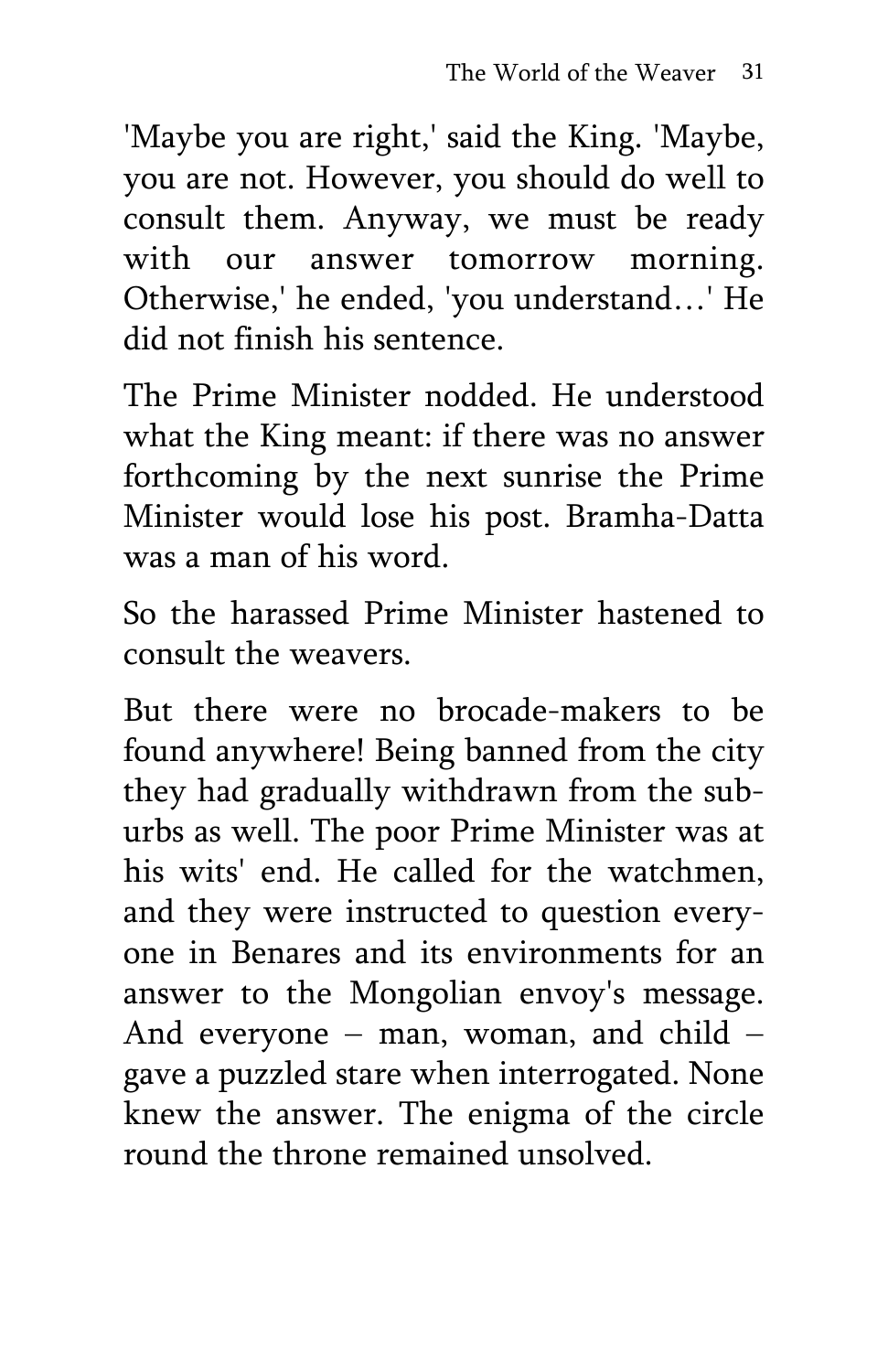'Maybe you are right,' said the King. 'Maybe, you are not. However, you should do well to consult them. Anyway, we must be ready with our answer tomorrow morning. Otherwise,' he ended, 'you understand…' He did not finish his sentence.

The Prime Minister nodded. He understood what the King meant: if there was no answer forthcoming by the next sunrise the Prime Minister would lose his post. Bramha-Datta was a man of his word.

So the harassed Prime Minister hastened to consult the weavers.

But there were no brocade-makers to be found anywhere! Being banned from the city they had gradually withdrawn from the suburbs as well. The poor Prime Minister was at his wits' end. He called for the watchmen, and they were instructed to question everyone in Benares and its environments for an answer to the Mongolian envoy's message. And everyone  $-$  man, woman, and child  $$ gave a puzzled stare when interrogated. None knew the answer. The enigma of the circle round the throne remained unsolved.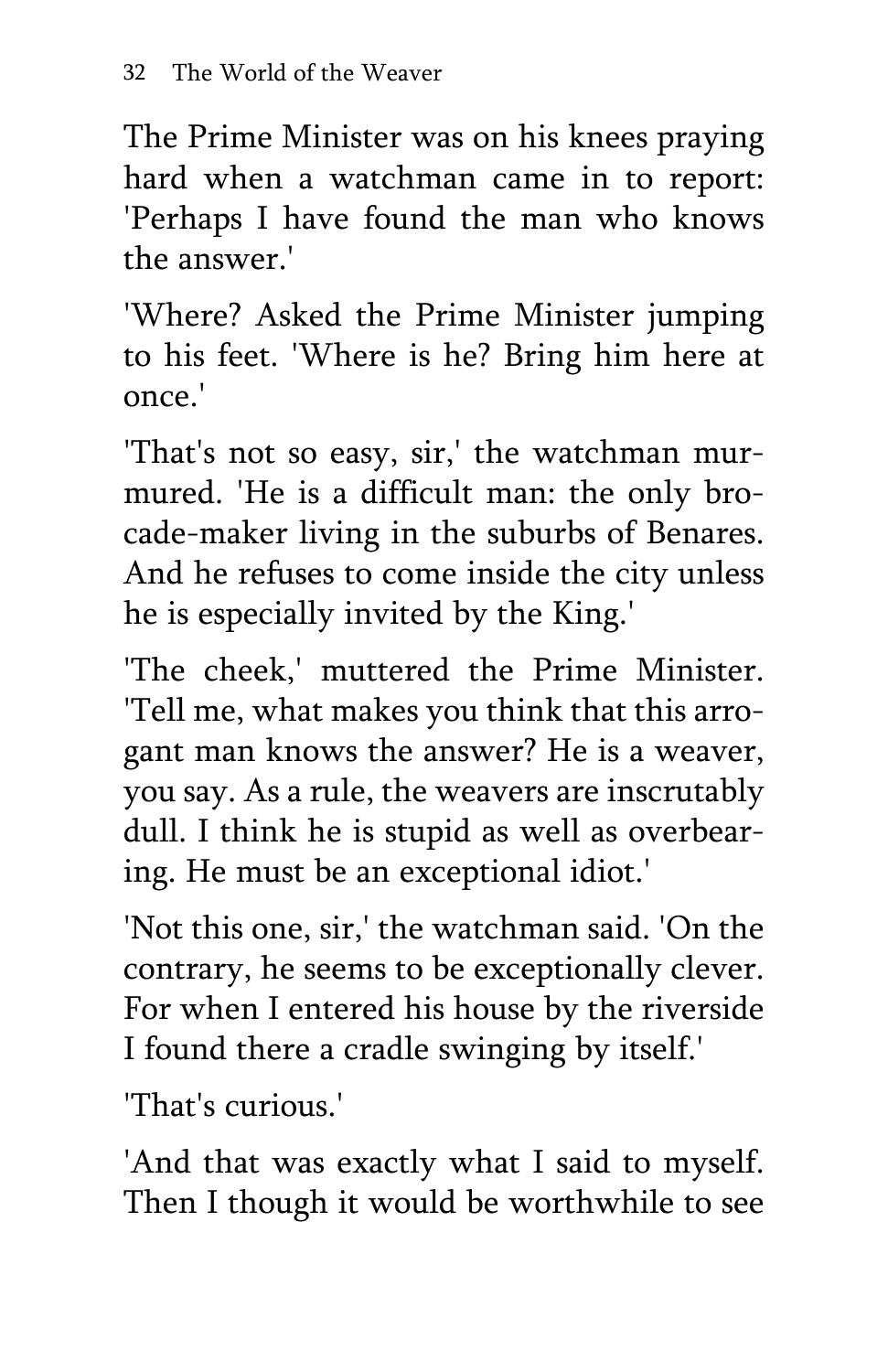The Prime Minister was on his knees praying hard when a watchman came in to report: 'Perhaps I have found the man who knows the answer.'

'Where? Asked the Prime Minister jumping to his feet. 'Where is he? Bring him here at once.'

'That's not so easy, sir,' the watchman murmured. 'He is a difficult man: the only brocade-maker living in the suburbs of Benares. And he refuses to come inside the city unless he is especially invited by the King.'

'The cheek,' muttered the Prime Minister. 'Tell me, what makes you think that this arrogant man knows the answer? He is a weaver, you say. As a rule, the weavers are inscrutably dull. I think he is stupid as well as overbearing. He must be an exceptional idiot.'

'Not this one, sir,' the watchman said. 'On the contrary, he seems to be exceptionally clever. For when I entered his house by the riverside I found there a cradle swinging by itself.'

'That's curious.'

'And that was exactly what I said to myself. Then I though it would be worthwhile to see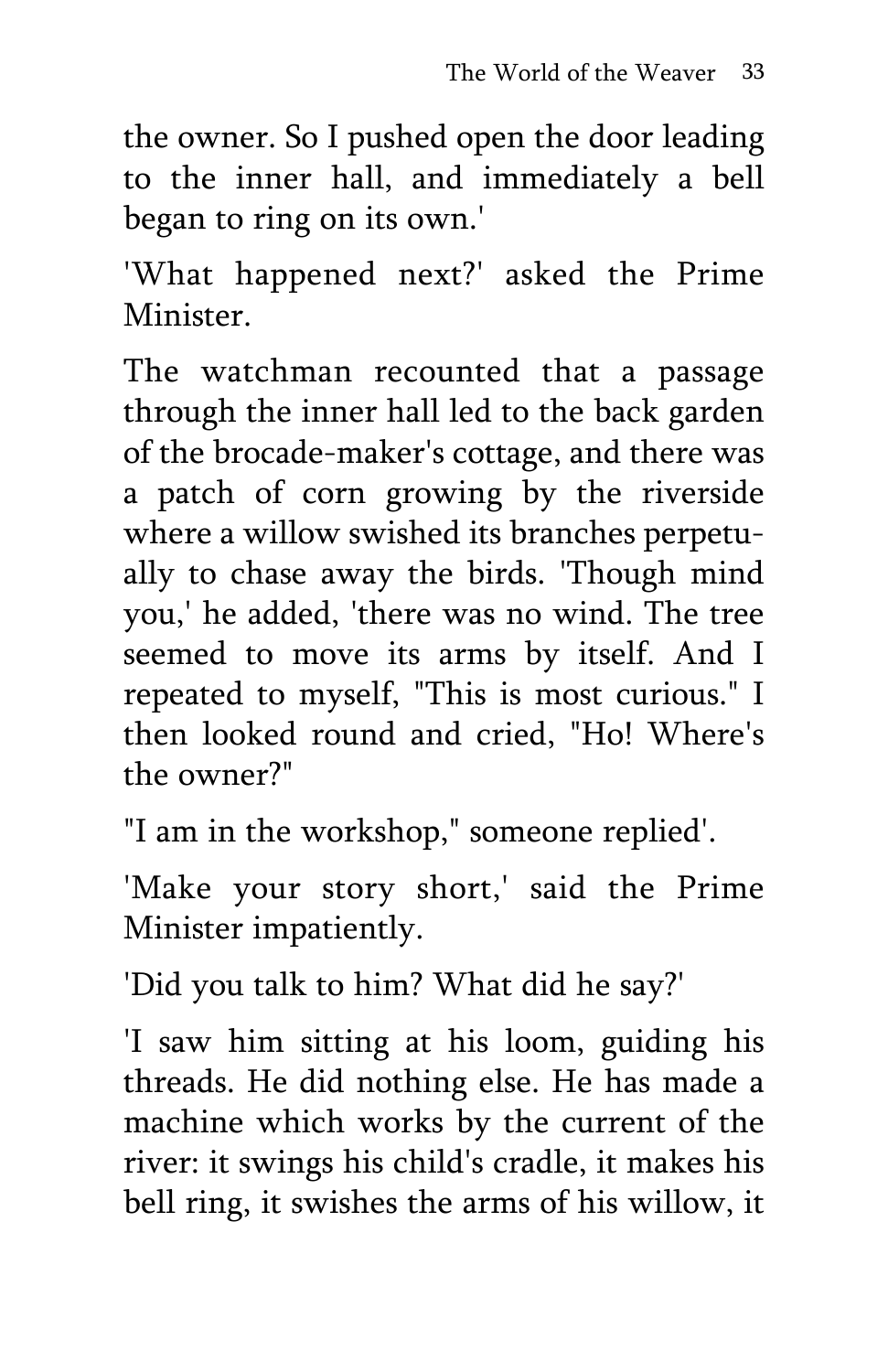the owner. So I pushed open the door leading to the inner hall, and immediately a bell began to ring on its own.'

'What happened next?' asked the Prime Minister.

The watchman recounted that a passage through the inner hall led to the back garden of the brocade-maker's cottage, and there was a patch of corn growing by the riverside where a willow swished its branches perpetually to chase away the birds. 'Though mind you,' he added, 'there was no wind. The tree seemed to move its arms by itself. And I repeated to myself, "This is most curious." I then looked round and cried, "Ho! Where's the owner?"

"I am in the workshop," someone replied'.

'Make your story short,' said the Prime Minister impatiently.

'Did you talk to him? What did he say?'

'I saw him sitting at his loom, guiding his threads. He did nothing else. He has made a machine which works by the current of the river: it swings his child's cradle, it makes his bell ring, it swishes the arms of his willow, it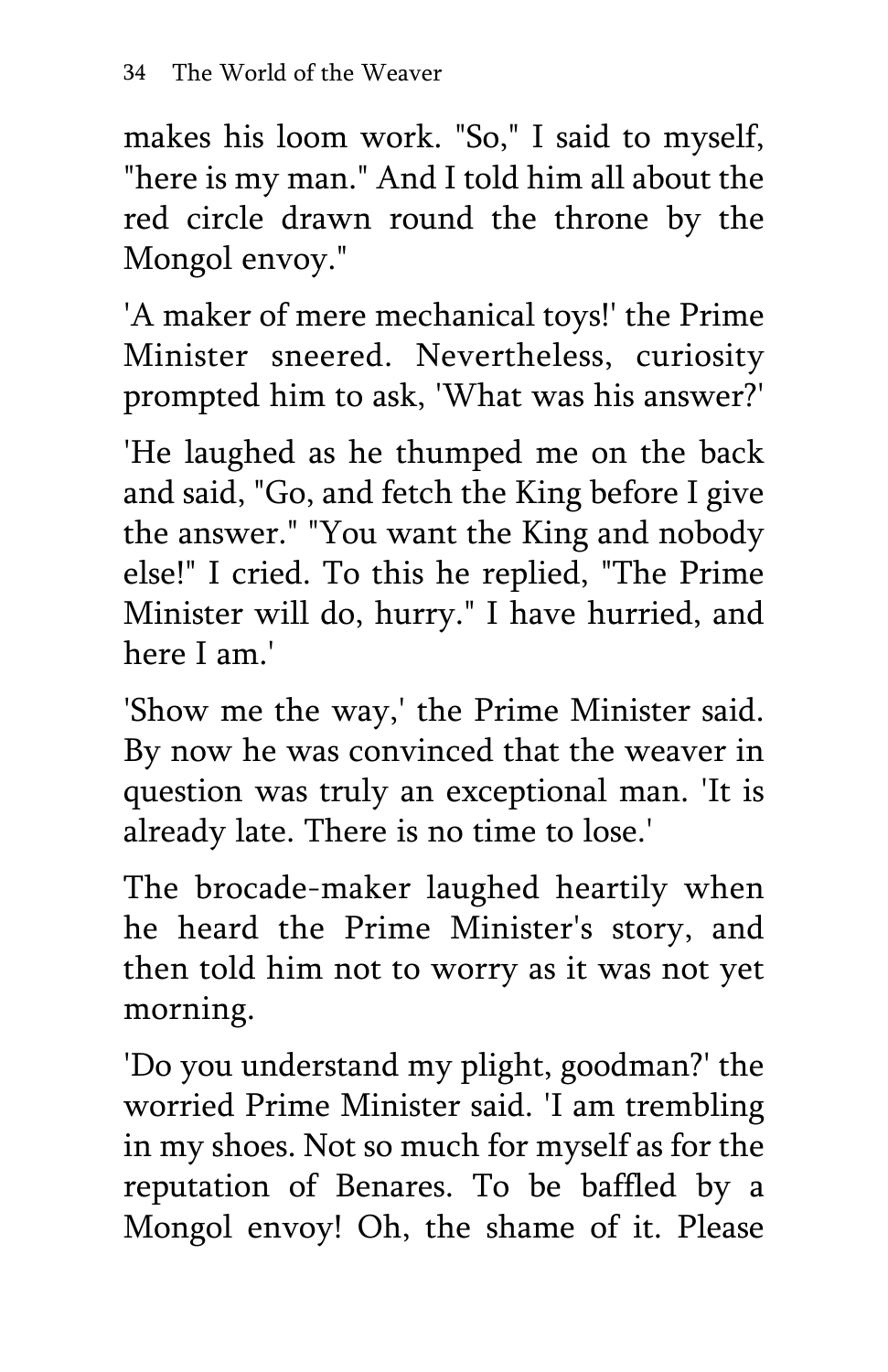makes his loom work. "So," I said to myself, "here is my man." And I told him all about the red circle drawn round the throne by the Mongol envoy."

'A maker of mere mechanical toys!' the Prime Minister sneered. Nevertheless, curiosity prompted him to ask, 'What was his answer?'

'He laughed as he thumped me on the back and said, "Go, and fetch the King before I give the answer." "You want the King and nobody else!" I cried. To this he replied, "The Prime Minister will do, hurry." I have hurried, and here I am.'

'Show me the way,' the Prime Minister said. By now he was convinced that the weaver in question was truly an exceptional man. 'It is already late. There is no time to lose.'

The brocade-maker laughed heartily when he heard the Prime Minister's story, and then told him not to worry as it was not yet morning.

'Do you understand my plight, goodman?' the worried Prime Minister said. 'I am trembling in my shoes. Not so much for myself as for the reputation of Benares. To be baffled by a Mongol envoy! Oh, the shame of it. Please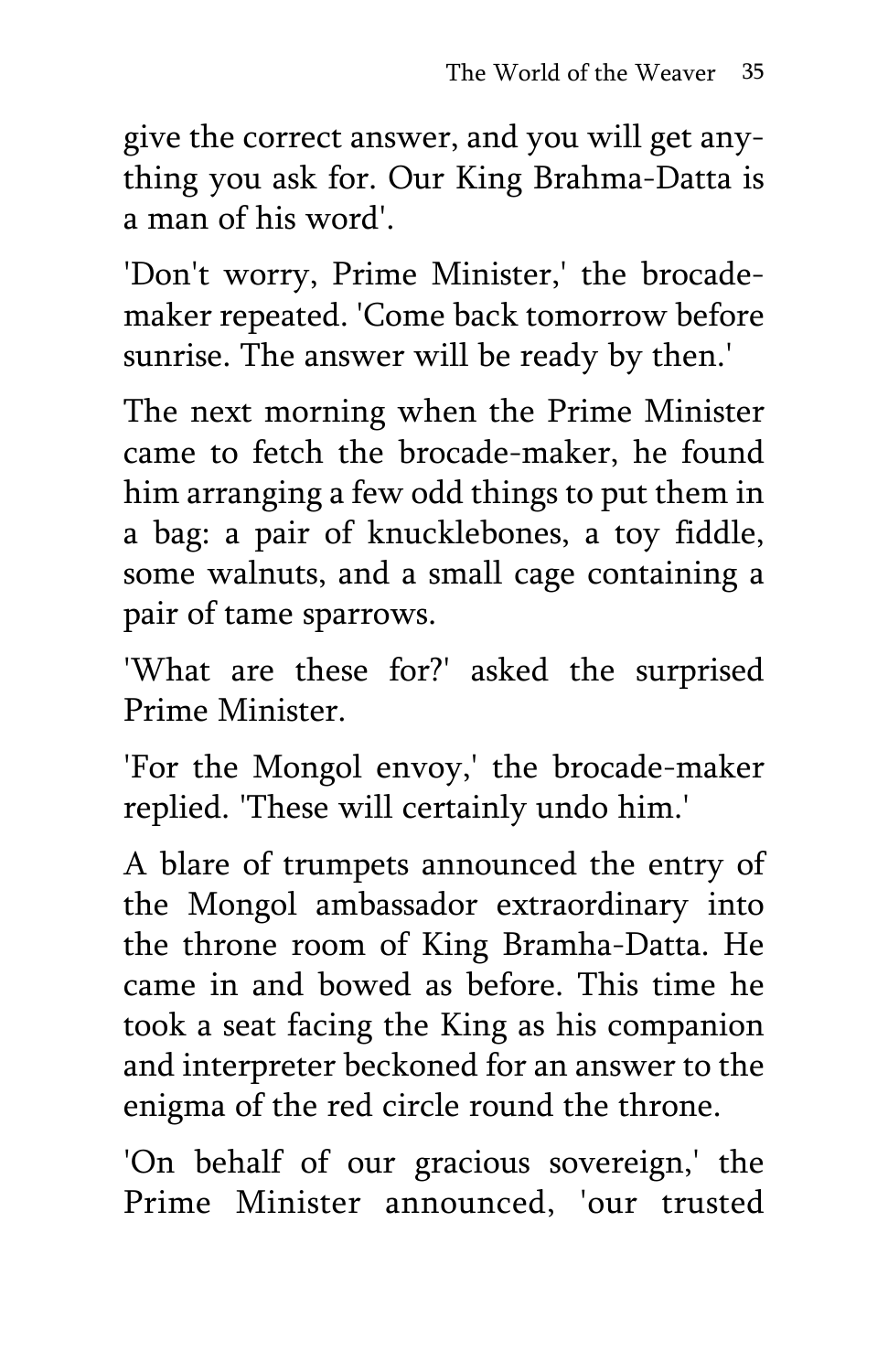give the correct answer, and you will get anything you ask for. Our King Brahma-Datta is a man of his word'.

'Don't worry, Prime Minister,' the brocademaker repeated. 'Come back tomorrow before sunrise. The answer will be ready by then.'

The next morning when the Prime Minister came to fetch the brocade-maker, he found him arranging a few odd things to put them in a bag: a pair of knucklebones, a toy fiddle, some walnuts, and a small cage containing a pair of tame sparrows.

'What are these for?' asked the surprised Prime Minister.

'For the Mongol envoy,' the brocade-maker replied. 'These will certainly undo him.'

A blare of trumpets announced the entry of the Mongol ambassador extraordinary into the throne room of King Bramha-Datta. He came in and bowed as before. This time he took a seat facing the King as his companion and interpreter beckoned for an answer to the enigma of the red circle round the throne.

'On behalf of our gracious sovereign,' the Prime Minister announced, 'our trusted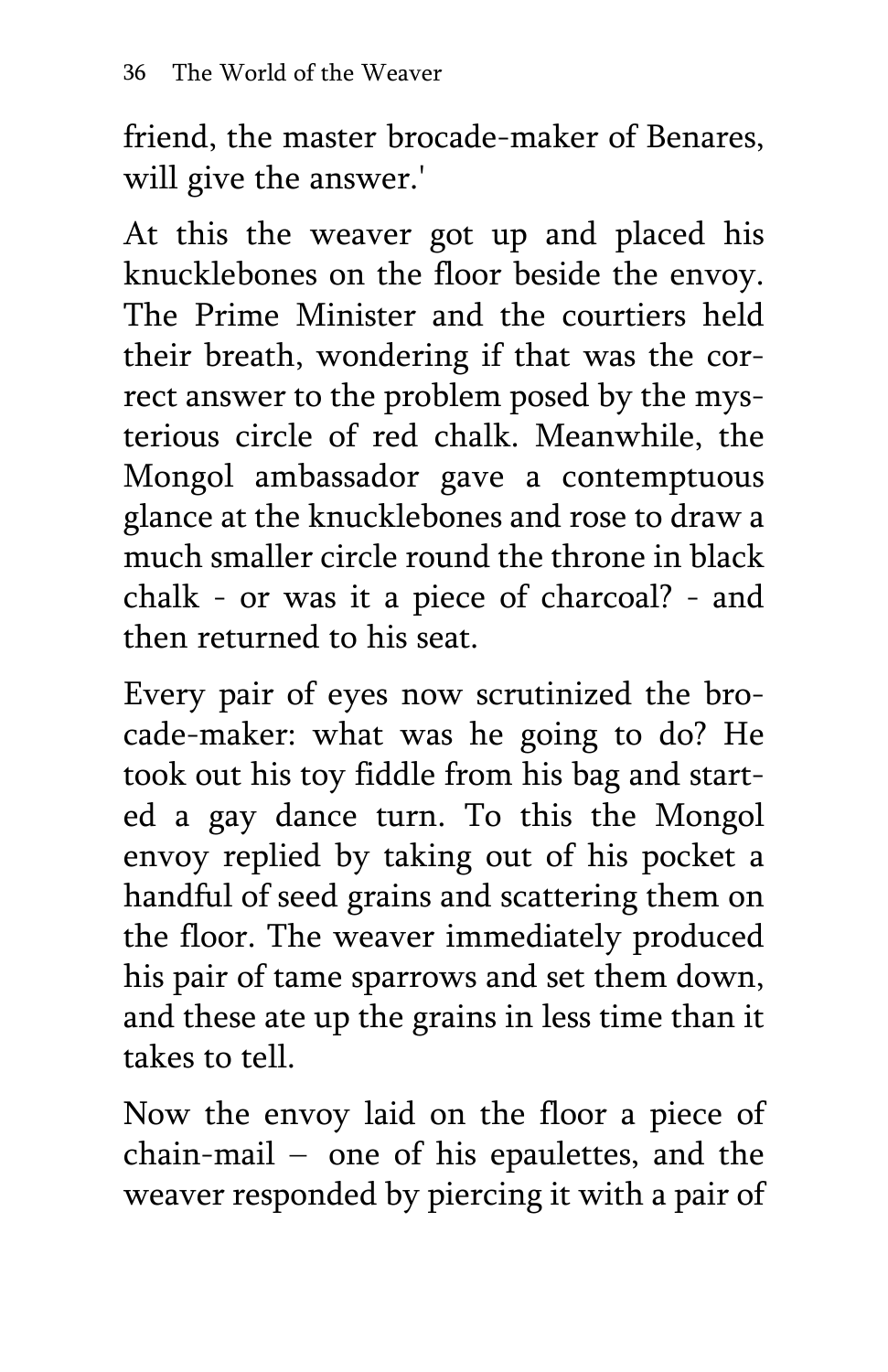friend, the master brocade-maker of Benares, will give the answer.'

At this the weaver got up and placed his knucklebones on the floor beside the envoy. The Prime Minister and the courtiers held their breath, wondering if that was the correct answer to the problem posed by the mysterious circle of red chalk. Meanwhile, the Mongol ambassador gave a contemptuous glance at the knucklebones and rose to draw a much smaller circle round the throne in black chalk - or was it a piece of charcoal? - and then returned to his seat.

Every pair of eyes now scrutinized the brocade-maker: what was he going to do? He took out his toy fiddle from his bag and started a gay dance turn. To this the Mongol envoy replied by taking out of his pocket a handful of seed grains and scattering them on the floor. The weaver immediately produced his pair of tame sparrows and set them down, and these ate up the grains in less time than it takes to tell.

Now the envoy laid on the floor a piece of  $chain-mail - one of his epaulettes, and the$ weaver responded by piercing it with a pair of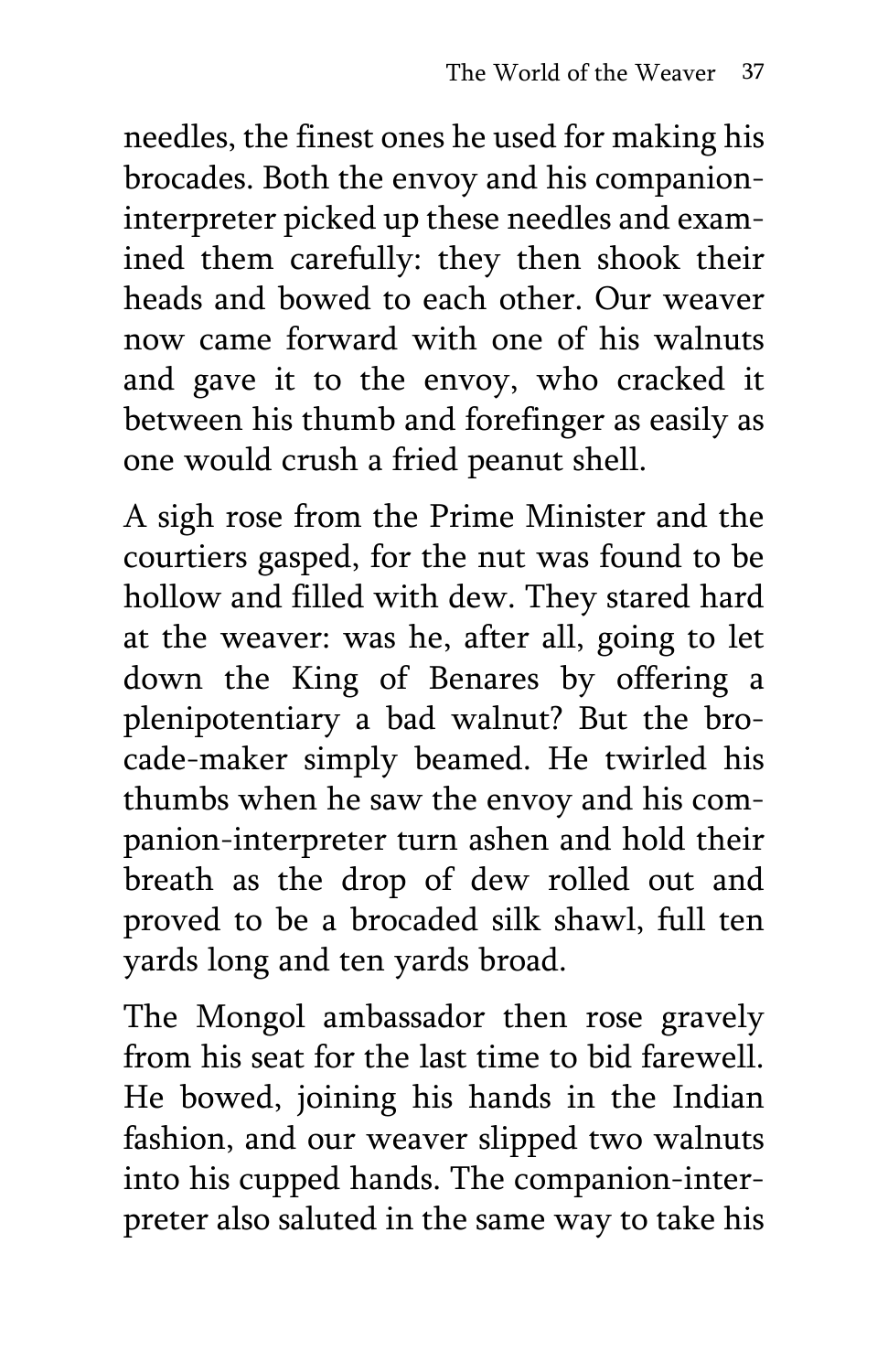needles, the finest ones he used for making his brocades. Both the envoy and his companioninterpreter picked up these needles and examined them carefully: they then shook their heads and bowed to each other. Our weaver now came forward with one of his walnuts and gave it to the envoy, who cracked it between his thumb and forefinger as easily as one would crush a fried peanut shell.

A sigh rose from the Prime Minister and the courtiers gasped, for the nut was found to be hollow and filled with dew. They stared hard at the weaver: was he, after all, going to let down the King of Benares by offering a plenipotentiary a bad walnut? But the brocade-maker simply beamed. He twirled his thumbs when he saw the envoy and his companion-interpreter turn ashen and hold their breath as the drop of dew rolled out and proved to be a brocaded silk shawl, full ten yards long and ten yards broad.

The Mongol ambassador then rose gravely from his seat for the last time to bid farewell. He bowed, joining his hands in the Indian fashion, and our weaver slipped two walnuts into his cupped hands. The companion-interpreter also saluted in the same way to take his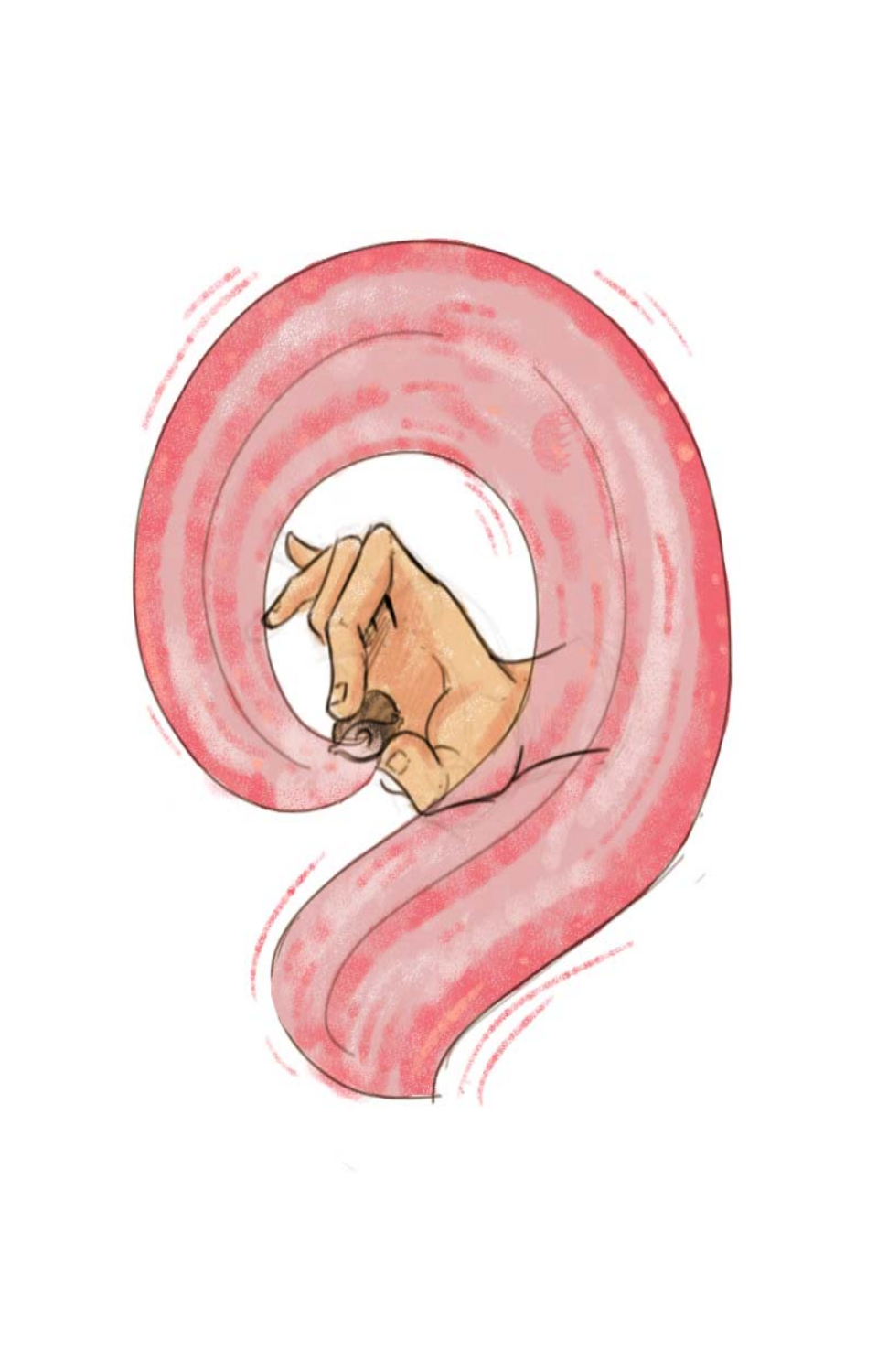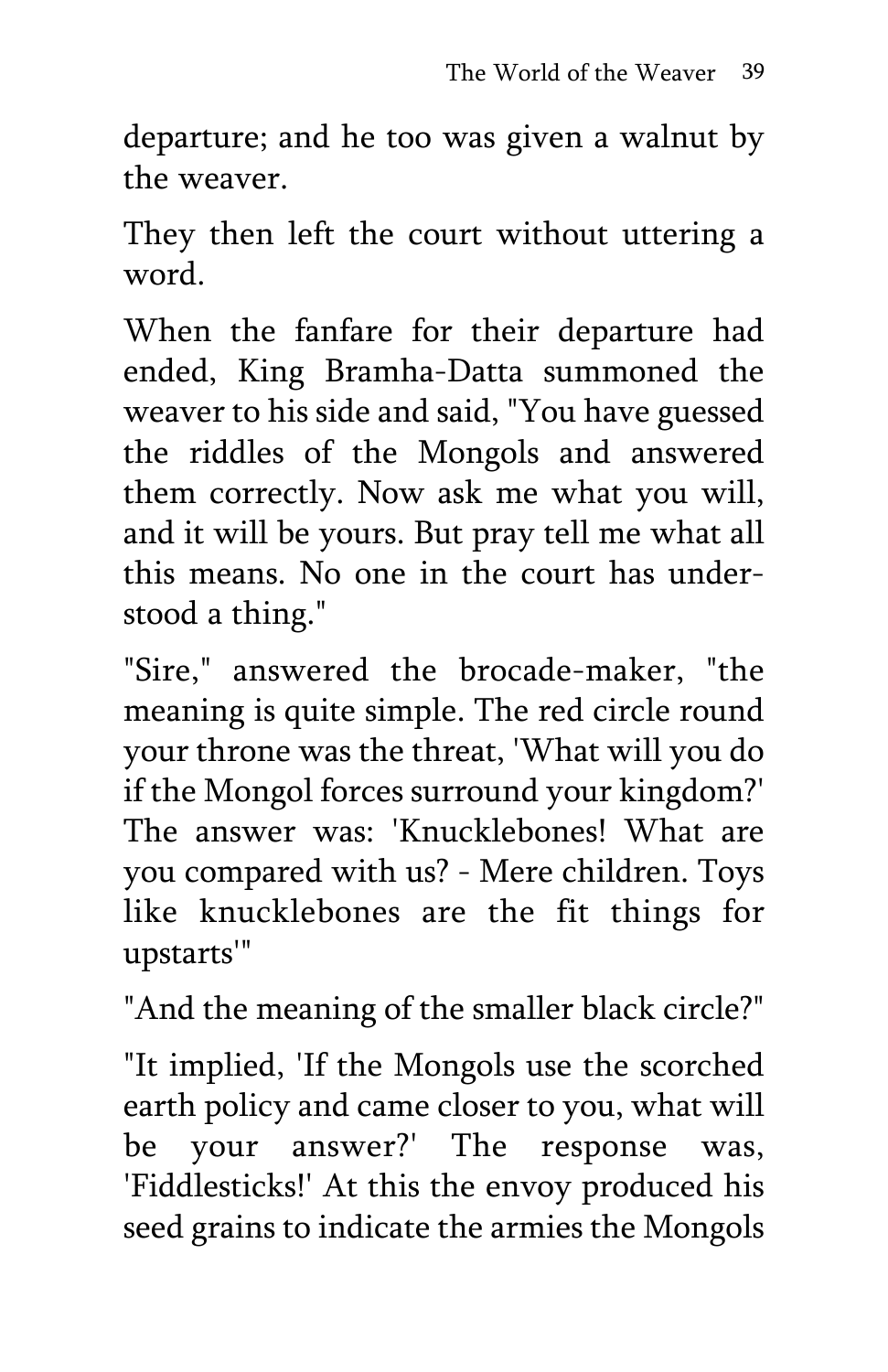departure; and he too was given a walnut by the weaver.

They then left the court without uttering a word.

When the fanfare for their departure had ended, King Bramha-Datta summoned the weaver to his side and said, "You have guessed the riddles of the Mongols and answered them correctly. Now ask me what you will, and it will be yours. But pray tell me what all this means. No one in the court has understood a thing."

"Sire," answered the brocade-maker, "the meaning is quite simple. The red circle round your throne was the threat, 'What will you do if the Mongol forces surround your kingdom?' The answer was: 'Knucklebones! What are you compared with us? - Mere children. Toys like knucklebones are the fit things for upstarts'"

"And the meaning of the smaller black circle?"

"It implied, 'If the Mongols use the scorched earth policy and came closer to you, what will be your answer?' The response was, 'Fiddlesticks!' At this the envoy produced his seed grains to indicate the armies the Mongols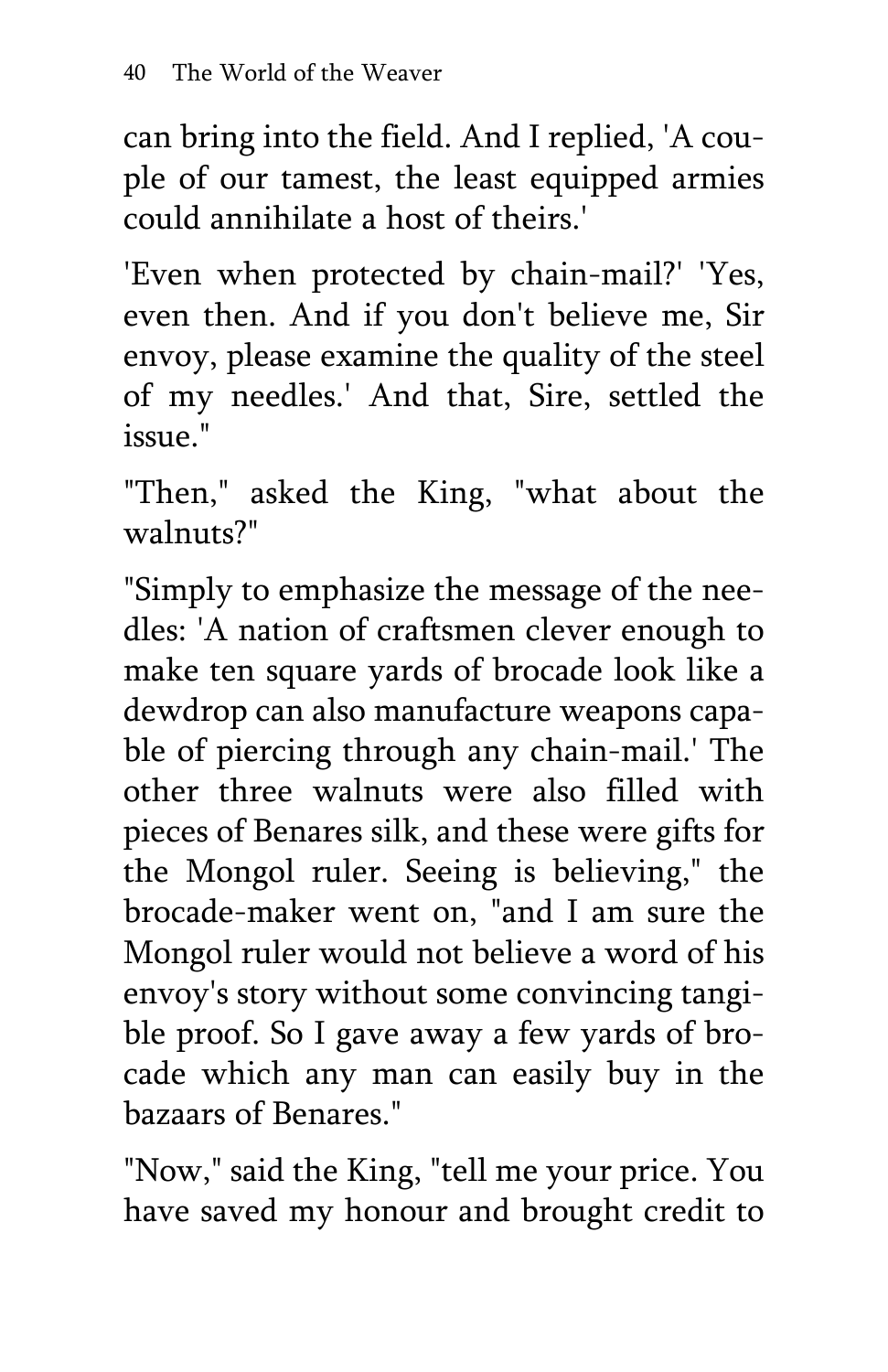can bring into the field. And I replied, 'A couple of our tamest, the least equipped armies could annihilate a host of theirs.'

'Even when protected by chain-mail?' 'Yes, even then. And if you don't believe me, Sir envoy, please examine the quality of the steel of my needles.' And that, Sire, settled the issue."

"Then," asked the King, "what about the walnuts?"

"Simply to emphasize the message of the needles: 'A nation of craftsmen clever enough to make ten square yards of brocade look like a dewdrop can also manufacture weapons capable of piercing through any chain-mail.' The other three walnuts were also filled with pieces of Benares silk, and these were gifts for the Mongol ruler. Seeing is believing," the brocade-maker went on, "and I am sure the Mongol ruler would not believe a word of his envoy's story without some convincing tangible proof. So I gave away a few yards of brocade which any man can easily buy in the bazaars of Benares."

"Now," said the King, "tell me your price. You have saved my honour and brought credit to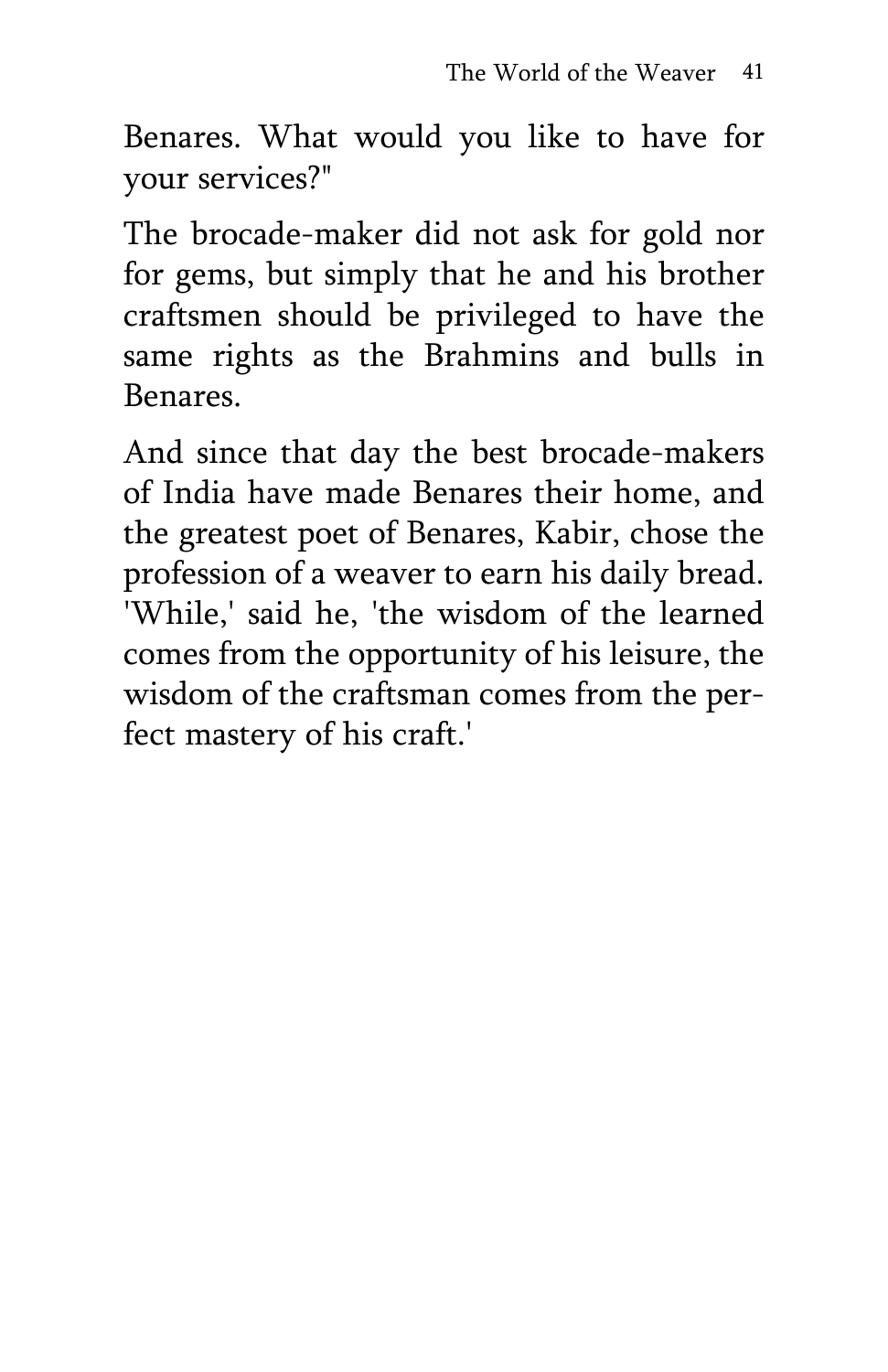Benares. What would you like to have for your services?"

The brocade-maker did not ask for gold nor for gems, but simply that he and his brother craftsmen should be privileged to have the same rights as the Brahmins and bulls in Benares.

And since that day the best brocade-makers of India have made Benares their home, and the greatest poet of Benares, Kabir, chose the profession of a weaver to earn his daily bread. 'While,' said he, 'the wisdom of the learned comes from the opportunity of his leisure, the wisdom of the craftsman comes from the perfect mastery of his craft.'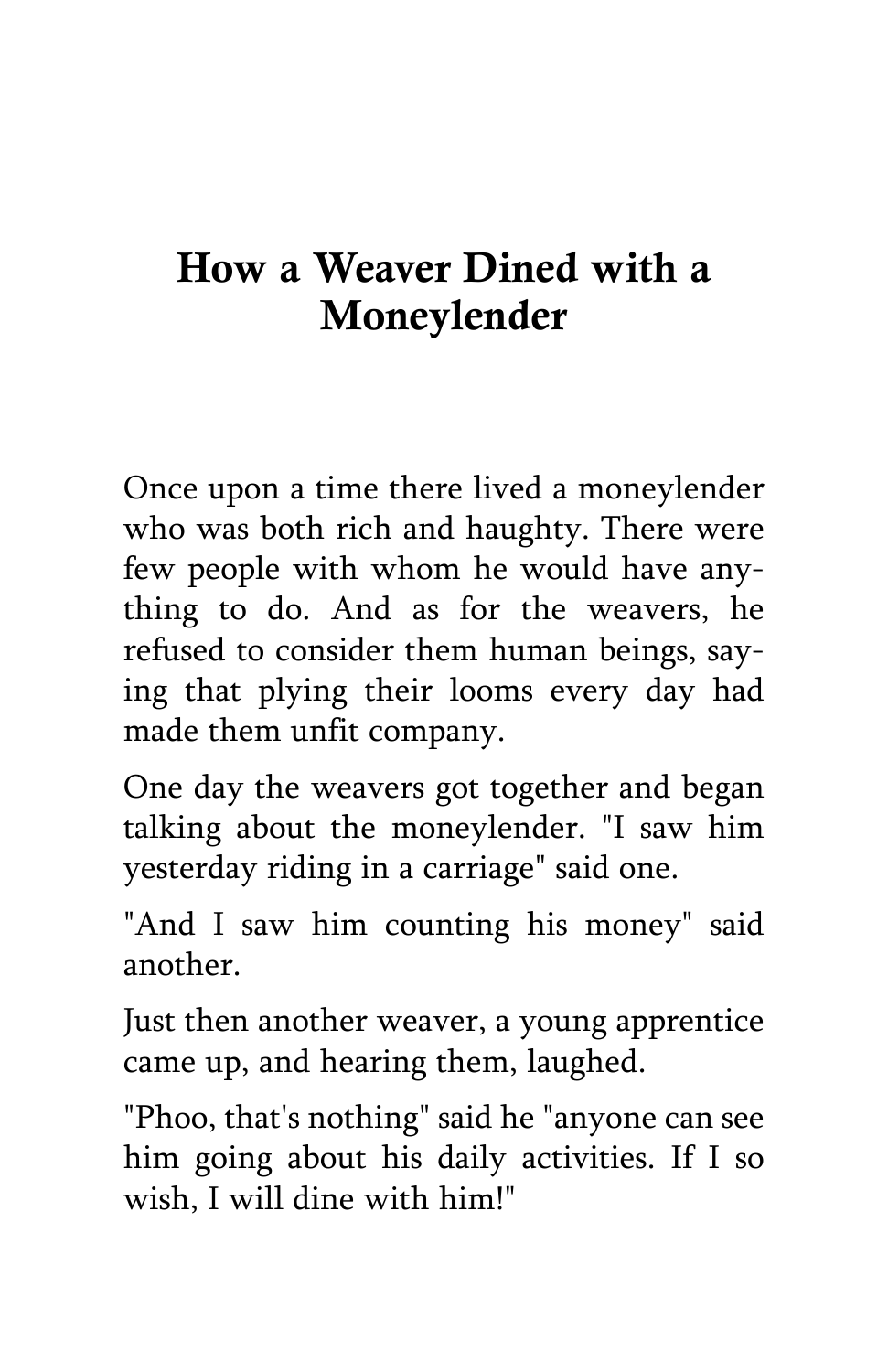## **How a Weaver Dined with a Moneylender**

Once upon a time there lived a moneylender who was both rich and haughty. There were few people with whom he would have anything to do. And as for the weavers, he refused to consider them human beings, saying that plying their looms every day had made them unfit company.

One day the weavers got together and began talking about the moneylender. "I saw him yesterday riding in a carriage" said one.

"And I saw him counting his money" said another.

Just then another weaver, a young apprentice came up, and hearing them, laughed.

"Phoo, that's nothing" said he "anyone can see him going about his daily activities. If I so wish, I will dine with him!"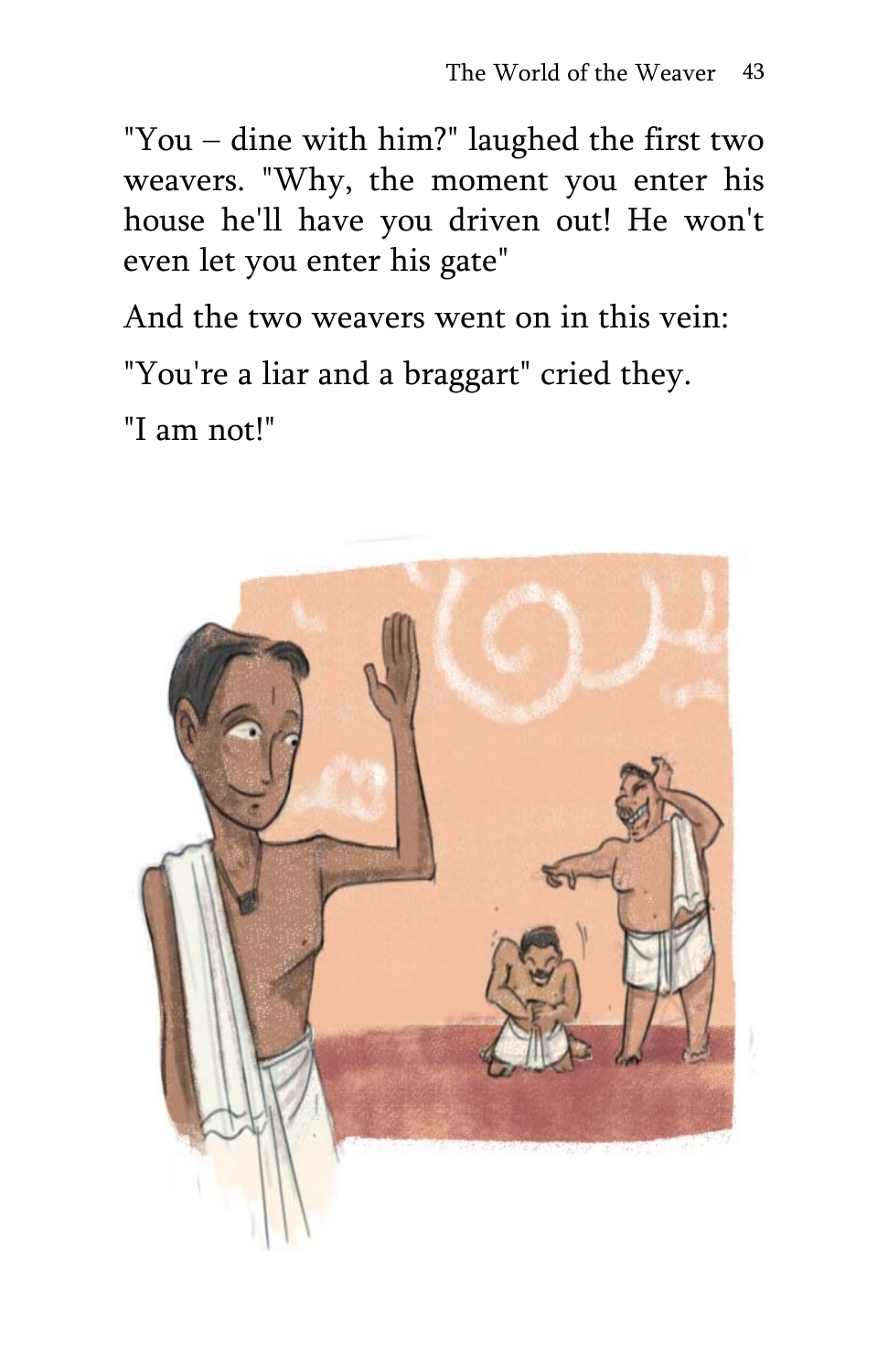"You - dine with him?" laughed the first two weavers. "Why, the moment you enter his house he'll have you driven out! He won't even let you enter his gate"

And the two weavers went on in this vein:

"You're a liar and a braggart" cried they.

"I am not!"

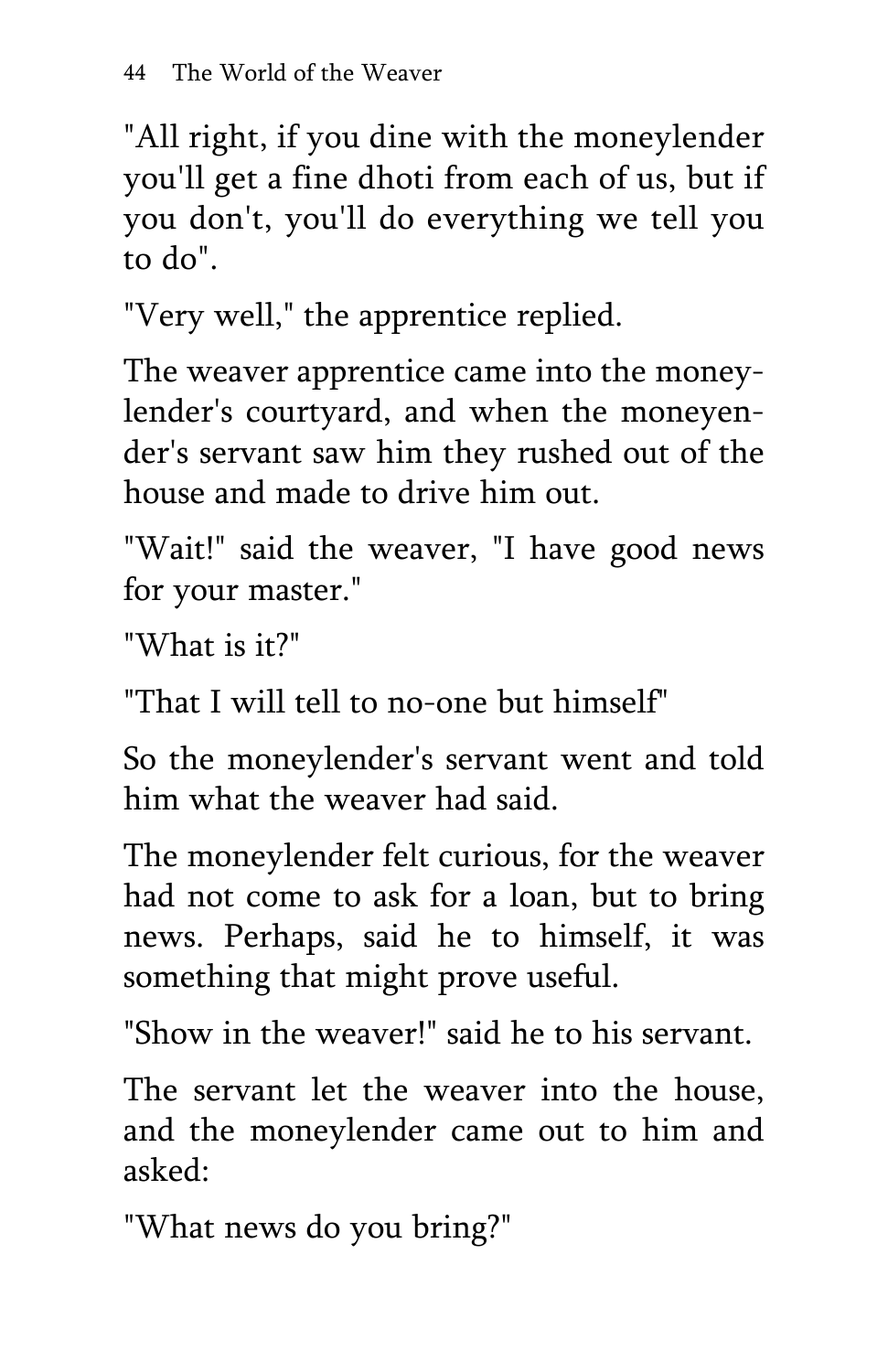"All right, if you dine with the moneylender you'll get a fine dhoti from each of us, but if you don't, you'll do everything we tell you to do".

"Very well," the apprentice replied.

The weaver apprentice came into the moneylender's courtyard, and when the moneyender's servant saw him they rushed out of the house and made to drive him out.

"Wait!" said the weaver, "I have good news for your master."

"What is it?"

"That I will tell to no-one but himself"

So the moneylender's servant went and told him what the weaver had said.

The moneylender felt curious, for the weaver had not come to ask for a loan, but to bring news. Perhaps, said he to himself, it was something that might prove useful.

"Show in the weaver!" said he to his servant.

The servant let the weaver into the house, and the moneylender came out to him and asked:

"What news do you bring?"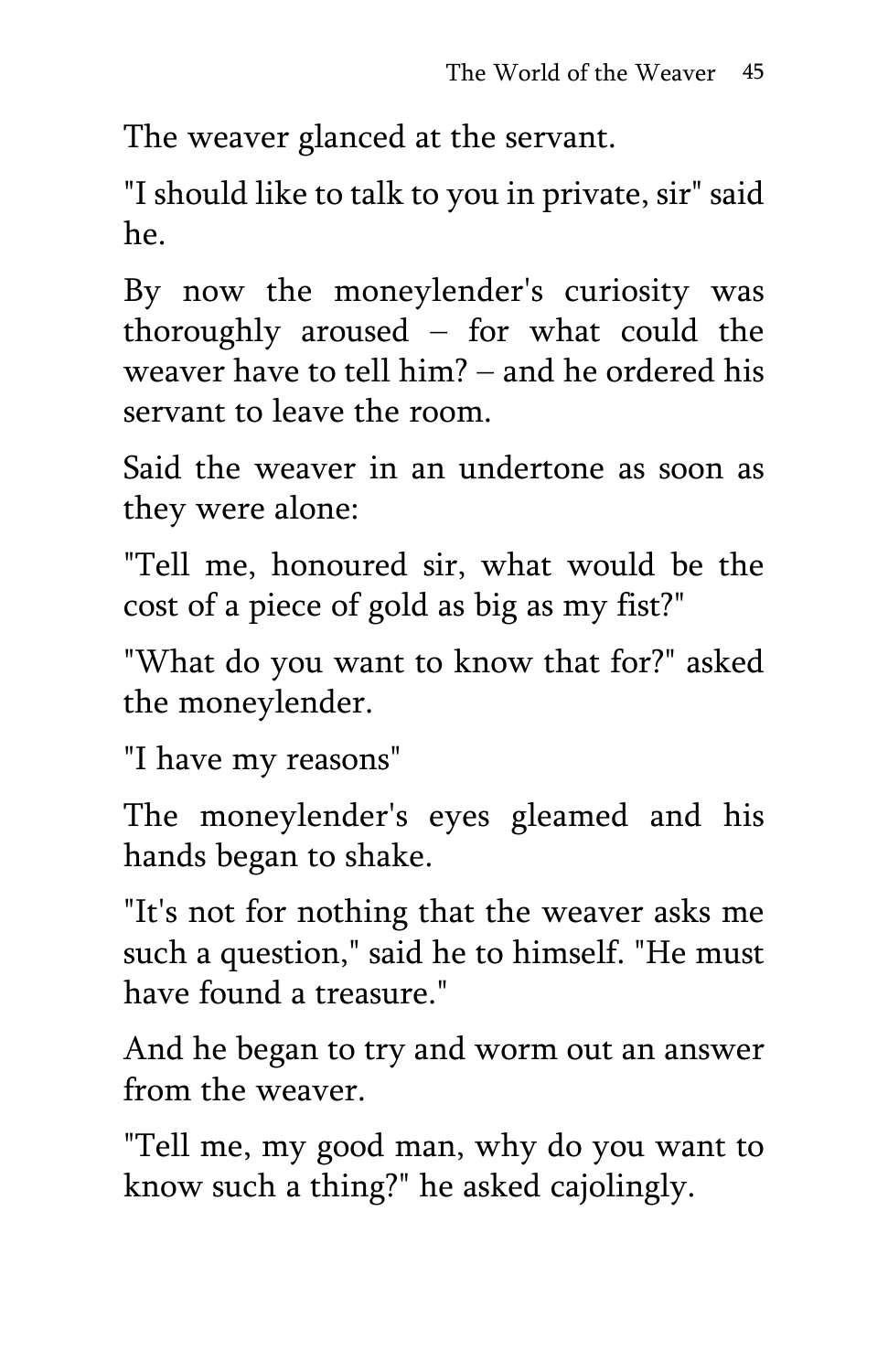The weaver glanced at the servant.

"I should like to talk to you in private, sir" said he.

By now the moneylender's curiosity was thoroughly aroused  $-$  for what could the weaver have to tell  $\lim$ ?  $-$  and he ordered his servant to leave the room.

Said the weaver in an undertone as soon as they were alone:

"Tell me, honoured sir, what would be the cost of a piece of gold as big as my fist?"

"What do you want to know that for?" asked the moneylender.

"I have my reasons"

The moneylender's eyes gleamed and his hands began to shake.

"It's not for nothing that the weaver asks me such a question," said he to himself. "He must have found a treasure."

And he began to try and worm out an answer from the weaver.

"Tell me, my good man, why do you want to know such a thing?" he asked cajolingly.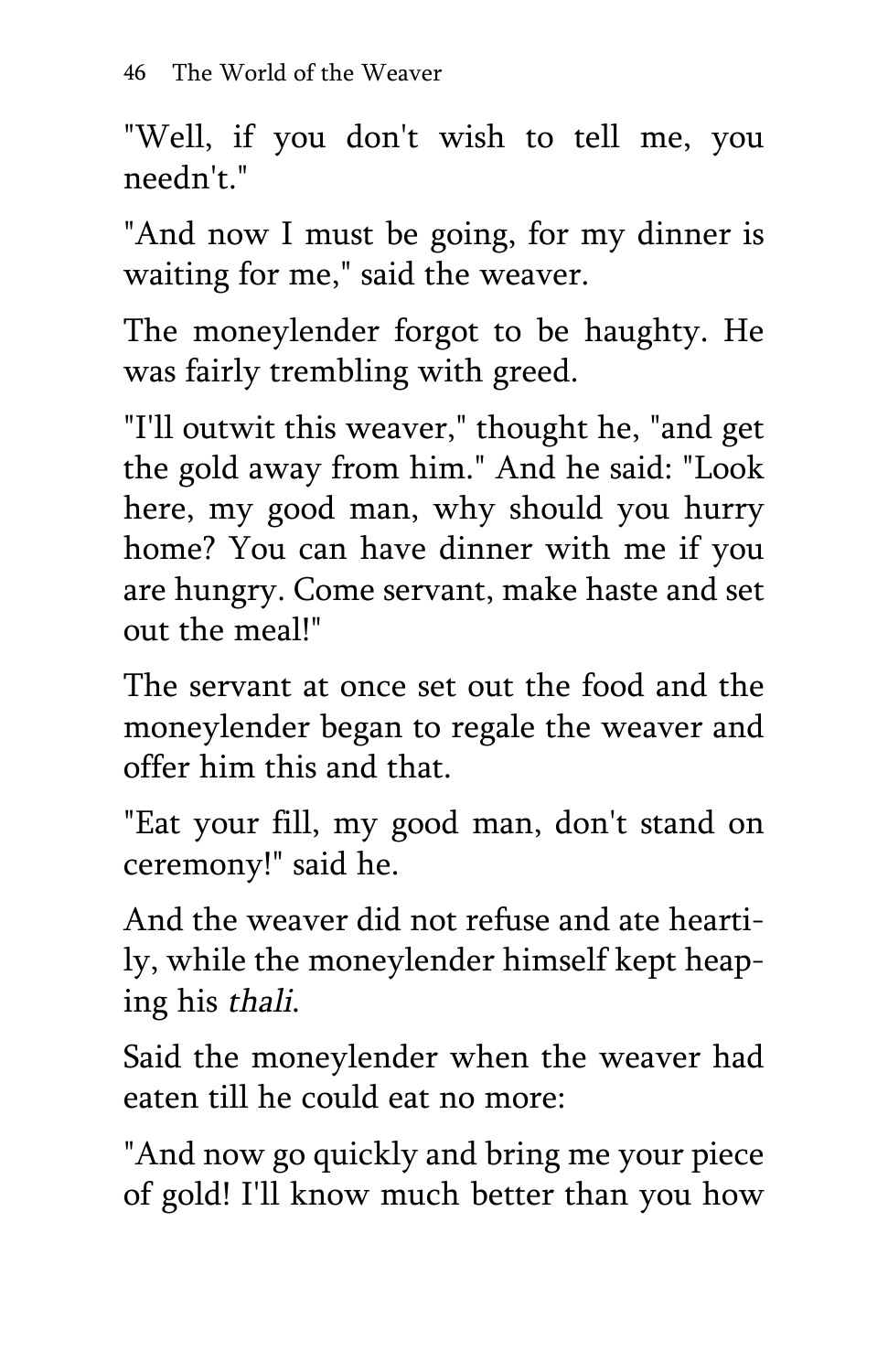"Well, if you don't wish to tell me, you needn't."

"And now I must be going, for my dinner is waiting for me," said the weaver.

The moneylender forgot to be haughty. He was fairly trembling with greed.

"I'll outwit this weaver," thought he, "and get the gold away from him." And he said: "Look here, my good man, why should you hurry home? You can have dinner with me if you are hungry. Come servant, make haste and set out the meal!"

The servant at once set out the food and the moneylender began to regale the weaver and offer him this and that.

"Eat your fill, my good man, don't stand on ceremony!" said he.

And the weaver did not refuse and ate heartily, while the moneylender himself kept heaping his thali.

Said the moneylender when the weaver had eaten till he could eat no more:

"And now go quickly and bring me your piece of gold! I'll know much better than you how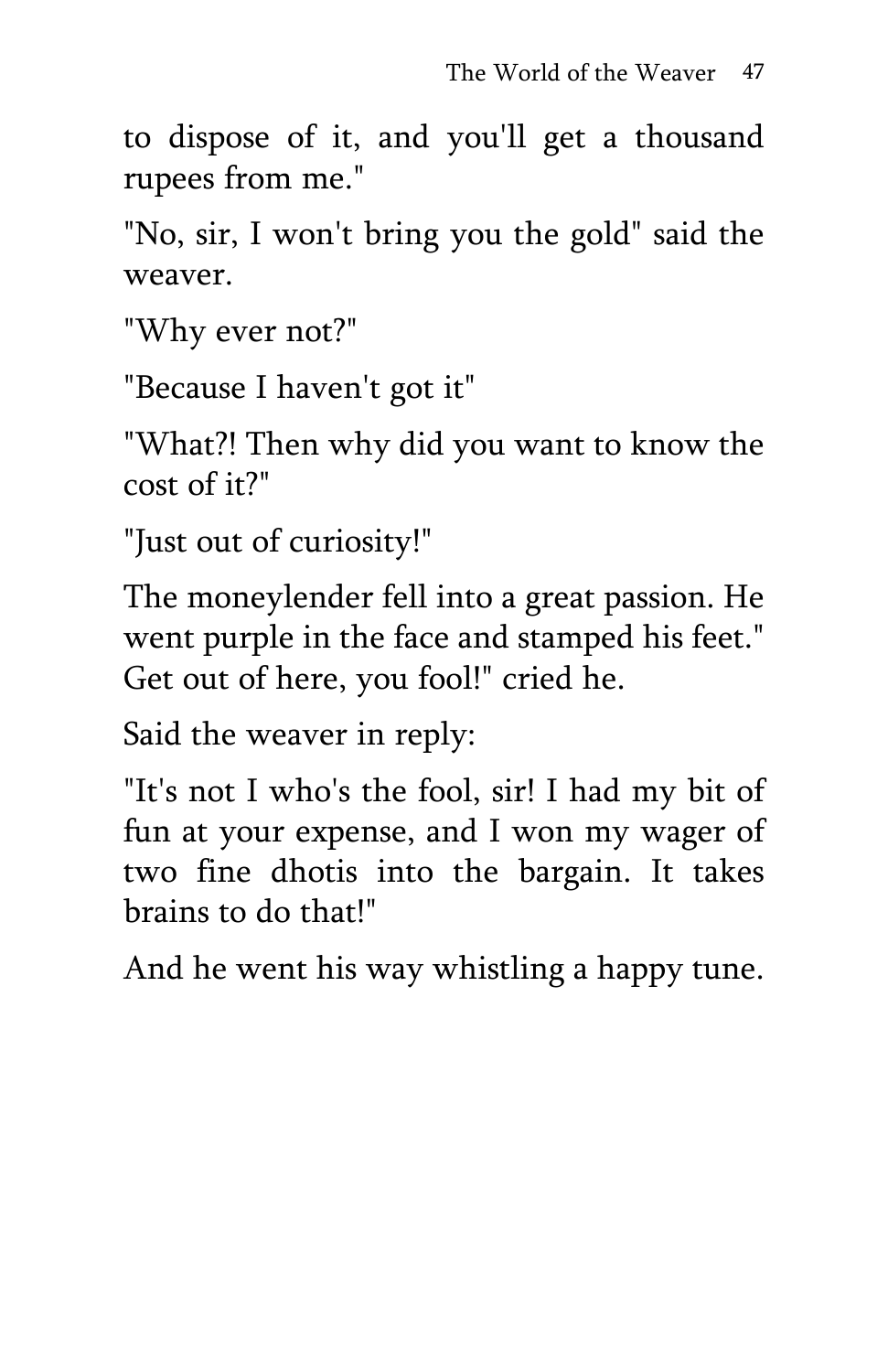to dispose of it, and you'll get a thousand rupees from me."

"No, sir, I won't bring you the gold" said the weaver.

"Why ever not?"

"Because I haven't got it"

"What?! Then why did you want to know the cost of it?"

"Just out of curiosity!"

The moneylender fell into a great passion. He went purple in the face and stamped his feet." Get out of here, you fool!" cried he.

Said the weaver in reply:

"It's not I who's the fool, sir! I had my bit of fun at your expense, and I won my wager of two fine dhotis into the bargain. It takes brains to do that!"

And he went his way whistling a happy tune.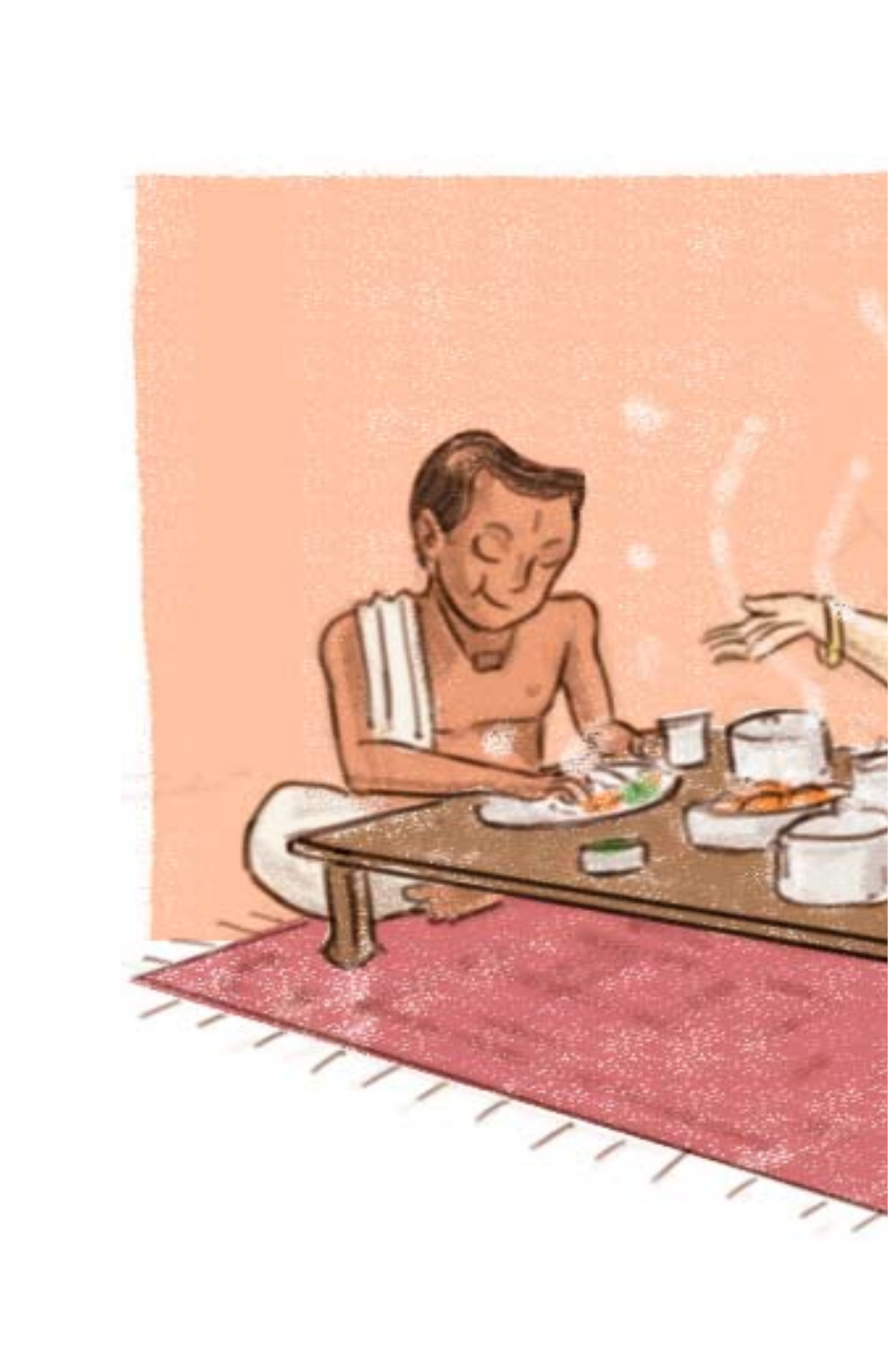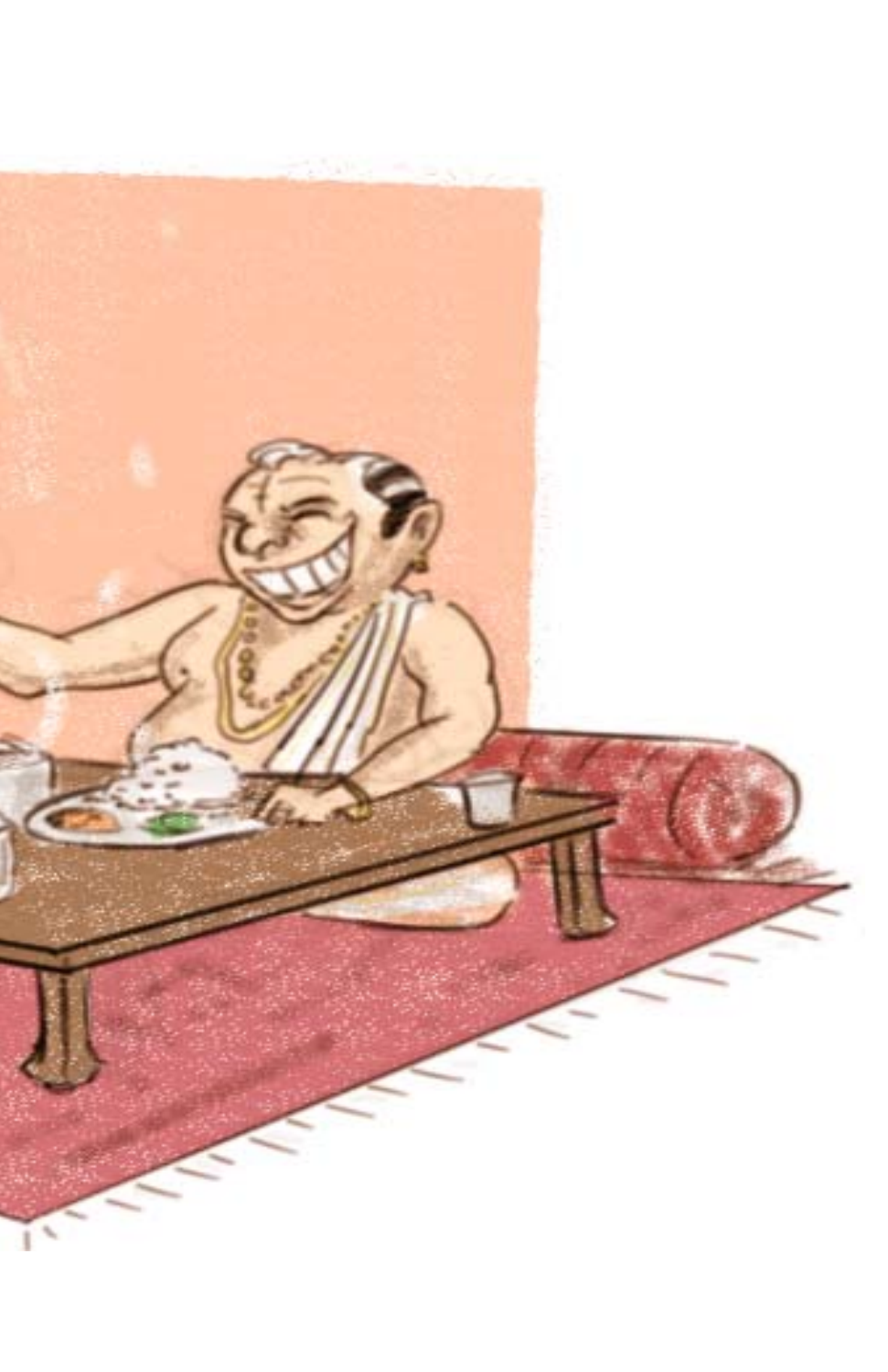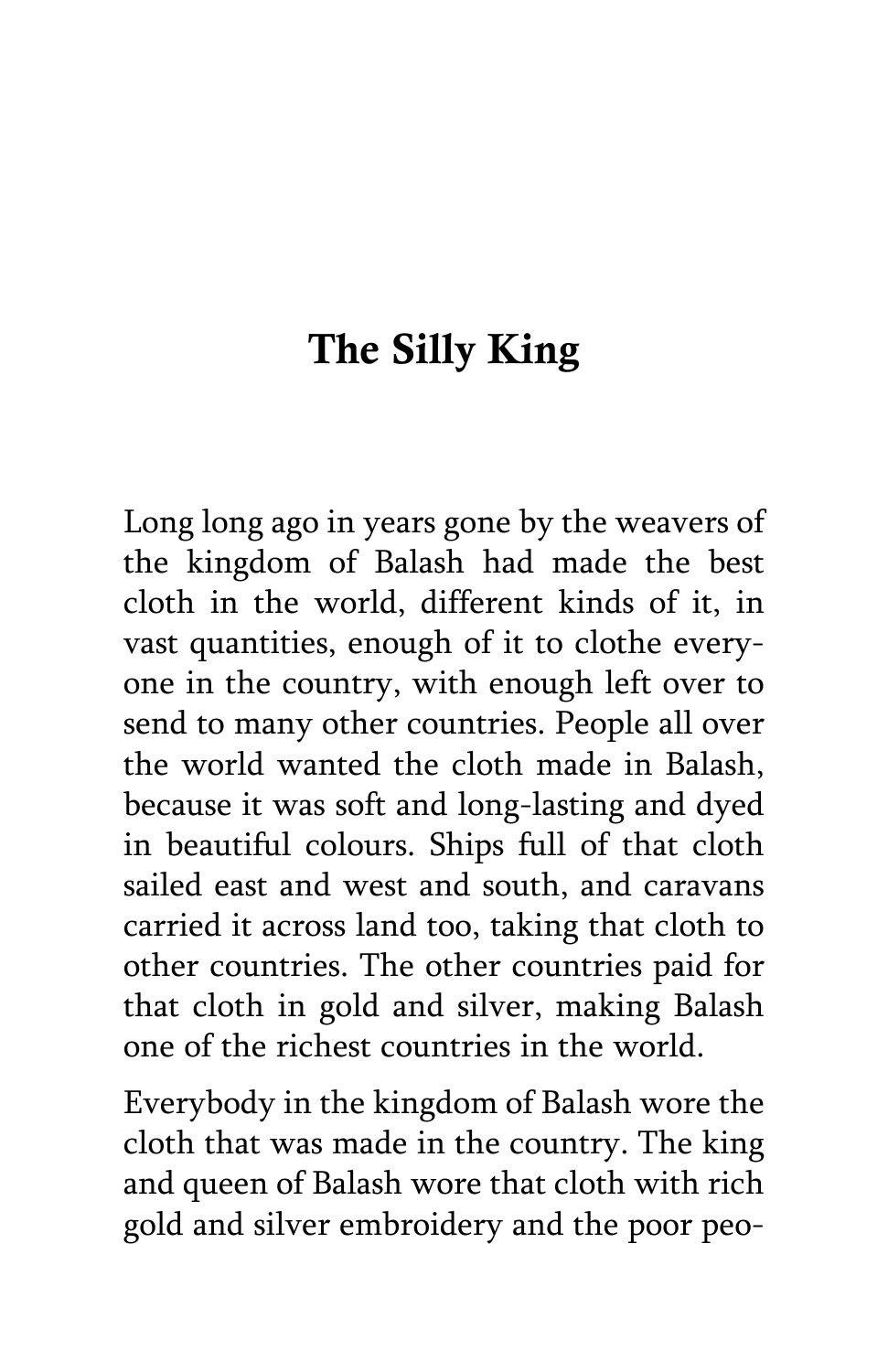# **The Silly King**

Long long ago in years gone by the weavers of the kingdom of Balash had made the best cloth in the world, different kinds of it, in vast quantities, enough of it to clothe everyone in the country, with enough left over to send to many other countries. People all over the world wanted the cloth made in Balash, because it was soft and long-lasting and dyed in beautiful colours. Ships full of that cloth sailed east and west and south, and caravans carried it across land too, taking that cloth to other countries. The other countries paid for that cloth in gold and silver, making Balash one of the richest countries in the world.

Everybody in the kingdom of Balash wore the cloth that was made in the country. The king and queen of Balash wore that cloth with rich gold and silver embroidery and the poor peo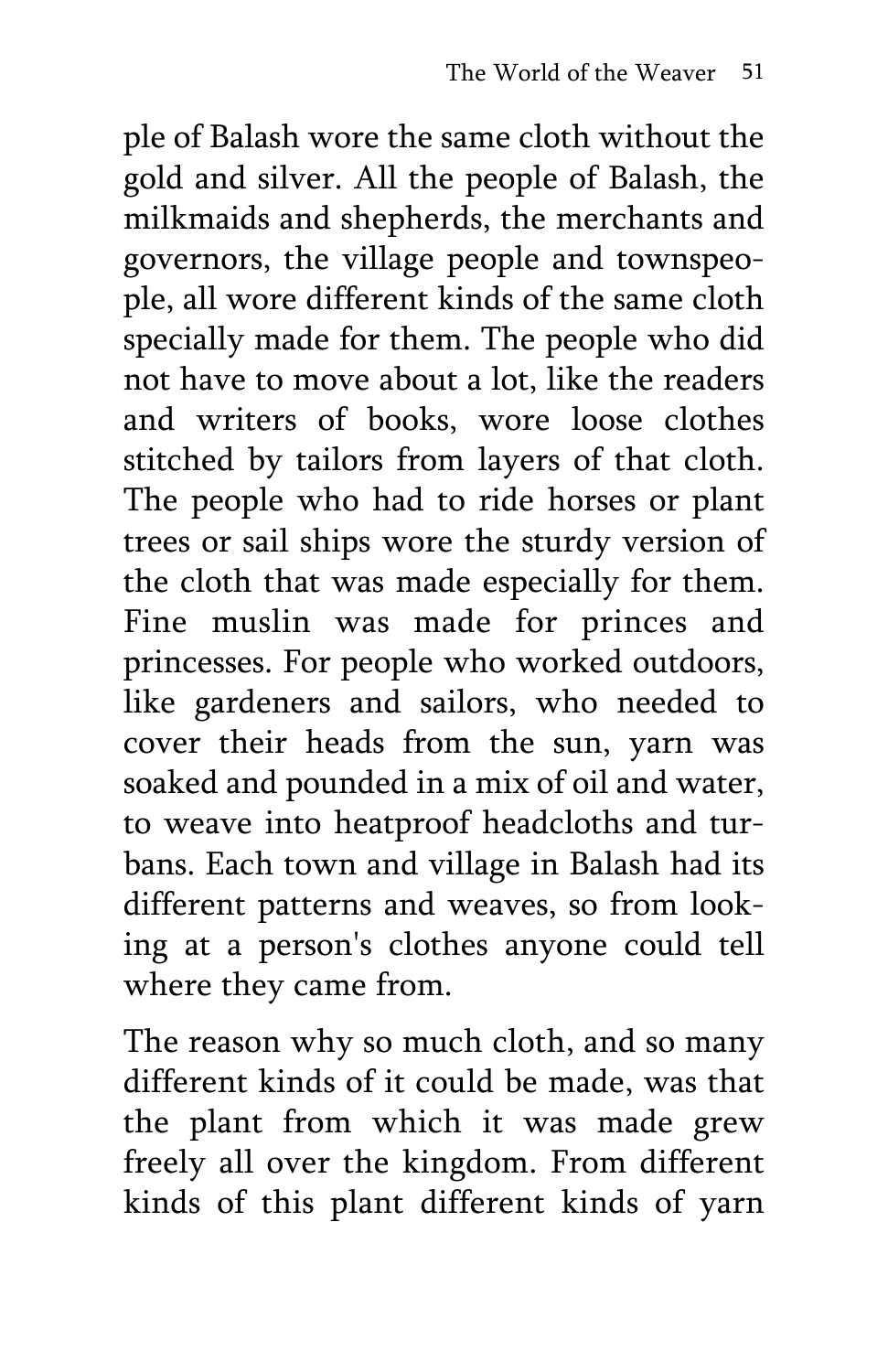ple of Balash wore the same cloth without the gold and silver. All the people of Balash, the milkmaids and shepherds, the merchants and governors, the village people and townspeople, all wore different kinds of the same cloth specially made for them. The people who did not have to move about a lot, like the readers and writers of books, wore loose clothes stitched by tailors from layers of that cloth. The people who had to ride horses or plant trees or sail ships wore the sturdy version of the cloth that was made especially for them. Fine muslin was made for princes and princesses. For people who worked outdoors, like gardeners and sailors, who needed to cover their heads from the sun, yarn was soaked and pounded in a mix of oil and water, to weave into heatproof headcloths and turbans. Each town and village in Balash had its different patterns and weaves, so from looking at a person's clothes anyone could tell where they came from.

The reason why so much cloth, and so many different kinds of it could be made, was that the plant from which it was made grew freely all over the kingdom. From different kinds of this plant different kinds of yarn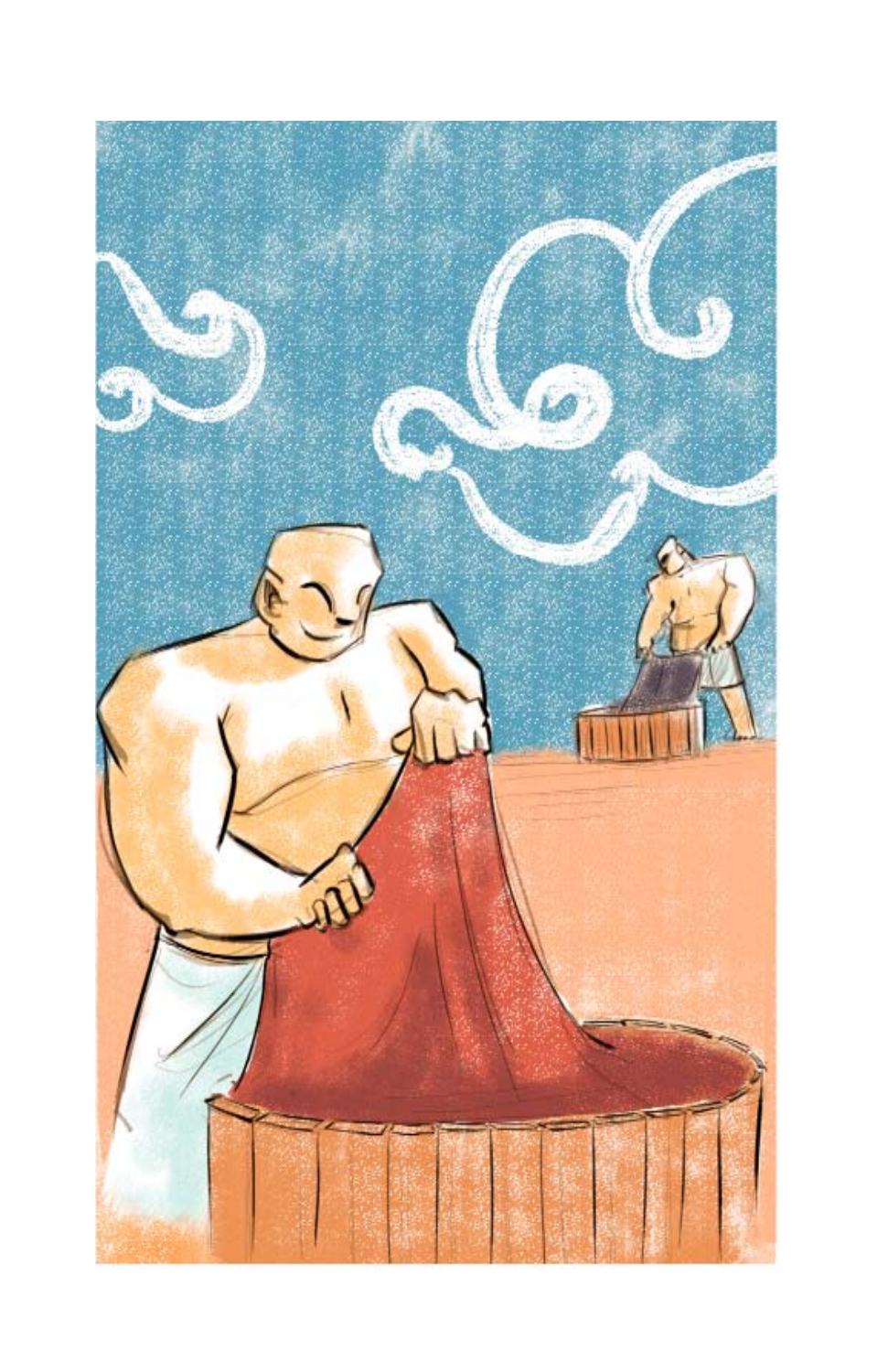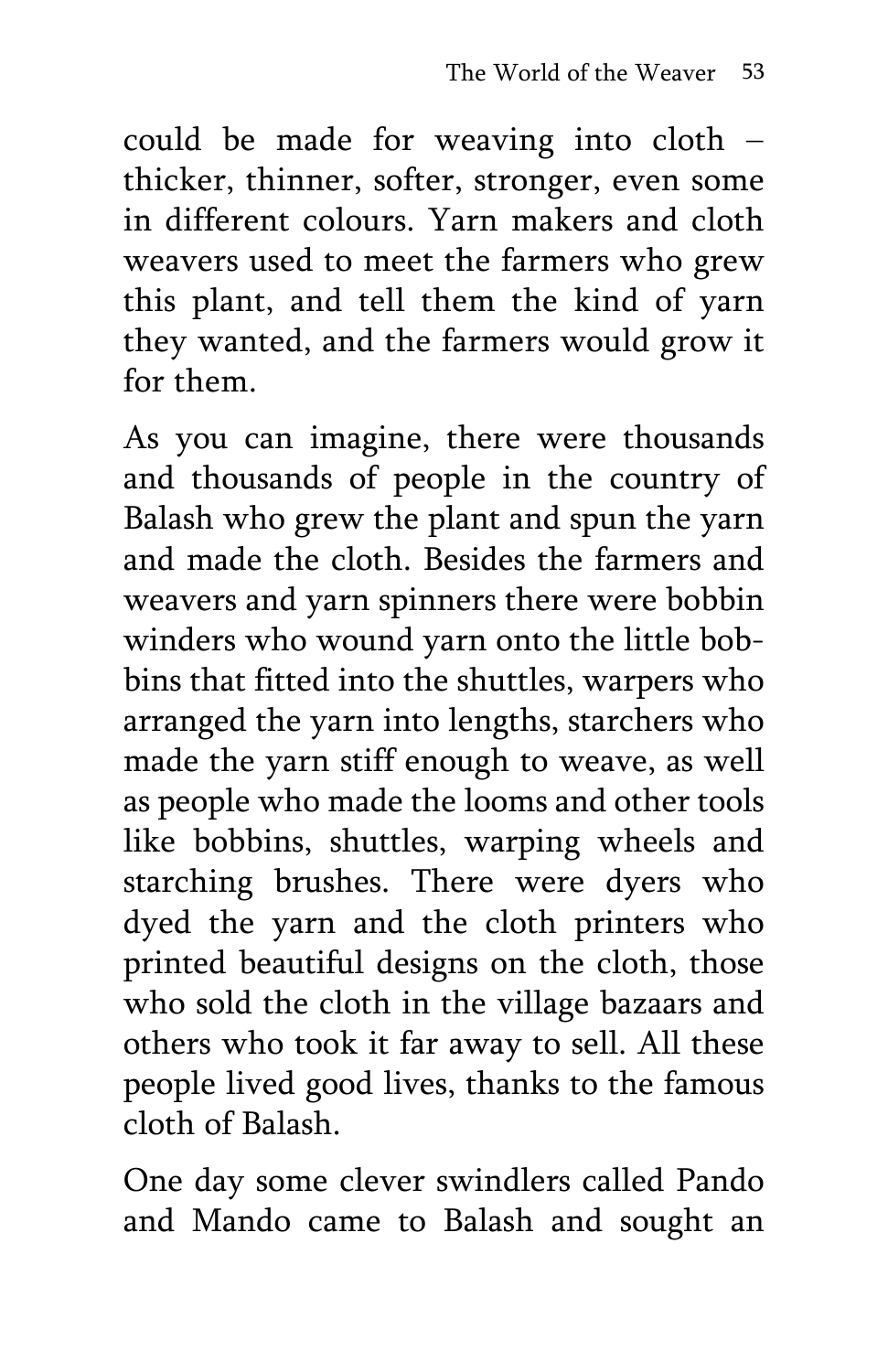could be made for weaving into cloth  $$ thicker, thinner, softer, stronger, even some in different colours. Yarn makers and cloth weavers used to meet the farmers who grew this plant, and tell them the kind of yarn they wanted, and the farmers would grow it for them.

As you can imagine, there were thousands and thousands of people in the country of Balash who grew the plant and spun the yarn and made the cloth. Besides the farmers and weavers and yarn spinners there were bobbin winders who wound yarn onto the little bobbins that fitted into the shuttles, warpers who arranged the yarn into lengths, starchers who made the yarn stiff enough to weave, as well as people who made the looms and other tools like bobbins, shuttles, warping wheels and starching brushes. There were dyers who dyed the yarn and the cloth printers who printed beautiful designs on the cloth, those who sold the cloth in the village bazaars and others who took it far away to sell. All these people lived good lives, thanks to the famous cloth of Balash.

One day some clever swindlers called Pando and Mando came to Balash and sought an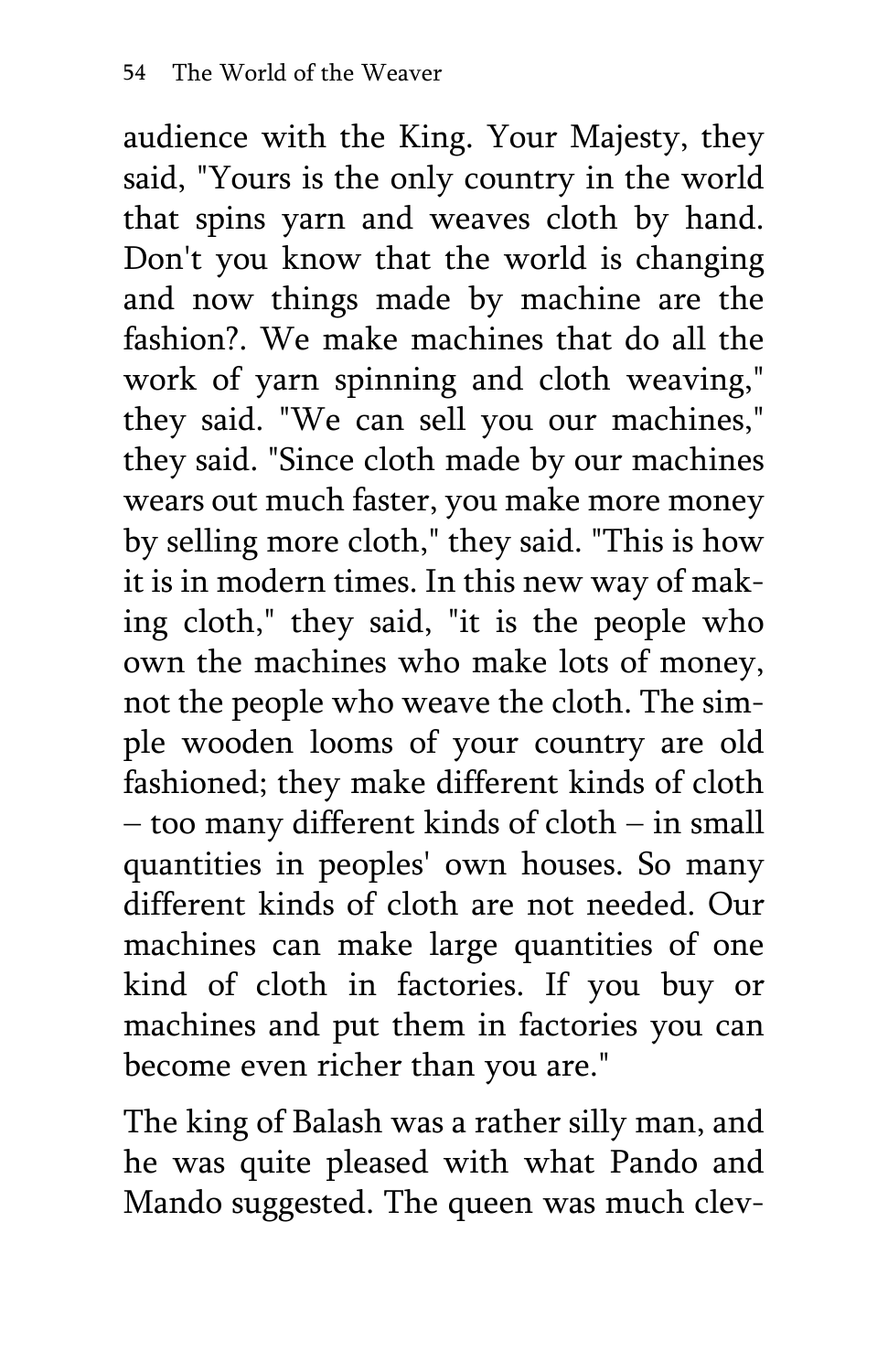audience with the King. Your Majesty, they said, "Yours is the only country in the world that spins yarn and weaves cloth by hand. Don't you know that the world is changing and now things made by machine are the fashion?. We make machines that do all the work of yarn spinning and cloth weaving," they said. "We can sell you our machines," they said. "Since cloth made by our machines wears out much faster, you make more money by selling more cloth," they said. "This is how it is in modern times. In this new way of making cloth," they said, "it is the people who own the machines who make lots of money, not the people who weave the cloth. The simple wooden looms of your country are old fashioned; they make different kinds of cloth  $-$  too many different kinds of cloth  $-$  in small quantities in peoples' own houses. So many different kinds of cloth are not needed. Our machines can make large quantities of one kind of cloth in factories. If you buy or machines and put them in factories you can become even richer than you are."

The king of Balash was a rather silly man, and he was quite pleased with what Pando and Mando suggested. The queen was much clev-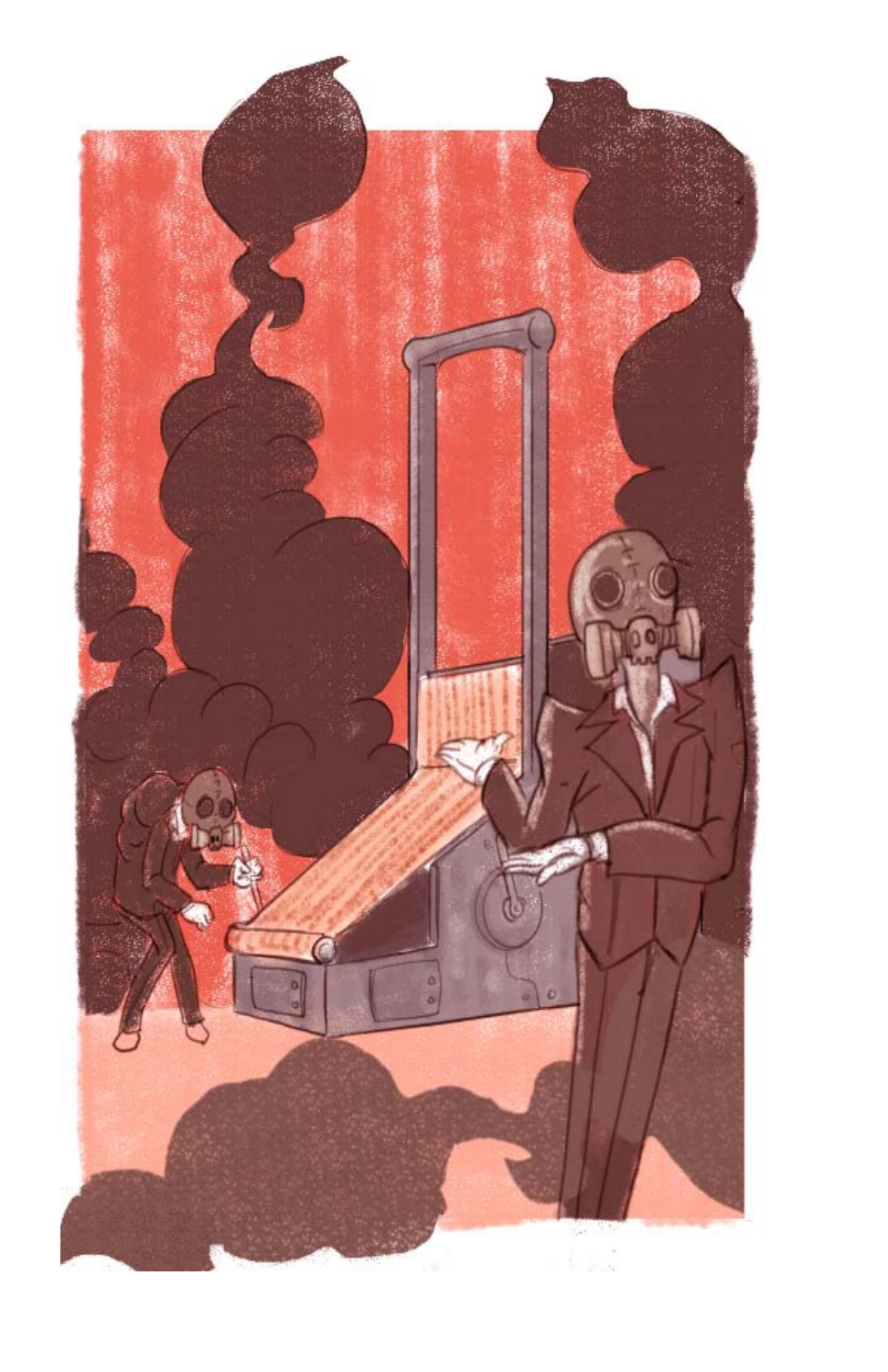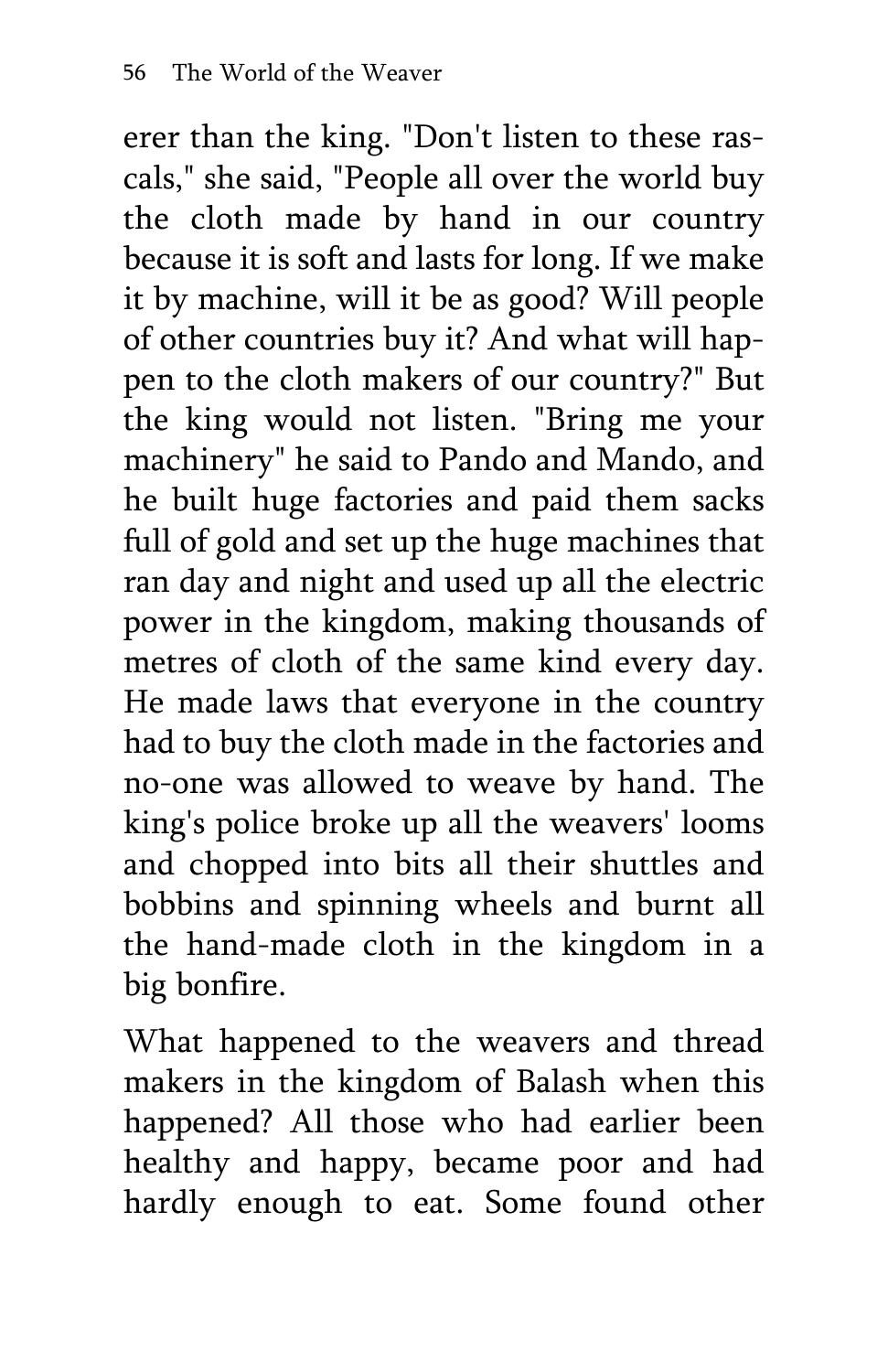erer than the king. "Don't listen to these rascals," she said, "People all over the world buy the cloth made by hand in our country because it is soft and lasts for long. If we make it by machine, will it be as good? Will people of other countries buy it? And what will happen to the cloth makers of our country?" But the king would not listen. "Bring me your machinery" he said to Pando and Mando, and he built huge factories and paid them sacks full of gold and set up the huge machines that ran day and night and used up all the electric power in the kingdom, making thousands of metres of cloth of the same kind every day. He made laws that everyone in the country had to buy the cloth made in the factories and no-one was allowed to weave by hand. The king's police broke up all the weavers' looms and chopped into bits all their shuttles and bobbins and spinning wheels and burnt all the hand-made cloth in the kingdom in a big bonfire.

What happened to the weavers and thread makers in the kingdom of Balash when this happened? All those who had earlier been healthy and happy, became poor and had hardly enough to eat. Some found other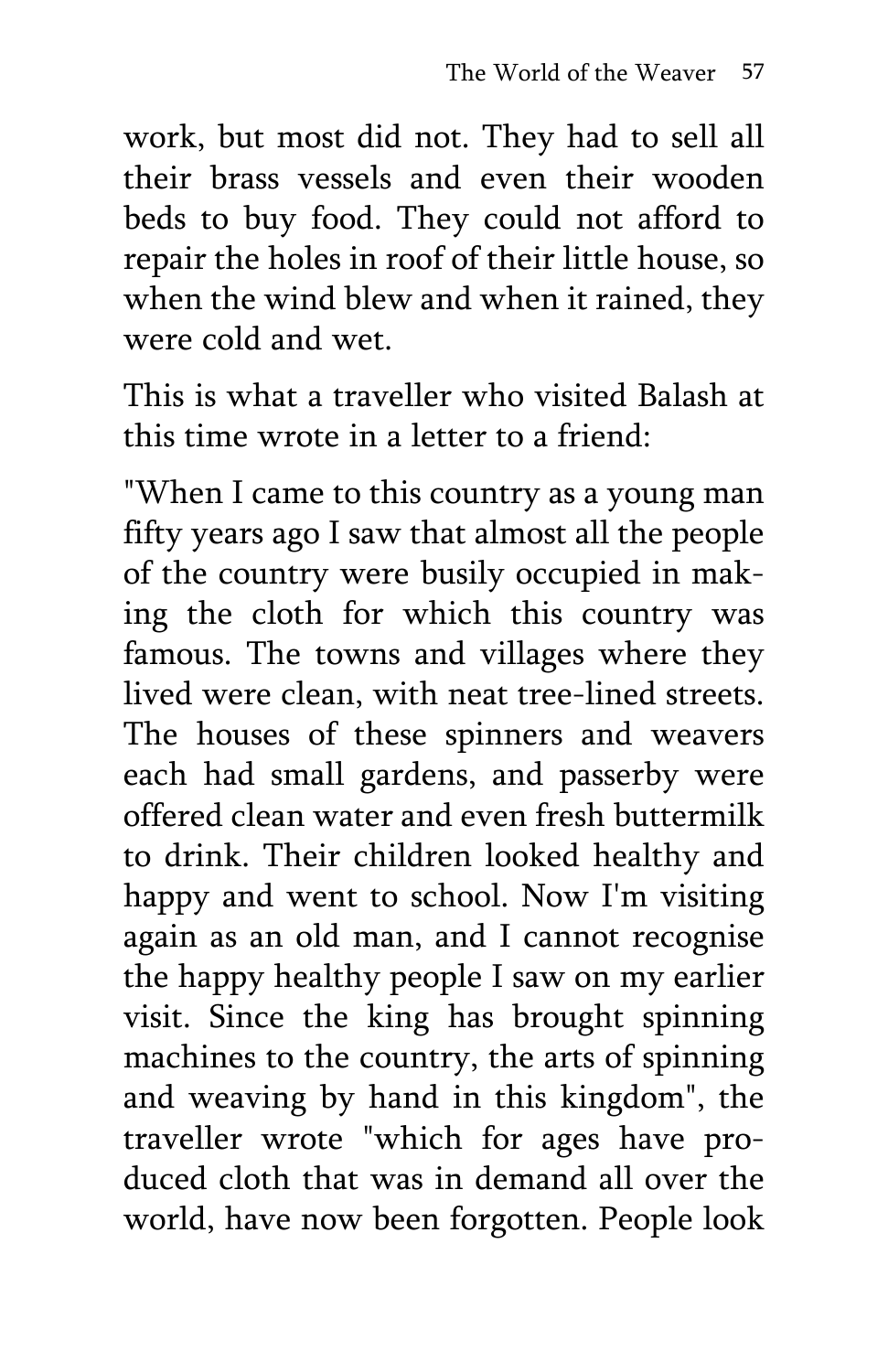work, but most did not. They had to sell all their brass vessels and even their wooden beds to buy food. They could not afford to repair the holes in roof of their little house, so when the wind blew and when it rained, they were cold and wet.

This is what a traveller who visited Balash at this time wrote in a letter to a friend:

"When I came to this country as a young man fifty years ago I saw that almost all the people of the country were busily occupied in making the cloth for which this country was famous. The towns and villages where they lived were clean, with neat tree-lined streets. The houses of these spinners and weavers each had small gardens, and passerby were offered clean water and even fresh buttermilk to drink. Their children looked healthy and happy and went to school. Now I'm visiting again as an old man, and I cannot recognise the happy healthy people I saw on my earlier visit. Since the king has brought spinning machines to the country, the arts of spinning and weaving by hand in this kingdom", the traveller wrote "which for ages have produced cloth that was in demand all over the world, have now been forgotten. People look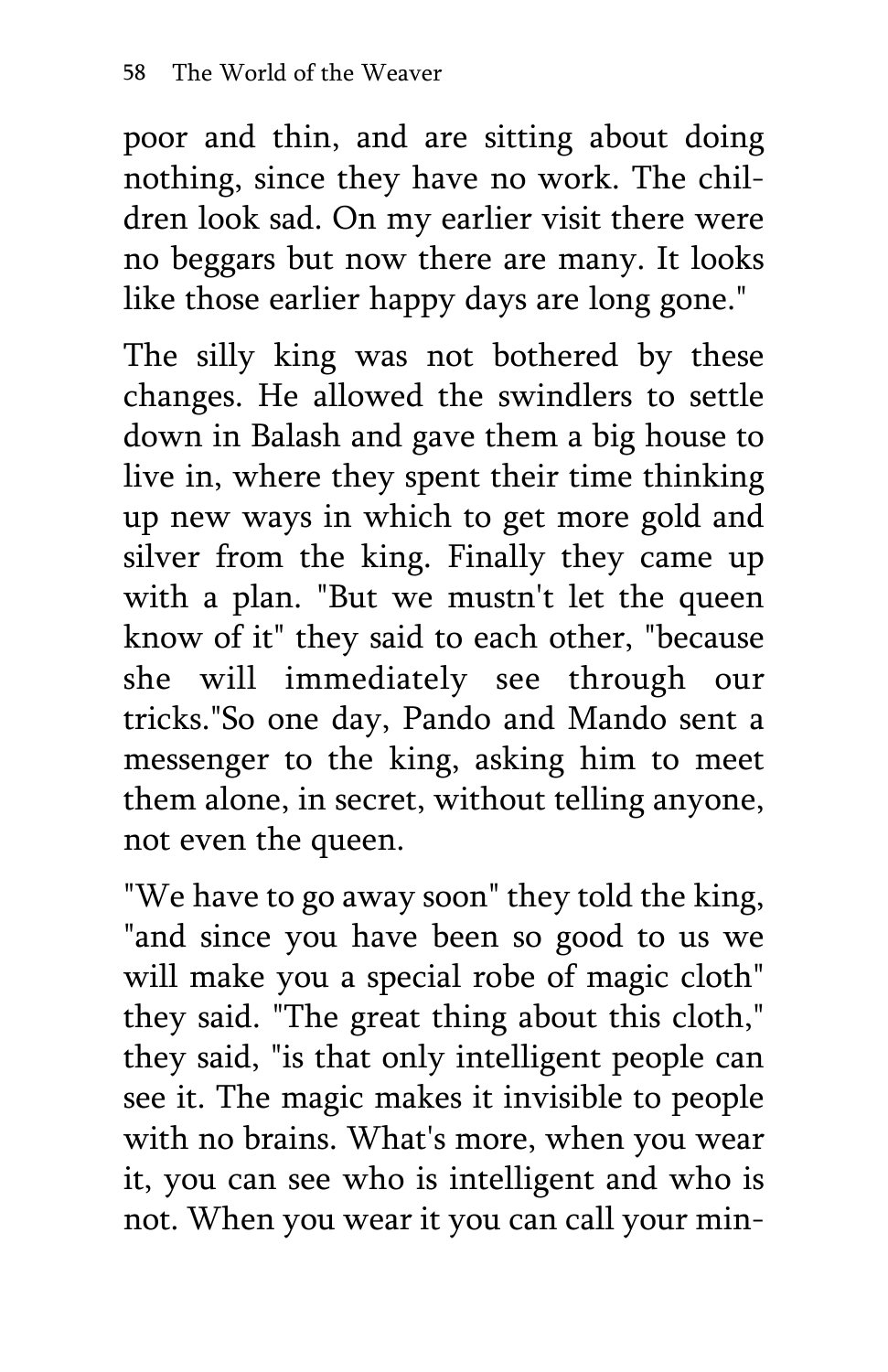poor and thin, and are sitting about doing nothing, since they have no work. The children look sad. On my earlier visit there were no beggars but now there are many. It looks like those earlier happy days are long gone."

The silly king was not bothered by these changes. He allowed the swindlers to settle down in Balash and gave them a big house to live in, where they spent their time thinking up new ways in which to get more gold and silver from the king. Finally they came up with a plan. "But we mustn't let the queen know of it" they said to each other, "because she will immediately see through our tricks."So one day, Pando and Mando sent a messenger to the king, asking him to meet them alone, in secret, without telling anyone, not even the queen.

"We have to go away soon" they told the king, "and since you have been so good to us we will make you a special robe of magic cloth" they said. "The great thing about this cloth," they said, "is that only intelligent people can see it. The magic makes it invisible to people with no brains. What's more, when you wear it, you can see who is intelligent and who is not. When you wear it you can call your min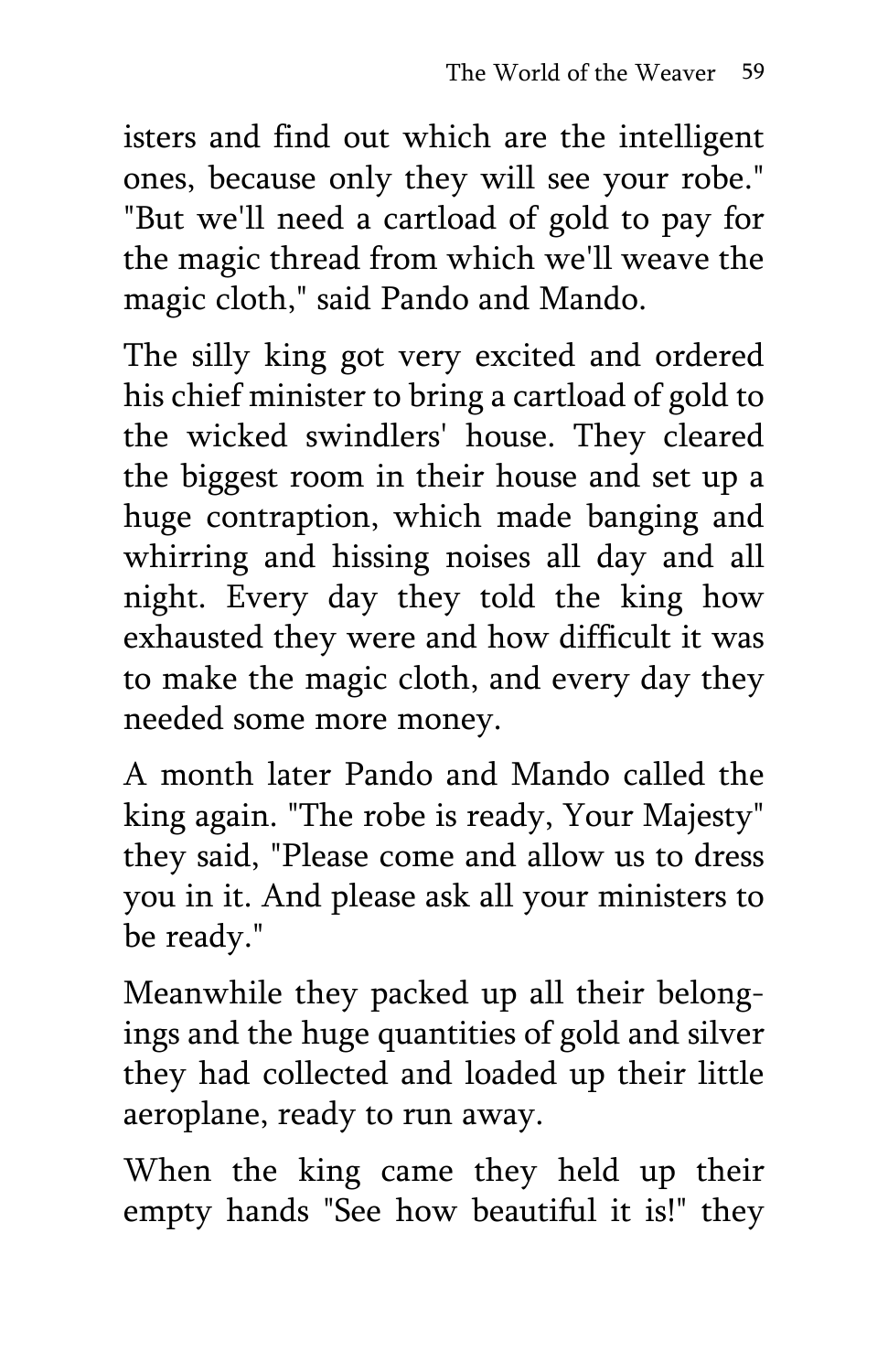isters and find out which are the intelligent ones, because only they will see your robe." "But we'll need a cartload of gold to pay for the magic thread from which we'll weave the magic cloth," said Pando and Mando.

The silly king got very excited and ordered his chief minister to bring a cartload of gold to the wicked swindlers' house. They cleared the biggest room in their house and set up a huge contraption, which made banging and whirring and hissing noises all day and all night. Every day they told the king how exhausted they were and how difficult it was to make the magic cloth, and every day they needed some more money.

A month later Pando and Mando called the king again. "The robe is ready, Your Majesty" they said, "Please come and allow us to dress you in it. And please ask all your ministers to be ready."

Meanwhile they packed up all their belongings and the huge quantities of gold and silver they had collected and loaded up their little aeroplane, ready to run away.

When the king came they held up their empty hands "See how beautiful it is!" they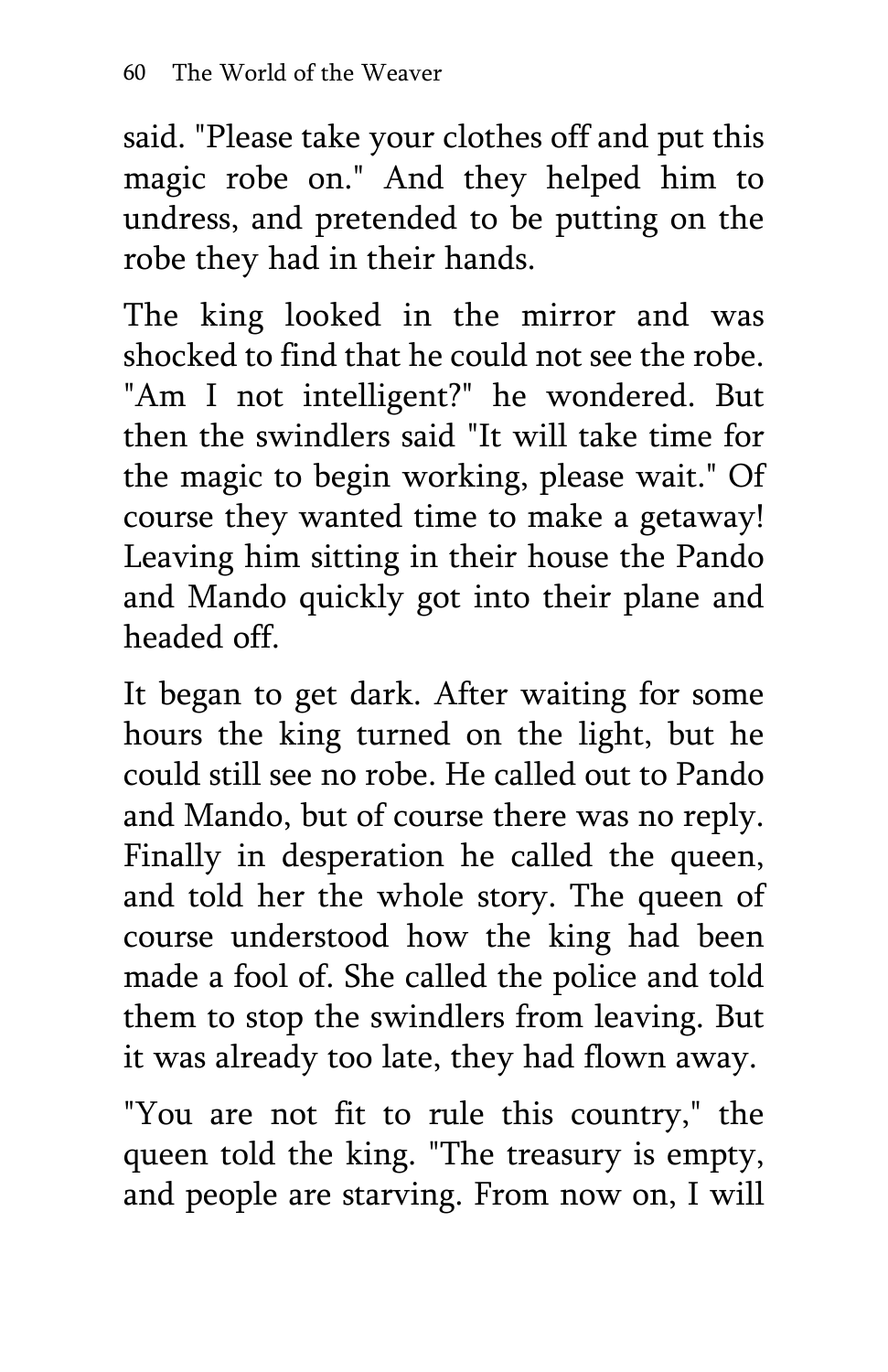said. "Please take your clothes off and put this magic robe on." And they helped him to undress, and pretended to be putting on the robe they had in their hands.

The king looked in the mirror and was shocked to find that he could not see the robe. "Am I not intelligent?" he wondered. But then the swindlers said "It will take time for the magic to begin working, please wait." Of course they wanted time to make a getaway! Leaving him sitting in their house the Pando and Mando quickly got into their plane and headed off.

It began to get dark. After waiting for some hours the king turned on the light, but he could still see no robe. He called out to Pando and Mando, but of course there was no reply. Finally in desperation he called the queen, and told her the whole story. The queen of course understood how the king had been made a fool of. She called the police and told them to stop the swindlers from leaving. But it was already too late, they had flown away.

"You are not fit to rule this country," the queen told the king. "The treasury is empty, and people are starving. From now on, I will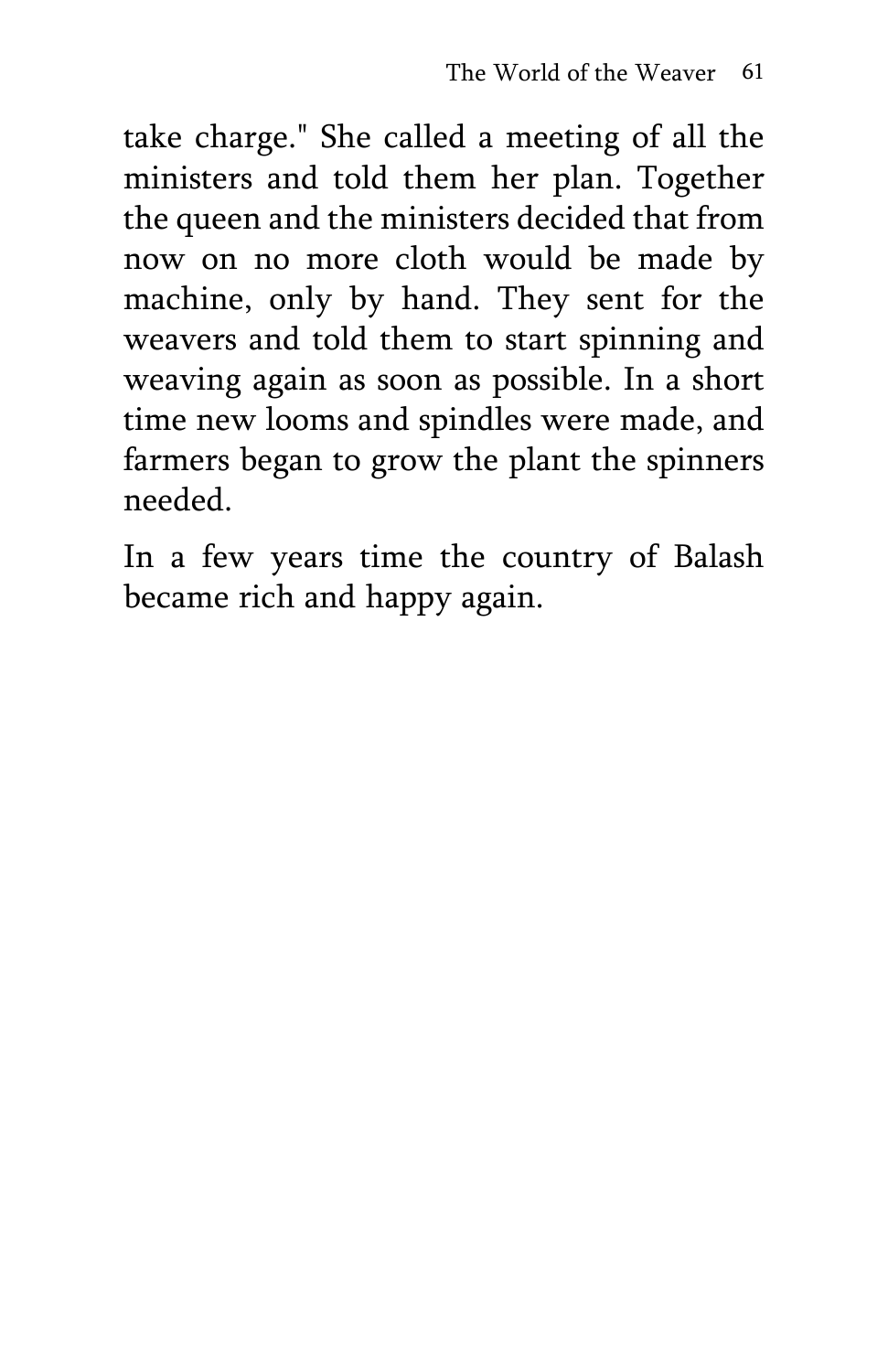take charge." She called a meeting of all the ministers and told them her plan. Together the queen and the ministers decided that from now on no more cloth would be made by machine, only by hand. They sent for the weavers and told them to start spinning and weaving again as soon as possible. In a short time new looms and spindles were made, and farmers began to grow the plant the spinners needed.

In a few years time the country of Balash became rich and happy again.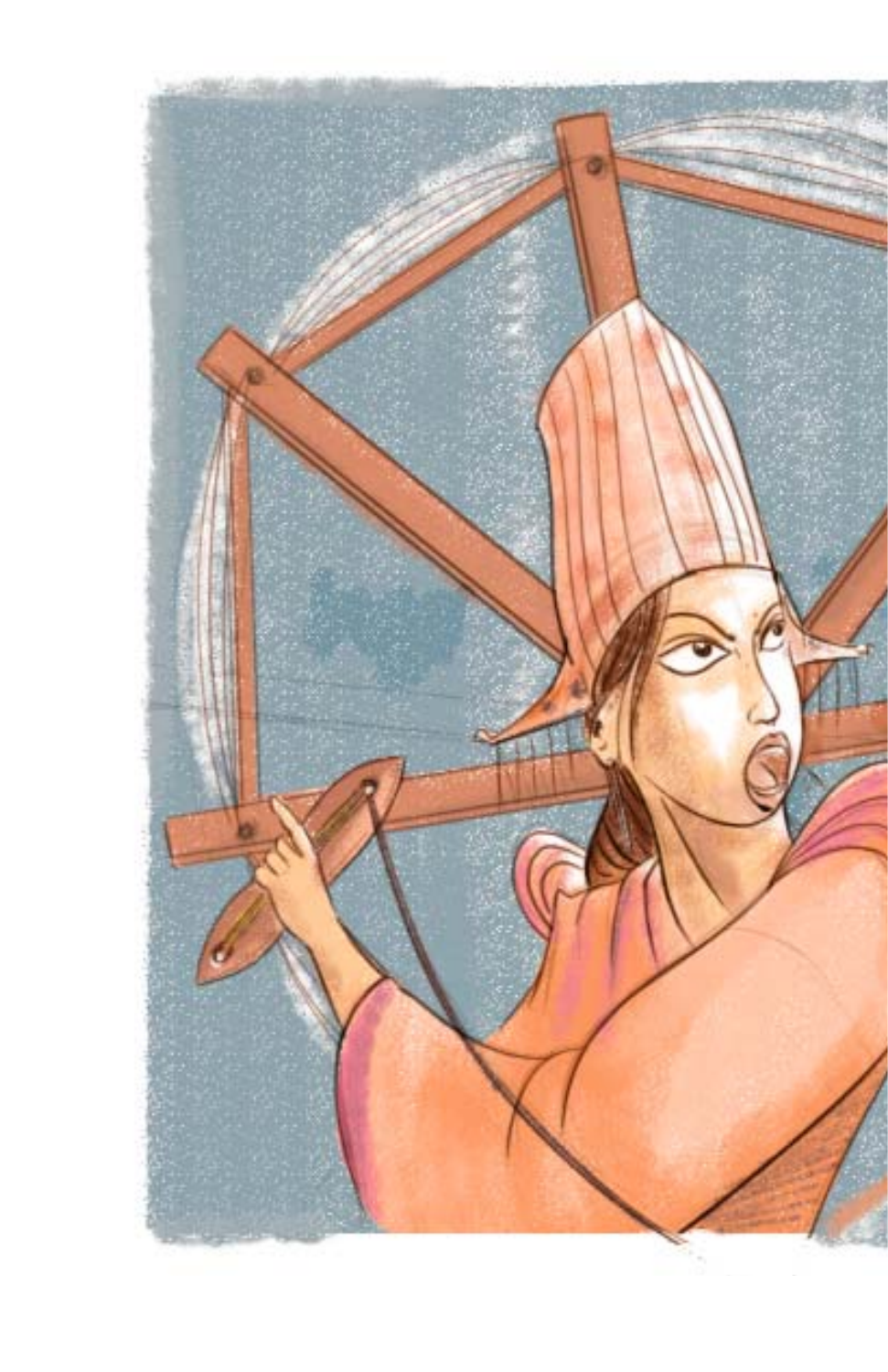